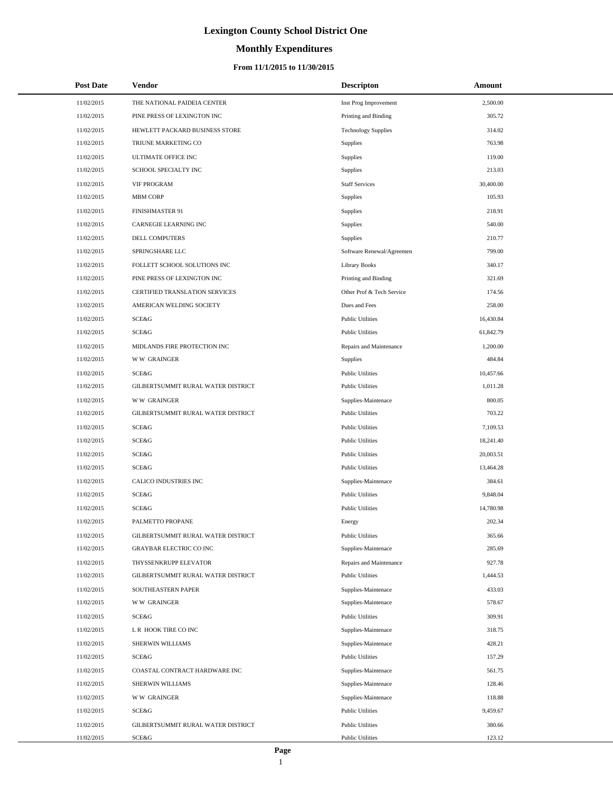# **Monthly Expenditures**

### **From 11/1/2015 to 11/30/2015**

| <b>Post Date</b> | Vendor                             | <b>Descripton</b>          | <b>Amount</b> |  |
|------------------|------------------------------------|----------------------------|---------------|--|
| 11/02/2015       | THE NATIONAL PAIDEIA CENTER        | Inst Prog Improvement      | 2,500.00      |  |
| 11/02/2015       | PINE PRESS OF LEXINGTON INC        | Printing and Binding       | 305.72        |  |
| 11/02/2015       | HEWLETT PACKARD BUSINESS STORE     | <b>Technology Supplies</b> | 314.02        |  |
| 11/02/2015       | TRIUNE MARKETING CO                | <b>Supplies</b>            | 763.98        |  |
| 11/02/2015       | ULTIMATE OFFICE INC                | Supplies                   | 119.00        |  |
| 11/02/2015       | SCHOOL SPECIALTY INC               | Supplies                   | 213.03        |  |
| 11/02/2015       | <b>VIF PROGRAM</b>                 | <b>Staff Services</b>      | 30,400.00     |  |
| 11/02/2015       | <b>MBM CORP</b>                    | Supplies                   | 105.93        |  |
| 11/02/2015       | <b>FINISHMASTER 91</b>             | Supplies                   | 218.91        |  |
| 11/02/2015       | <b>CARNEGIE LEARNING INC</b>       | Supplies                   | 540.00        |  |
| 11/02/2015       | DELL COMPUTERS                     | Supplies                   | 210.77        |  |
| 11/02/2015       | SPRINGSHARE LLC                    | Software Renewal/Agreemen  | 799.00        |  |
| 11/02/2015       | FOLLETT SCHOOL SOLUTIONS INC       | <b>Library Books</b>       | 340.17        |  |
| 11/02/2015       | PINE PRESS OF LEXINGTON INC        | Printing and Binding       | 321.69        |  |
| 11/02/2015       | CERTIFIED TRANSLATION SERVICES     | Other Prof & Tech Service  | 174.56        |  |
| 11/02/2015       | AMERICAN WELDING SOCIETY           | Dues and Fees              | 258.00        |  |
| 11/02/2015       | SCE&G                              | <b>Public Utilities</b>    | 16,430.84     |  |
| 11/02/2015       | SCE&G                              | <b>Public Utilities</b>    | 61,842.79     |  |
| 11/02/2015       | MIDLANDS FIRE PROTECTION INC       | Repairs and Maintenance    | 1,200.00      |  |
| 11/02/2015       | <b>WW GRAINGER</b>                 | Supplies                   | 484.84        |  |
| 11/02/2015       | SCE&G                              | <b>Public Utilities</b>    | 10,457.66     |  |
| 11/02/2015       | GILBERTSUMMIT RURAL WATER DISTRICT | <b>Public Utilities</b>    | 1,011.28      |  |
| 11/02/2015       | <b>WW GRAINGER</b>                 | Supplies-Maintenace        | 800.05        |  |
| 11/02/2015       | GILBERTSUMMIT RURAL WATER DISTRICT | <b>Public Utilities</b>    | 703.22        |  |
| 11/02/2015       | SCE&G                              | <b>Public Utilities</b>    | 7,109.53      |  |
| 11/02/2015       | SCE&G                              | <b>Public Utilities</b>    | 18,241.40     |  |
| 11/02/2015       | SCE&G                              | <b>Public Utilities</b>    | 20,003.51     |  |
| 11/02/2015       | SCE&G                              | <b>Public Utilities</b>    | 13,464.28     |  |
| 11/02/2015       | CALICO INDUSTRIES INC              | Supplies-Maintenace        | 384.61        |  |
| 11/02/2015       | SCE&G                              | <b>Public Utilities</b>    | 9,848.04      |  |
| 11/02/2015       | SCE&G                              | <b>Public Utilities</b>    | 14,780.98     |  |
| 11/02/2015       | PALMETTO PROPANE                   | Energy                     | 202.34        |  |
| 11/02/2015       | GILBERTSUMMIT RURAL WATER DISTRICT | <b>Public Utilities</b>    | 365.66        |  |
| 11/02/2015       | GRAYBAR ELECTRIC CO INC            | Supplies-Maintenace        | 285.69        |  |
| 11/02/2015       | THYSSENKRUPP ELEVATOR              | Repairs and Maintenance    | 927.78        |  |
| 11/02/2015       | GILBERTSUMMIT RURAL WATER DISTRICT | <b>Public Utilities</b>    | 1,444.53      |  |
| 11/02/2015       | SOUTHEASTERN PAPER                 | Supplies-Maintenace        | 433.03        |  |
| 11/02/2015       | <b>WW GRAINGER</b>                 | Supplies-Maintenace        | 578.67        |  |
| 11/02/2015       | SCE&G                              | <b>Public Utilities</b>    | 309.91        |  |
| 11/02/2015       | L R HOOK TIRE CO INC               | Supplies-Maintenace        | 318.75        |  |
| 11/02/2015       | SHERWIN WILLIAMS                   | Supplies-Maintenace        | 428.21        |  |
| 11/02/2015       | SCE&G                              | <b>Public Utilities</b>    | 157.29        |  |
| 11/02/2015       | COASTAL CONTRACT HARDWARE INC      | Supplies-Maintenace        | 561.75        |  |
| 11/02/2015       | SHERWIN WILLIAMS                   | Supplies-Maintenace        | 128.46        |  |
| 11/02/2015       | <b>WW GRAINGER</b>                 | Supplies-Maintenace        | 118.88        |  |
| 11/02/2015       | SCE&G                              | <b>Public Utilities</b>    | 9,459.67      |  |
| 11/02/2015       | GILBERTSUMMIT RURAL WATER DISTRICT | <b>Public Utilities</b>    | 380.66        |  |
| 11/02/2015       | SCE&G                              | <b>Public Utilities</b>    | 123.12        |  |

L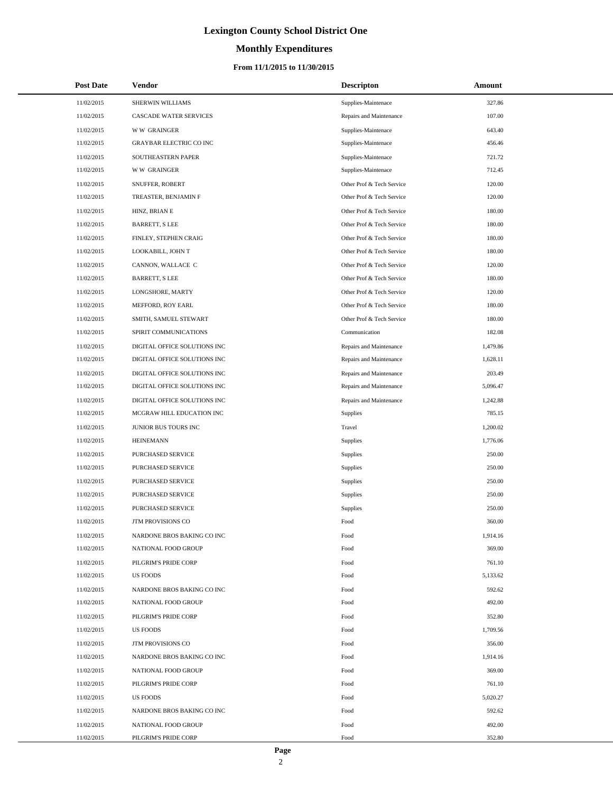# **Monthly Expenditures**

### **From 11/1/2015 to 11/30/2015**

| <b>Post Date</b> | <b>Vendor</b>                  | <b>Descripton</b>         | <b>Amount</b> |
|------------------|--------------------------------|---------------------------|---------------|
| 11/02/2015       | SHERWIN WILLIAMS               | Supplies-Maintenace       | 327.86        |
| 11/02/2015       | CASCADE WATER SERVICES         | Repairs and Maintenance   | 107.00        |
| 11/02/2015       | <b>WW GRAINGER</b>             | Supplies-Maintenace       | 643.40        |
| 11/02/2015       | <b>GRAYBAR ELECTRIC CO INC</b> | Supplies-Maintenace       | 456.46        |
| 11/02/2015       | SOUTHEASTERN PAPER             | Supplies-Maintenace       | 721.72        |
| 11/02/2015       | W W GRAINGER                   | Supplies-Maintenace       | 712.45        |
| 11/02/2015       | SNUFFER, ROBERT                | Other Prof & Tech Service | 120.00        |
| 11/02/2015       | TREASTER, BENJAMIN F           | Other Prof & Tech Service | 120.00        |
| 11/02/2015       | HINZ, BRIAN E                  | Other Prof & Tech Service | 180.00        |
| 11/02/2015       | <b>BARRETT, S LEE</b>          | Other Prof & Tech Service | 180.00        |
| 11/02/2015       | FINLEY, STEPHEN CRAIG          | Other Prof & Tech Service | 180.00        |
| 11/02/2015       | LOOKABILL, JOHN T              | Other Prof & Tech Service | 180.00        |
| 11/02/2015       | CANNON, WALLACE C              | Other Prof & Tech Service | 120.00        |
| 11/02/2015       | <b>BARRETT, S LEE</b>          | Other Prof & Tech Service | 180.00        |
| 11/02/2015       | LONGSHORE, MARTY               | Other Prof & Tech Service | 120.00        |
| 11/02/2015       | MEFFORD, ROY EARL              | Other Prof & Tech Service | 180.00        |
| 11/02/2015       | SMITH, SAMUEL STEWART          | Other Prof & Tech Service | 180.00        |
| 11/02/2015       | SPIRIT COMMUNICATIONS          | Communication             | 182.08        |
| 11/02/2015       | DIGITAL OFFICE SOLUTIONS INC   | Repairs and Maintenance   | 1,479.86      |
| 11/02/2015       | DIGITAL OFFICE SOLUTIONS INC   | Repairs and Maintenance   | 1,628.11      |
| 11/02/2015       | DIGITAL OFFICE SOLUTIONS INC   | Repairs and Maintenance   | 203.49        |
| 11/02/2015       | DIGITAL OFFICE SOLUTIONS INC   | Repairs and Maintenance   | 5,096.47      |
| 11/02/2015       | DIGITAL OFFICE SOLUTIONS INC   | Repairs and Maintenance   | 1,242.88      |
| 11/02/2015       | MCGRAW HILL EDUCATION INC      | Supplies                  | 785.15        |
| 11/02/2015       | JUNIOR BUS TOURS INC           | Travel                    | 1,200.02      |
| 11/02/2015       | <b>HEINEMANN</b>               | <b>Supplies</b>           | 1,776.06      |
| 11/02/2015       | PURCHASED SERVICE              | Supplies                  | 250.00        |
| 11/02/2015       | PURCHASED SERVICE              | <b>Supplies</b>           | 250.00        |
| 11/02/2015       | PURCHASED SERVICE              | Supplies                  | 250.00        |
| 11/02/2015       | PURCHASED SERVICE              | Supplies                  | 250.00        |
| 11/02/2015       | PURCHASED SERVICE              | Supplies                  | 250.00        |
| 11/02/2015       | <b>JTM PROVISIONS CO</b>       | Food                      | 360.00        |
| 11/02/2015       | NARDONE BROS BAKING CO INC     | Food                      | 1,914.16      |
| 11/02/2015       | NATIONAL FOOD GROUP            | Food                      | 369.00        |
| 11/02/2015       | PILGRIM'S PRIDE CORP           | Food                      | 761.10        |
| 11/02/2015       | <b>US FOODS</b>                | Food                      | 5,133.62      |
| 11/02/2015       | NARDONE BROS BAKING CO INC     | Food                      | 592.62        |
| 11/02/2015       | NATIONAL FOOD GROUP            | Food                      | 492.00        |
| 11/02/2015       | PILGRIM'S PRIDE CORP           | Food                      | 352.80        |
| 11/02/2015       | <b>US FOODS</b>                | Food                      | 1,709.56      |
| 11/02/2015       | JTM PROVISIONS CO              | Food                      | 356.00        |
| 11/02/2015       | NARDONE BROS BAKING CO INC     | Food                      | 1,914.16      |
| 11/02/2015       | NATIONAL FOOD GROUP            | Food                      | 369.00        |
| 11/02/2015       | PILGRIM'S PRIDE CORP           | Food                      | 761.10        |
| 11/02/2015       | <b>US FOODS</b>                | Food                      | 5,020.27      |
| 11/02/2015       | NARDONE BROS BAKING CO INC     | Food                      | 592.62        |
| 11/02/2015       | NATIONAL FOOD GROUP            | Food                      | 492.00        |
| 11/02/2015       | PILGRIM'S PRIDE CORP           | Food                      | 352.80        |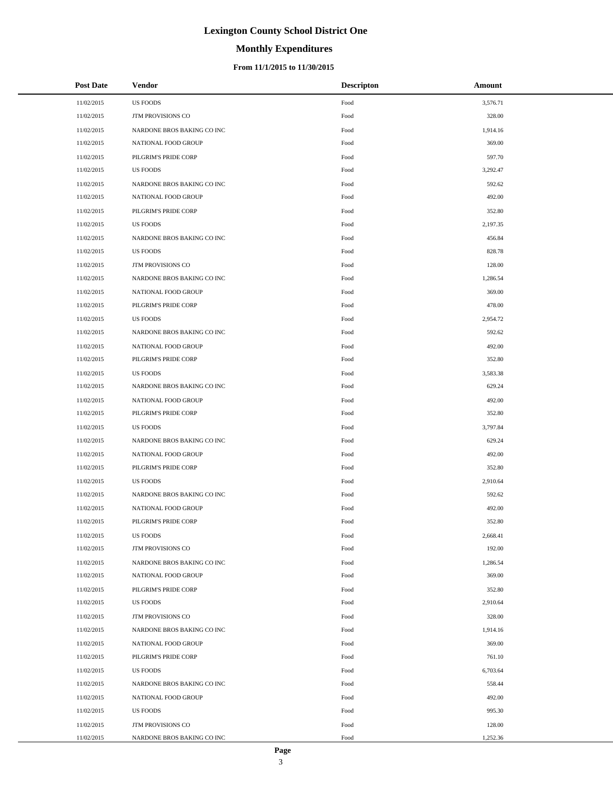# **Monthly Expenditures**

### **From 11/1/2015 to 11/30/2015**

| <b>Post Date</b> | Vendor                     | <b>Descripton</b> | Amount   |
|------------------|----------------------------|-------------------|----------|
| 11/02/2015       | <b>US FOODS</b>            | Food              | 3,576.71 |
| 11/02/2015       | <b>JTM PROVISIONS CO</b>   | Food              | 328.00   |
| 11/02/2015       | NARDONE BROS BAKING CO INC | Food              | 1,914.16 |
| 11/02/2015       | NATIONAL FOOD GROUP        | Food              | 369.00   |
| 11/02/2015       | PILGRIM'S PRIDE CORP       | Food              | 597.70   |
| 11/02/2015       | <b>US FOODS</b>            | Food              | 3,292.47 |
| 11/02/2015       | NARDONE BROS BAKING CO INC | Food              | 592.62   |
| 11/02/2015       | NATIONAL FOOD GROUP        | Food              | 492.00   |
| 11/02/2015       | PILGRIM'S PRIDE CORP       | Food              | 352.80   |
| 11/02/2015       | <b>US FOODS</b>            | Food              | 2,197.35 |
| 11/02/2015       | NARDONE BROS BAKING CO INC | Food              | 456.84   |
| 11/02/2015       | <b>US FOODS</b>            | Food              | 828.78   |
| 11/02/2015       | JTM PROVISIONS CO          | Food              | 128.00   |
| 11/02/2015       | NARDONE BROS BAKING CO INC | Food              | 1,286.54 |
| 11/02/2015       | NATIONAL FOOD GROUP        | Food              | 369.00   |
| 11/02/2015       | PILGRIM'S PRIDE CORP       | Food              | 478.00   |
| 11/02/2015       | <b>US FOODS</b>            | Food              | 2,954.72 |
| 11/02/2015       | NARDONE BROS BAKING CO INC | Food              | 592.62   |
| 11/02/2015       | NATIONAL FOOD GROUP        | Food              | 492.00   |
| 11/02/2015       | PILGRIM'S PRIDE CORP       | Food              | 352.80   |
| 11/02/2015       | <b>US FOODS</b>            | Food              | 3,583.38 |
| 11/02/2015       | NARDONE BROS BAKING CO INC | Food              | 629.24   |
| 11/02/2015       | NATIONAL FOOD GROUP        | Food              | 492.00   |
| 11/02/2015       | PILGRIM'S PRIDE CORP       | Food              | 352.80   |
| 11/02/2015       | <b>US FOODS</b>            | Food              | 3,797.84 |
| 11/02/2015       | NARDONE BROS BAKING CO INC | Food              | 629.24   |
| 11/02/2015       | NATIONAL FOOD GROUP        | Food              | 492.00   |
| 11/02/2015       | PILGRIM'S PRIDE CORP       | Food              | 352.80   |
| 11/02/2015       | <b>US FOODS</b>            | Food              | 2,910.64 |
| 11/02/2015       | NARDONE BROS BAKING CO INC | Food              | 592.62   |
| 11/02/2015       | NATIONAL FOOD GROUP        | Food              | 492.00   |
| 11/02/2015       | PILGRIM'S PRIDE CORP       | Food              | 352.80   |
| 11/02/2015       | <b>US FOODS</b>            | Food              | 2,668.41 |
| 11/02/2015       | <b>JTM PROVISIONS CO</b>   | Food              | 192.00   |
| 11/02/2015       | NARDONE BROS BAKING CO INC | Food              | 1,286.54 |
| 11/02/2015       | NATIONAL FOOD GROUP        | Food              | 369.00   |
| 11/02/2015       | PILGRIM'S PRIDE CORP       | Food              | 352.80   |
| 11/02/2015       | US FOODS                   | Food              | 2,910.64 |
| 11/02/2015       | <b>JTM PROVISIONS CO</b>   | Food              | 328.00   |
| 11/02/2015       | NARDONE BROS BAKING CO INC | Food              | 1,914.16 |
| 11/02/2015       | NATIONAL FOOD GROUP        | Food              | 369.00   |
| 11/02/2015       | PILGRIM'S PRIDE CORP       | Food              | 761.10   |
| 11/02/2015       | <b>US FOODS</b>            | Food              | 6,703.64 |
| 11/02/2015       | NARDONE BROS BAKING CO INC | Food              | 558.44   |
| 11/02/2015       | NATIONAL FOOD GROUP        | Food              | 492.00   |
| 11/02/2015       | US FOODS                   | Food              | 995.30   |
| 11/02/2015       | JTM PROVISIONS CO          | Food              | 128.00   |
| 11/02/2015       | NARDONE BROS BAKING CO INC | Food              | 1,252.36 |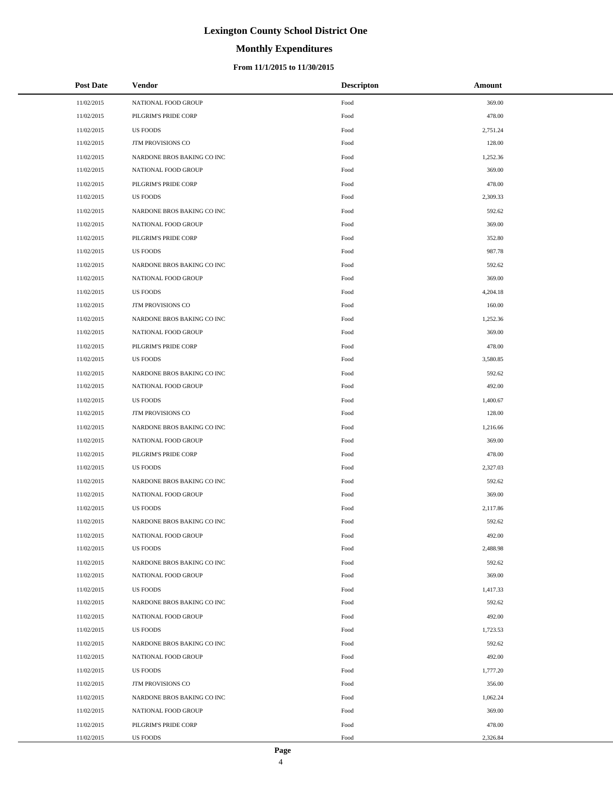# **Monthly Expenditures**

### **From 11/1/2015 to 11/30/2015**

| <b>Post Date</b> | Vendor                     | <b>Descripton</b> | Amount   |
|------------------|----------------------------|-------------------|----------|
| 11/02/2015       | NATIONAL FOOD GROUP        | Food              | 369.00   |
| 11/02/2015       | PILGRIM'S PRIDE CORP       | Food              | 478.00   |
| 11/02/2015       | <b>US FOODS</b>            | Food              | 2,751.24 |
| 11/02/2015       | JTM PROVISIONS CO          | Food              | 128.00   |
| 11/02/2015       | NARDONE BROS BAKING CO INC | Food              | 1,252.36 |
| 11/02/2015       | NATIONAL FOOD GROUP        | Food              | 369.00   |
| 11/02/2015       | PILGRIM'S PRIDE CORP       | Food              | 478.00   |
| 11/02/2015       | <b>US FOODS</b>            | Food              | 2,309.33 |
| 11/02/2015       | NARDONE BROS BAKING CO INC | Food              | 592.62   |
| 11/02/2015       | NATIONAL FOOD GROUP        | Food              | 369.00   |
| 11/02/2015       | PILGRIM'S PRIDE CORP       | Food              | 352.80   |
| 11/02/2015       | <b>US FOODS</b>            | Food              | 987.78   |
| 11/02/2015       | NARDONE BROS BAKING CO INC | Food              | 592.62   |
| 11/02/2015       | NATIONAL FOOD GROUP        | Food              | 369.00   |
| 11/02/2015       | <b>US FOODS</b>            | Food              | 4,204.18 |
| 11/02/2015       | JTM PROVISIONS CO          | Food              | 160.00   |
| 11/02/2015       | NARDONE BROS BAKING CO INC | Food              | 1,252.36 |
| 11/02/2015       | NATIONAL FOOD GROUP        | Food              | 369.00   |
| 11/02/2015       | PILGRIM'S PRIDE CORP       | Food              | 478.00   |
| 11/02/2015       | <b>US FOODS</b>            | Food              | 3,580.85 |
| 11/02/2015       | NARDONE BROS BAKING CO INC | Food              | 592.62   |
| 11/02/2015       | NATIONAL FOOD GROUP        | Food              | 492.00   |
| 11/02/2015       | <b>US FOODS</b>            | Food              | 1,400.67 |
| 11/02/2015       | JTM PROVISIONS CO          | Food              | 128.00   |
| 11/02/2015       | NARDONE BROS BAKING CO INC | Food              | 1,216.66 |
| 11/02/2015       | NATIONAL FOOD GROUP        | Food              | 369.00   |
| 11/02/2015       | PILGRIM'S PRIDE CORP       | Food              | 478.00   |
| 11/02/2015       | <b>US FOODS</b>            | Food              | 2,327.03 |
| 11/02/2015       | NARDONE BROS BAKING CO INC | Food              | 592.62   |
| 11/02/2015       | NATIONAL FOOD GROUP        | Food              | 369.00   |
| 11/02/2015       | <b>US FOODS</b>            | Food              | 2,117.86 |
| 11/02/2015       | NARDONE BROS BAKING CO INC | Food              | 592.62   |
| 11/02/2015       | NATIONAL FOOD GROUP        | Food              | 492.00   |
| 11/02/2015       | <b>US FOODS</b>            | Food              | 2,488.98 |
| 11/02/2015       | NARDONE BROS BAKING CO INC | Food              | 592.62   |
| 11/02/2015       | NATIONAL FOOD GROUP        | Food              | 369.00   |
| 11/02/2015       | <b>US FOODS</b>            | Food              | 1,417.33 |
| 11/02/2015       | NARDONE BROS BAKING CO INC | Food              | 592.62   |
| 11/02/2015       | NATIONAL FOOD GROUP        | Food              | 492.00   |
| 11/02/2015       | <b>US FOODS</b>            | Food              | 1,723.53 |
| 11/02/2015       | NARDONE BROS BAKING CO INC | Food              | 592.62   |
| 11/02/2015       | NATIONAL FOOD GROUP        | Food              | 492.00   |
| 11/02/2015       | <b>US FOODS</b>            | Food              | 1,777.20 |
| 11/02/2015       | JTM PROVISIONS CO          | Food              | 356.00   |
| 11/02/2015       | NARDONE BROS BAKING CO INC | Food              | 1,062.24 |
| 11/02/2015       | NATIONAL FOOD GROUP        | Food              | 369.00   |
| 11/02/2015       | PILGRIM'S PRIDE CORP       | Food              | 478.00   |
| 11/02/2015       | US FOODS                   | Food              | 2,326.84 |

 $\overline{a}$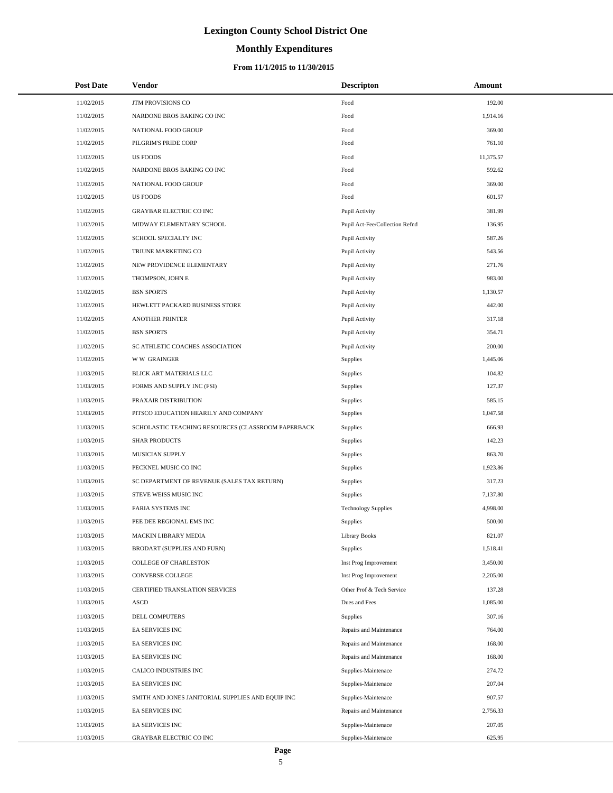# **Monthly Expenditures**

| <b>Post Date</b> | <b>Vendor</b>                                      | <b>Descripton</b>              | Amount    |  |
|------------------|----------------------------------------------------|--------------------------------|-----------|--|
| 11/02/2015       | JTM PROVISIONS CO                                  | Food                           | 192.00    |  |
| 11/02/2015       | NARDONE BROS BAKING CO INC                         | Food                           | 1,914.16  |  |
| 11/02/2015       | NATIONAL FOOD GROUP                                | Food                           | 369.00    |  |
| 11/02/2015       | PILGRIM'S PRIDE CORP                               | Food                           | 761.10    |  |
| 11/02/2015       | <b>US FOODS</b>                                    | $\operatorname*{Food}$         | 11,375.57 |  |
| 11/02/2015       | NARDONE BROS BAKING CO INC                         | Food                           | 592.62    |  |
| 11/02/2015       | NATIONAL FOOD GROUP                                | Food                           | 369.00    |  |
| 11/02/2015       | <b>US FOODS</b>                                    | Food                           | 601.57    |  |
| 11/02/2015       | <b>GRAYBAR ELECTRIC CO INC</b>                     | Pupil Activity                 | 381.99    |  |
| 11/02/2015       | MIDWAY ELEMENTARY SCHOOL                           | Pupil Act-Fee/Collection Refnd | 136.95    |  |
| 11/02/2015       | SCHOOL SPECIALTY INC                               | Pupil Activity                 | 587.26    |  |
| 11/02/2015       | TRIUNE MARKETING CO                                | Pupil Activity                 | 543.56    |  |
| 11/02/2015       | NEW PROVIDENCE ELEMENTARY                          | Pupil Activity                 | 271.76    |  |
| 11/02/2015       | THOMPSON, JOHN E                                   | Pupil Activity                 | 983.00    |  |
| 11/02/2015       | <b>BSN SPORTS</b>                                  | Pupil Activity                 | 1,130.57  |  |
| 11/02/2015       | HEWLETT PACKARD BUSINESS STORE                     | Pupil Activity                 | 442.00    |  |
| 11/02/2015       | <b>ANOTHER PRINTER</b>                             | Pupil Activity                 | 317.18    |  |
| 11/02/2015       | <b>BSN SPORTS</b>                                  | Pupil Activity                 | 354.71    |  |
| 11/02/2015       | SC ATHLETIC COACHES ASSOCIATION                    | Pupil Activity                 | 200.00    |  |
| 11/02/2015       | <b>WW GRAINGER</b>                                 | Supplies                       | 1,445.06  |  |
| 11/03/2015       | BLICK ART MATERIALS LLC                            | <b>Supplies</b>                | 104.82    |  |
| 11/03/2015       | FORMS AND SUPPLY INC (FSI)                         | Supplies                       | 127.37    |  |
| 11/03/2015       | PRAXAIR DISTRIBUTION                               | Supplies                       | 585.15    |  |
| 11/03/2015       | PITSCO EDUCATION HEARILY AND COMPANY               | Supplies                       | 1,047.58  |  |
| 11/03/2015       | SCHOLASTIC TEACHING RESOURCES (CLASSROOM PAPERBACK | Supplies                       | 666.93    |  |
| 11/03/2015       | <b>SHAR PRODUCTS</b>                               | Supplies                       | 142.23    |  |
| 11/03/2015       | MUSICIAN SUPPLY                                    | Supplies                       | 863.70    |  |
| 11/03/2015       | PECKNEL MUSIC CO INC                               | Supplies                       | 1,923.86  |  |
| 11/03/2015       | SC DEPARTMENT OF REVENUE (SALES TAX RETURN)        | Supplies                       | 317.23    |  |
| 11/03/2015       | STEVE WEISS MUSIC INC                              | Supplies                       | 7,137.80  |  |
| 11/03/2015       | FARIA SYSTEMS INC                                  | <b>Technology Supplies</b>     | 4,998.00  |  |
| 11/03/2015       | PEE DEE REGIONAL EMS INC                           | <b>Supplies</b>                | 500.00    |  |
| 11/03/2015       | MACKIN LIBRARY MEDIA                               | <b>Library Books</b>           | 821.07    |  |
| 11/03/2015       | BRODART (SUPPLIES AND FURN)                        | Supplies                       | 1,518.41  |  |
| 11/03/2015       | <b>COLLEGE OF CHARLESTON</b>                       | Inst Prog Improvement          | 3,450.00  |  |
| 11/03/2015       | CONVERSE COLLEGE                                   | Inst Prog Improvement          | 2,205.00  |  |
| 11/03/2015       | CERTIFIED TRANSLATION SERVICES                     | Other Prof & Tech Service      | 137.28    |  |
| 11/03/2015       | ASCD                                               | Dues and Fees                  | 1,085.00  |  |
| 11/03/2015       | DELL COMPUTERS                                     | Supplies                       | 307.16    |  |
| 11/03/2015       | EA SERVICES INC                                    | Repairs and Maintenance        | 764.00    |  |
| 11/03/2015       | EA SERVICES INC                                    | Repairs and Maintenance        | 168.00    |  |
| 11/03/2015       | EA SERVICES INC                                    | Repairs and Maintenance        | 168.00    |  |
| 11/03/2015       | CALICO INDUSTRIES INC                              | Supplies-Maintenace            | 274.72    |  |
| 11/03/2015       | EA SERVICES INC                                    | Supplies-Maintenace            | 207.04    |  |
| 11/03/2015       | SMITH AND JONES JANITORIAL SUPPLIES AND EQUIP INC  | Supplies-Maintenace            | 907.57    |  |
| 11/03/2015       | EA SERVICES INC                                    | Repairs and Maintenance        | 2,756.33  |  |
| 11/03/2015       | EA SERVICES INC                                    | Supplies-Maintenace            | 207.05    |  |
| 11/03/2015       | GRAYBAR ELECTRIC CO INC                            | Supplies-Maintenace            | 625.95    |  |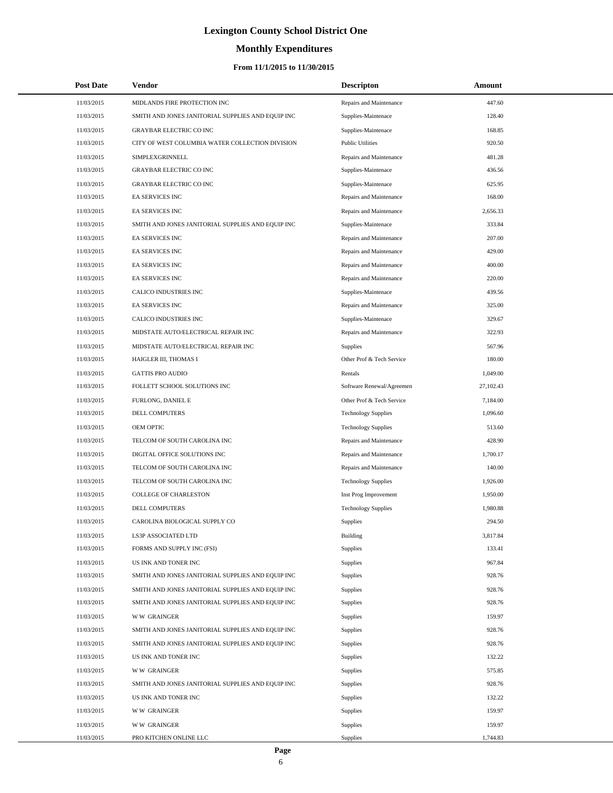# **Monthly Expenditures**

### **From 11/1/2015 to 11/30/2015**

| <b>Post Date</b> | Vendor                                            | <b>Descripton</b>          | Amount    |  |
|------------------|---------------------------------------------------|----------------------------|-----------|--|
| 11/03/2015       | MIDLANDS FIRE PROTECTION INC                      | Repairs and Maintenance    | 447.60    |  |
| 11/03/2015       | SMITH AND JONES JANITORIAL SUPPLIES AND EQUIP INC | Supplies-Maintenace        | 128.40    |  |
| 11/03/2015       | <b>GRAYBAR ELECTRIC CO INC</b>                    | Supplies-Maintenace        | 168.85    |  |
| 11/03/2015       | CITY OF WEST COLUMBIA WATER COLLECTION DIVISION   | <b>Public Utilities</b>    | 920.50    |  |
| 11/03/2015       | SIMPLEXGRINNELL                                   | Repairs and Maintenance    | 481.28    |  |
| 11/03/2015       | GRAYBAR ELECTRIC CO INC                           | Supplies-Maintenace        | 436.56    |  |
| 11/03/2015       | <b>GRAYBAR ELECTRIC CO INC</b>                    | Supplies-Maintenace        | 625.95    |  |
| 11/03/2015       | <b>EA SERVICES INC</b>                            | Repairs and Maintenance    | 168.00    |  |
| 11/03/2015       | <b>EA SERVICES INC</b>                            | Repairs and Maintenance    | 2,656.33  |  |
| 11/03/2015       | SMITH AND JONES JANITORIAL SUPPLIES AND EQUIP INC | Supplies-Maintenace        | 333.84    |  |
| 11/03/2015       | EA SERVICES INC                                   | Repairs and Maintenance    | 207.00    |  |
| 11/03/2015       | <b>EA SERVICES INC</b>                            | Repairs and Maintenance    | 429.00    |  |
| 11/03/2015       | <b>EA SERVICES INC</b>                            | Repairs and Maintenance    | 400.00    |  |
| 11/03/2015       | <b>EA SERVICES INC</b>                            | Repairs and Maintenance    | 220.00    |  |
| 11/03/2015       | CALICO INDUSTRIES INC                             | Supplies-Maintenace        | 439.56    |  |
| 11/03/2015       | EA SERVICES INC                                   | Repairs and Maintenance    | 325.00    |  |
| 11/03/2015       | <b>CALICO INDUSTRIES INC</b>                      | Supplies-Maintenace        | 329.67    |  |
| 11/03/2015       | MIDSTATE AUTO/ELECTRICAL REPAIR INC               | Repairs and Maintenance    | 322.93    |  |
| 11/03/2015       | MIDSTATE AUTO/ELECTRICAL REPAIR INC               | <b>Supplies</b>            | 567.96    |  |
| 11/03/2015       | HAIGLER III, THOMAS I                             | Other Prof & Tech Service  | 180.00    |  |
| 11/03/2015       | <b>GATTIS PRO AUDIO</b>                           | Rentals                    | 1,049.00  |  |
| 11/03/2015       | FOLLETT SCHOOL SOLUTIONS INC                      | Software Renewal/Agreemen  | 27,102.43 |  |
| 11/03/2015       | FURLONG, DANIEL E                                 | Other Prof & Tech Service  | 7,184.00  |  |
| 11/03/2015       | DELL COMPUTERS                                    | <b>Technology Supplies</b> | 1,096.60  |  |
| 11/03/2015       | OEM OPTIC                                         | <b>Technology Supplies</b> | 513.60    |  |
| 11/03/2015       | TELCOM OF SOUTH CAROLINA INC                      | Repairs and Maintenance    | 428.90    |  |
| 11/03/2015       | DIGITAL OFFICE SOLUTIONS INC                      | Repairs and Maintenance    | 1,700.17  |  |
| 11/03/2015       | TELCOM OF SOUTH CAROLINA INC                      | Repairs and Maintenance    | 140.00    |  |
| 11/03/2015       | TELCOM OF SOUTH CAROLINA INC                      | <b>Technology Supplies</b> | 1,926.00  |  |
| 11/03/2015       | <b>COLLEGE OF CHARLESTON</b>                      | Inst Prog Improvement      | 1,950.00  |  |
| 11/03/2015       | DELL COMPUTERS                                    | <b>Technology Supplies</b> | 1,980.88  |  |
| 11/03/2015       | CAROLINA BIOLOGICAL SUPPLY CO                     | Supplies                   | 294.50    |  |
| 11/03/2015       | LS3P ASSOCIATED LTD                               | Building                   | 3,817.84  |  |
| 11/03/2015       | FORMS AND SUPPLY INC (FSI)                        | Supplies                   | 133.41    |  |
| 11/03/2015       | US INK AND TONER INC                              | Supplies                   | 967.84    |  |
| 11/03/2015       | SMITH AND JONES JANITORIAL SUPPLIES AND EQUIP INC | Supplies                   | 928.76    |  |
| 11/03/2015       | SMITH AND JONES JANITORIAL SUPPLIES AND EQUIP INC | <b>Supplies</b>            | 928.76    |  |
| 11/03/2015       | SMITH AND JONES JANITORIAL SUPPLIES AND EQUIP INC | Supplies                   | 928.76    |  |
| 11/03/2015       | <b>WW GRAINGER</b>                                | Supplies                   | 159.97    |  |
| 11/03/2015       | SMITH AND JONES JANITORIAL SUPPLIES AND EQUIP INC | Supplies                   | 928.76    |  |
| 11/03/2015       | SMITH AND JONES JANITORIAL SUPPLIES AND EQUIP INC | <b>Supplies</b>            | 928.76    |  |
| 11/03/2015       | US INK AND TONER INC                              | Supplies                   | 132.22    |  |
| 11/03/2015       | <b>WW GRAINGER</b>                                | Supplies                   | 575.85    |  |
| 11/03/2015       | SMITH AND JONES JANITORIAL SUPPLIES AND EQUIP INC | Supplies                   | 928.76    |  |
| 11/03/2015       | US INK AND TONER INC                              | <b>Supplies</b>            | 132.22    |  |
| 11/03/2015       | <b>WW GRAINGER</b>                                | Supplies                   | 159.97    |  |
| 11/03/2015       | <b>WW GRAINGER</b>                                | Supplies                   | 159.97    |  |
| 11/03/2015       | PRO KITCHEN ONLINE LLC                            | Supplies                   | 1,744.83  |  |

L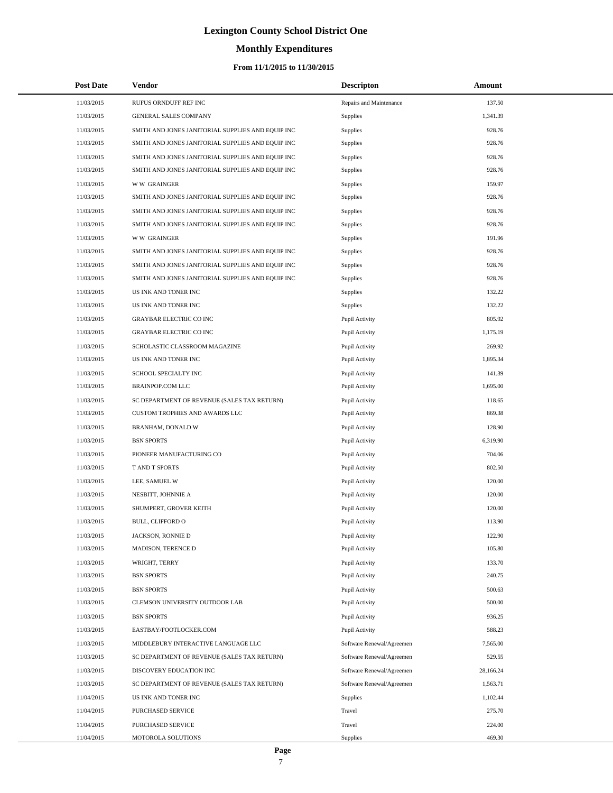### **Monthly Expenditures**

### **From 11/1/2015 to 11/30/2015**

| <b>Post Date</b> | Vendor                                            | <b>Descripton</b>         | <b>Amount</b> |
|------------------|---------------------------------------------------|---------------------------|---------------|
| 11/03/2015       | RUFUS ORNDUFF REF INC                             | Repairs and Maintenance   | 137.50        |
| 11/03/2015       | GENERAL SALES COMPANY                             | Supplies                  | 1,341.39      |
| 11/03/2015       | SMITH AND JONES JANITORIAL SUPPLIES AND EQUIP INC | Supplies                  | 928.76        |
| 11/03/2015       | SMITH AND JONES JANITORIAL SUPPLIES AND EQUIP INC | Supplies                  | 928.76        |
| 11/03/2015       | SMITH AND JONES JANITORIAL SUPPLIES AND EQUIP INC | <b>Supplies</b>           | 928.76        |
| 11/03/2015       | SMITH AND JONES JANITORIAL SUPPLIES AND EQUIP INC | Supplies                  | 928.76        |
| 11/03/2015       | <b>WW GRAINGER</b>                                | Supplies                  | 159.97        |
| 11/03/2015       | SMITH AND JONES JANITORIAL SUPPLIES AND EQUIP INC | Supplies                  | 928.76        |
| 11/03/2015       | SMITH AND JONES JANITORIAL SUPPLIES AND EQUIP INC | <b>Supplies</b>           | 928.76        |
| 11/03/2015       | SMITH AND JONES JANITORIAL SUPPLIES AND EQUIP INC | Supplies                  | 928.76        |
| 11/03/2015       | <b>WW GRAINGER</b>                                | Supplies                  | 191.96        |
| 11/03/2015       | SMITH AND JONES JANITORIAL SUPPLIES AND EQUIP INC | Supplies                  | 928.76        |
| 11/03/2015       | SMITH AND JONES JANITORIAL SUPPLIES AND EQUIP INC | Supplies                  | 928.76        |
| 11/03/2015       | SMITH AND JONES JANITORIAL SUPPLIES AND EQUIP INC | <b>Supplies</b>           | 928.76        |
| 11/03/2015       | US INK AND TONER INC                              | Supplies                  | 132.22        |
| 11/03/2015       | US INK AND TONER INC                              | Supplies                  | 132.22        |
| 11/03/2015       | <b>GRAYBAR ELECTRIC CO INC</b>                    | Pupil Activity            | 805.92        |
| 11/03/2015       | <b>GRAYBAR ELECTRIC CO INC</b>                    | Pupil Activity            | 1,175.19      |
| 11/03/2015       | SCHOLASTIC CLASSROOM MAGAZINE                     | Pupil Activity            | 269.92        |
| 11/03/2015       | US INK AND TONER INC                              | Pupil Activity            | 1,895.34      |
| 11/03/2015       | SCHOOL SPECIALTY INC                              | Pupil Activity            | 141.39        |
| 11/03/2015       | <b>BRAINPOP.COM LLC</b>                           | Pupil Activity            | 1,695.00      |
| 11/03/2015       | SC DEPARTMENT OF REVENUE (SALES TAX RETURN)       | Pupil Activity            | 118.65        |
| 11/03/2015       | CUSTOM TROPHIES AND AWARDS LLC                    | Pupil Activity            | 869.38        |
| 11/03/2015       | BRANHAM, DONALD W                                 | Pupil Activity            | 128.90        |
| 11/03/2015       | <b>BSN SPORTS</b>                                 | Pupil Activity            | 6,319.90      |
| 11/03/2015       | PIONEER MANUFACTURING CO                          | Pupil Activity            | 704.06        |
| 11/03/2015       | T AND T SPORTS                                    | Pupil Activity            | 802.50        |
| 11/03/2015       | LEE, SAMUEL W                                     | Pupil Activity            | 120.00        |
| 11/03/2015       | NESBITT, JOHNNIE A                                | Pupil Activity            | 120.00        |
| 11/03/2015       | SHUMPERT, GROVER KEITH                            | Pupil Activity            | 120.00        |
| 11/03/2015       | <b>BULL, CLIFFORD O</b>                           | Pupil Activity            | 113.90        |
| 11/03/2015       | JACKSON, RONNIE D                                 | Pupil Activity            | 122.90        |
| 11/03/2015       | MADISON, TERENCE D                                | Pupil Activity            | 105.80        |
| 11/03/2015       | WRIGHT, TERRY                                     | Pupil Activity            | 133.70        |
| 11/03/2015       | <b>BSN SPORTS</b>                                 | Pupil Activity            | 240.75        |
| 11/03/2015       | <b>BSN SPORTS</b>                                 | Pupil Activity            | 500.63        |
| 11/03/2015       | CLEMSON UNIVERSITY OUTDOOR LAB                    | Pupil Activity            | 500.00        |
| 11/03/2015       | <b>BSN SPORTS</b>                                 | Pupil Activity            | 936.25        |
| 11/03/2015       | EASTBAY/FOOTLOCKER.COM                            | Pupil Activity            | 588.23        |
| 11/03/2015       | MIDDLEBURY INTERACTIVE LANGUAGE LLC               | Software Renewal/Agreemen | 7,565.00      |
| 11/03/2015       | SC DEPARTMENT OF REVENUE (SALES TAX RETURN)       | Software Renewal/Agreemen | 529.55        |
| 11/03/2015       | DISCOVERY EDUCATION INC                           | Software Renewal/Agreemen | 28,166.24     |
| 11/03/2015       | SC DEPARTMENT OF REVENUE (SALES TAX RETURN)       | Software Renewal/Agreemen | 1,563.71      |
| 11/04/2015       | US INK AND TONER INC                              | Supplies                  | 1,102.44      |
| 11/04/2015       | PURCHASED SERVICE                                 | Travel                    | 275.70        |
| 11/04/2015       | PURCHASED SERVICE                                 | Travel                    | 224.00        |
| 11/04/2015       | MOTOROLA SOLUTIONS                                | Supplies                  | 469.30        |

L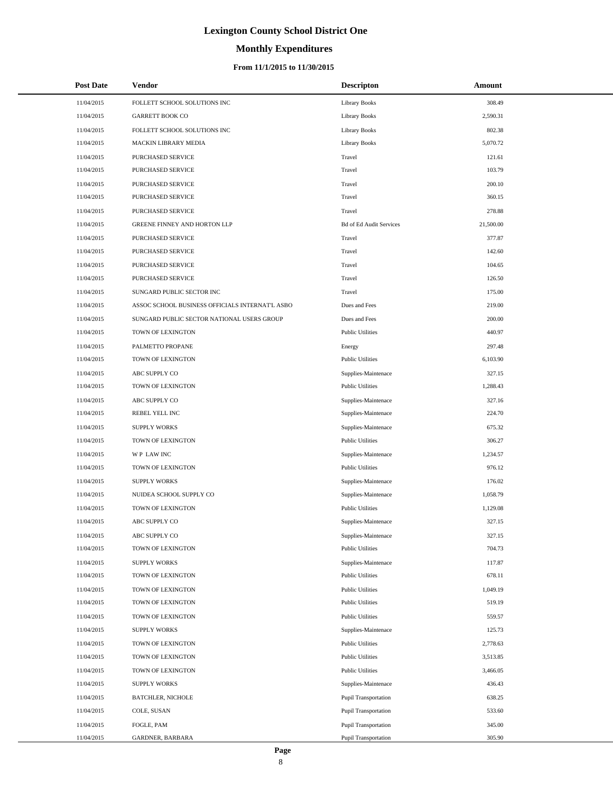# **Monthly Expenditures**

### **From 11/1/2015 to 11/30/2015**

| <b>Post Date</b> | Vendor                                          | <b>Descripton</b>              | Amount    |
|------------------|-------------------------------------------------|--------------------------------|-----------|
| 11/04/2015       | FOLLETT SCHOOL SOLUTIONS INC                    | <b>Library Books</b>           | 308.49    |
| 11/04/2015       | <b>GARRETT BOOK CO</b>                          | <b>Library Books</b>           | 2,590.31  |
| 11/04/2015       | FOLLETT SCHOOL SOLUTIONS INC                    | <b>Library Books</b>           | 802.38    |
| 11/04/2015       | MACKIN LIBRARY MEDIA                            | <b>Library Books</b>           | 5,070.72  |
| 11/04/2015       | PURCHASED SERVICE                               | Travel                         | 121.61    |
| 11/04/2015       | PURCHASED SERVICE                               | Travel                         | 103.79    |
| 11/04/2015       | PURCHASED SERVICE                               | Travel                         | 200.10    |
| 11/04/2015       | PURCHASED SERVICE                               | Travel                         | 360.15    |
| 11/04/2015       | PURCHASED SERVICE                               | Travel                         | 278.88    |
| 11/04/2015       | GREENE FINNEY AND HORTON LLP                    | <b>Bd of Ed Audit Services</b> | 21,500.00 |
| 11/04/2015       | PURCHASED SERVICE                               | Travel                         | 377.87    |
| 11/04/2015       | PURCHASED SERVICE                               | Travel                         | 142.60    |
| 11/04/2015       | PURCHASED SERVICE                               | Travel                         | 104.65    |
| 11/04/2015       | PURCHASED SERVICE                               | Travel                         | 126.50    |
| 11/04/2015       | SUNGARD PUBLIC SECTOR INC                       | Travel                         | 175.00    |
| 11/04/2015       | ASSOC SCHOOL BUSINESS OFFICIALS INTERNAT'L ASBO | Dues and Fees                  | 219.00    |
| 11/04/2015       | SUNGARD PUBLIC SECTOR NATIONAL USERS GROUP      | Dues and Fees                  | 200.00    |
| 11/04/2015       | TOWN OF LEXINGTON                               | <b>Public Utilities</b>        | 440.97    |
| 11/04/2015       | PALMETTO PROPANE                                | Energy                         | 297.48    |
| 11/04/2015       | TOWN OF LEXINGTON                               | <b>Public Utilities</b>        | 6,103.90  |
| 11/04/2015       | ABC SUPPLY CO                                   | Supplies-Maintenace            | 327.15    |
| 11/04/2015       | TOWN OF LEXINGTON                               | <b>Public Utilities</b>        | 1,288.43  |
| 11/04/2015       | ABC SUPPLY CO                                   | Supplies-Maintenace            | 327.16    |
| 11/04/2015       | REBEL YELL INC                                  | Supplies-Maintenace            | 224.70    |
| 11/04/2015       | <b>SUPPLY WORKS</b>                             | Supplies-Maintenace            | 675.32    |
| 11/04/2015       | TOWN OF LEXINGTON                               | <b>Public Utilities</b>        | 306.27    |
| 11/04/2015       | WP LAW INC                                      | Supplies-Maintenace            | 1,234.57  |
| 11/04/2015       | TOWN OF LEXINGTON                               | <b>Public Utilities</b>        | 976.12    |
| 11/04/2015       | <b>SUPPLY WORKS</b>                             | Supplies-Maintenace            | 176.02    |
| 11/04/2015       | NUIDEA SCHOOL SUPPLY CO                         | Supplies-Maintenace            | 1,058.79  |
| 11/04/2015       | TOWN OF LEXINGTON                               | <b>Public Utilities</b>        | 1,129.08  |
| 11/04/2015       | ABC SUPPLY CO                                   | Supplies-Maintenace            | 327.15    |
| 11/04/2015       | ABC SUPPLY CO                                   | Supplies-Maintenace            | 327.15    |
| 11/04/2015       | TOWN OF LEXINGTON                               | <b>Public Utilities</b>        | 704.73    |
| 11/04/2015       | <b>SUPPLY WORKS</b>                             | Supplies-Maintenace            | 117.87    |
| 11/04/2015       | TOWN OF LEXINGTON                               | <b>Public Utilities</b>        | 678.11    |
| 11/04/2015       | TOWN OF LEXINGTON                               | <b>Public Utilities</b>        | 1,049.19  |
| 11/04/2015       | TOWN OF LEXINGTON                               | <b>Public Utilities</b>        | 519.19    |
| 11/04/2015       | TOWN OF LEXINGTON                               | <b>Public Utilities</b>        | 559.57    |
| 11/04/2015       | <b>SUPPLY WORKS</b>                             | Supplies-Maintenace            | 125.73    |
| 11/04/2015       | TOWN OF LEXINGTON                               | <b>Public Utilities</b>        | 2,778.63  |
| 11/04/2015       | TOWN OF LEXINGTON                               | <b>Public Utilities</b>        | 3,513.85  |
| 11/04/2015       | TOWN OF LEXINGTON                               | <b>Public Utilities</b>        | 3,466.05  |
| 11/04/2015       | <b>SUPPLY WORKS</b>                             | Supplies-Maintenace            | 436.43    |
| 11/04/2015       | <b>BATCHLER, NICHOLE</b>                        | Pupil Transportation           | 638.25    |
| 11/04/2015       | COLE, SUSAN                                     | <b>Pupil Transportation</b>    | 533.60    |
| 11/04/2015       | FOGLE, PAM                                      | <b>Pupil Transportation</b>    | 345.00    |
| 11/04/2015       | GARDNER, BARBARA                                | Pupil Transportation           | 305.90    |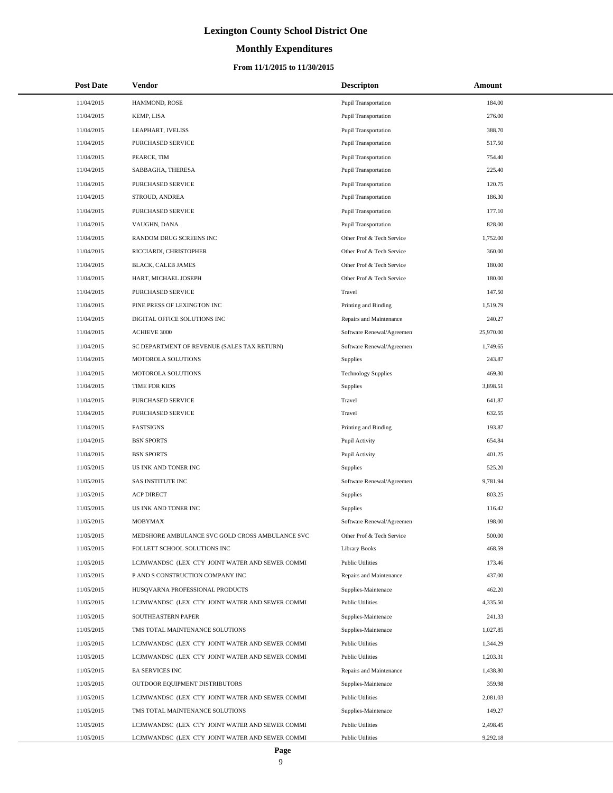# **Monthly Expenditures**

| <b>Post Date</b> | <b>Vendor</b>                                   | <b>Descripton</b>           | Amount    |
|------------------|-------------------------------------------------|-----------------------------|-----------|
| 11/04/2015       | HAMMOND, ROSE                                   | <b>Pupil Transportation</b> | 184.00    |
| 11/04/2015       | KEMP, LISA                                      | Pupil Transportation        | 276.00    |
| 11/04/2015       | LEAPHART, IVELISS                               | Pupil Transportation        | 388.70    |
| 11/04/2015       | PURCHASED SERVICE                               | Pupil Transportation        | 517.50    |
| 11/04/2015       | PEARCE, TIM                                     | <b>Pupil Transportation</b> | 754.40    |
| 11/04/2015       | SABBAGHA, THERESA                               | Pupil Transportation        | 225.40    |
| 11/04/2015       | PURCHASED SERVICE                               | <b>Pupil Transportation</b> | 120.75    |
| 11/04/2015       | STROUD, ANDREA                                  | Pupil Transportation        | 186.30    |
| 11/04/2015       | PURCHASED SERVICE                               | Pupil Transportation        | 177.10    |
| 11/04/2015       | VAUGHN, DANA                                    | Pupil Transportation        | 828.00    |
| 11/04/2015       | RANDOM DRUG SCREENS INC                         | Other Prof & Tech Service   | 1,752.00  |
| 11/04/2015       | RICCIARDI, CHRISTOPHER                          | Other Prof & Tech Service   | 360.00    |
| 11/04/2015       | <b>BLACK, CALEB JAMES</b>                       | Other Prof & Tech Service   | 180.00    |
| 11/04/2015       | HART, MICHAEL JOSEPH                            | Other Prof & Tech Service   | 180.00    |
| 11/04/2015       | PURCHASED SERVICE                               | Travel                      | 147.50    |
| 11/04/2015       | PINE PRESS OF LEXINGTON INC                     | Printing and Binding        | 1,519.79  |
| 11/04/2015       | DIGITAL OFFICE SOLUTIONS INC                    | Repairs and Maintenance     | 240.27    |
| 11/04/2015       | ACHIEVE 3000                                    | Software Renewal/Agreemen   | 25,970.00 |
| 11/04/2015       | SC DEPARTMENT OF REVENUE (SALES TAX RETURN)     | Software Renewal/Agreemen   | 1,749.65  |
| 11/04/2015       | MOTOROLA SOLUTIONS                              | <b>Supplies</b>             | 243.87    |
| 11/04/2015       | MOTOROLA SOLUTIONS                              | <b>Technology Supplies</b>  | 469.30    |
| 11/04/2015       | TIME FOR KIDS                                   | Supplies                    | 3,898.51  |
| 11/04/2015       | PURCHASED SERVICE                               | Travel                      | 641.87    |
| 11/04/2015       | PURCHASED SERVICE                               | Travel                      | 632.55    |
| 11/04/2015       | <b>FASTSIGNS</b>                                | Printing and Binding        | 193.87    |
| 11/04/2015       | <b>BSN SPORTS</b>                               | Pupil Activity              | 654.84    |
| 11/04/2015       | <b>BSN SPORTS</b>                               | Pupil Activity              | 401.25    |
| 11/05/2015       | US INK AND TONER INC                            | Supplies                    | 525.20    |
| 11/05/2015       | <b>SAS INSTITUTE INC</b>                        | Software Renewal/Agreemen   | 9,781.94  |
| 11/05/2015       | <b>ACP DIRECT</b>                               | Supplies                    | 803.25    |
| 11/05/2015       | US INK AND TONER INC                            | Supplies                    | 116.42    |
| 11/05/2015       | <b>MOBYMAX</b>                                  | Software Renewal/Agreemen   | 198.00    |
| 11/05/2015       | MEDSHORE AMBULANCE SVC GOLD CROSS AMBULANCE SVC | Other Prof & Tech Service   | 500.00    |
| 11/05/2015       | FOLLETT SCHOOL SOLUTIONS INC                    | <b>Library Books</b>        | 468.59    |
| 11/05/2015       | LCJMWANDSC (LEX CTY JOINT WATER AND SEWER COMMI | <b>Public Utilities</b>     | 173.46    |
| 11/05/2015       | P AND S CONSTRUCTION COMPANY INC                | Repairs and Maintenance     | 437.00    |
| 11/05/2015       | HUSQVARNA PROFESSIONAL PRODUCTS                 | Supplies-Maintenace         | 462.20    |
| 11/05/2015       | LCJMWANDSC (LEX CTY JOINT WATER AND SEWER COMMI | <b>Public Utilities</b>     | 4,335.50  |
| 11/05/2015       | SOUTHEASTERN PAPER                              | Supplies-Maintenace         | 241.33    |
| 11/05/2015       | TMS TOTAL MAINTENANCE SOLUTIONS                 | Supplies-Maintenace         | 1,027.85  |
| 11/05/2015       | LCJMWANDSC (LEX CTY JOINT WATER AND SEWER COMMI | <b>Public Utilities</b>     | 1,344.29  |
| 11/05/2015       | LCJMWANDSC (LEX CTY JOINT WATER AND SEWER COMMI | <b>Public Utilities</b>     | 1,203.31  |
| 11/05/2015       | EA SERVICES INC                                 | Repairs and Maintenance     | 1,438.80  |
| 11/05/2015       | OUTDOOR EQUIPMENT DISTRIBUTORS                  | Supplies-Maintenace         | 359.98    |
| 11/05/2015       | LCJMWANDSC (LEX CTY JOINT WATER AND SEWER COMMI | <b>Public Utilities</b>     | 2,081.03  |
| 11/05/2015       | TMS TOTAL MAINTENANCE SOLUTIONS                 | Supplies-Maintenace         | 149.27    |
| 11/05/2015       | LCJMWANDSC (LEX CTY JOINT WATER AND SEWER COMMI | <b>Public Utilities</b>     | 2,498.45  |
| 11/05/2015       | LCJMWANDSC (LEX CTY JOINT WATER AND SEWER COMMI | <b>Public Utilities</b>     | 9,292.18  |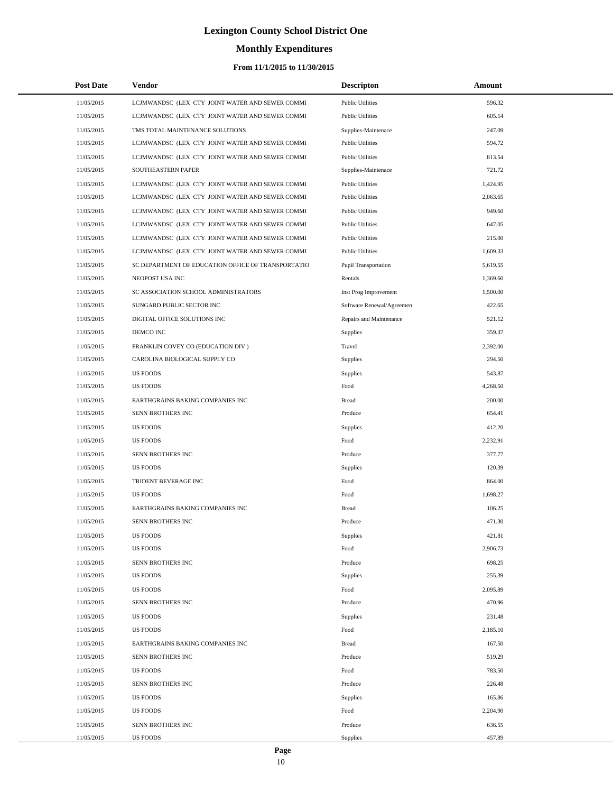# **Monthly Expenditures**

| <b>Post Date</b> | Vendor                                             | <b>Descripton</b>           | Amount   |
|------------------|----------------------------------------------------|-----------------------------|----------|
| 11/05/2015       | LCJMWANDSC (LEX CTY JOINT WATER AND SEWER COMMI    | <b>Public Utilities</b>     | 596.32   |
| 11/05/2015       | LCJMWANDSC (LEX CTY JOINT WATER AND SEWER COMMI    | <b>Public Utilities</b>     | 605.14   |
| 11/05/2015       | TMS TOTAL MAINTENANCE SOLUTIONS                    | Supplies-Maintenace         | 247.09   |
| 11/05/2015       | LCJMWANDSC (LEX CTY JOINT WATER AND SEWER COMMI    | <b>Public Utilities</b>     | 594.72   |
| 11/05/2015       | LCJMWANDSC (LEX CTY JOINT WATER AND SEWER COMMI    | <b>Public Utilities</b>     | 813.54   |
| 11/05/2015       | SOUTHEASTERN PAPER                                 | Supplies-Maintenace         | 721.72   |
| 11/05/2015       | LCJMWANDSC (LEX CTY JOINT WATER AND SEWER COMMI    | <b>Public Utilities</b>     | 1,424.95 |
| 11/05/2015       | LCJMWANDSC (LEX CTY JOINT WATER AND SEWER COMMI    | <b>Public Utilities</b>     | 2,063.65 |
| 11/05/2015       | LCJMWANDSC (LEX CTY JOINT WATER AND SEWER COMMI    | <b>Public Utilities</b>     | 949.60   |
| 11/05/2015       | LCJMWANDSC (LEX CTY JOINT WATER AND SEWER COMMI    | <b>Public Utilities</b>     | 647.05   |
| 11/05/2015       | LCJMWANDSC (LEX CTY JOINT WATER AND SEWER COMMI    | <b>Public Utilities</b>     | 215.00   |
| 11/05/2015       | LCJMWANDSC (LEX CTY JOINT WATER AND SEWER COMMI    | <b>Public Utilities</b>     | 1,609.33 |
| 11/05/2015       | SC DEPARTMENT OF EDUCATION OFFICE OF TRANSPORTATIO | <b>Pupil Transportation</b> | 5,619.55 |
| 11/05/2015       | NEOPOST USA INC                                    | Rentals                     | 1,369.60 |
| 11/05/2015       | SC ASSOCIATION SCHOOL ADMINISTRATORS               | Inst Prog Improvement       | 1,500.00 |
| 11/05/2015       | SUNGARD PUBLIC SECTOR INC                          | Software Renewal/Agreemen   | 422.65   |
| 11/05/2015       | DIGITAL OFFICE SOLUTIONS INC                       | Repairs and Maintenance     | 521.12   |
| 11/05/2015       | DEMCO INC                                          | Supplies                    | 359.37   |
| 11/05/2015       | FRANKLIN COVEY CO (EDUCATION DIV)                  | Travel                      | 2,392.00 |
| 11/05/2015       | CAROLINA BIOLOGICAL SUPPLY CO                      | Supplies                    | 294.50   |
| 11/05/2015       | <b>US FOODS</b>                                    | Supplies                    | 543.87   |
| 11/05/2015       | <b>US FOODS</b>                                    | Food                        | 4,268.50 |
| 11/05/2015       | EARTHGRAINS BAKING COMPANIES INC                   | <b>Bread</b>                | 200.00   |
| 11/05/2015       | SENN BROTHERS INC                                  | Produce                     | 654.41   |
| 11/05/2015       | <b>US FOODS</b>                                    | Supplies                    | 412.20   |
| 11/05/2015       | <b>US FOODS</b>                                    | Food                        | 2,232.91 |
| 11/05/2015       | SENN BROTHERS INC                                  | Produce                     | 377.77   |
| 11/05/2015       | <b>US FOODS</b>                                    | Supplies                    | 120.39   |
| 11/05/2015       | TRIDENT BEVERAGE INC                               | Food                        | 864.00   |
| 11/05/2015       | <b>US FOODS</b>                                    | Food                        | 1,698.27 |
| 11/05/2015       | EARTHGRAINS BAKING COMPANIES INC                   | <b>Bread</b>                | 106.25   |
| 11/05/2015       | SENN BROTHERS INC                                  | Produce                     | 471.30   |
| 11/05/2015       | <b>US FOODS</b>                                    | Supplies                    | 421.81   |
| 11/05/2015       | <b>US FOODS</b>                                    | Food                        | 2,906.73 |
| 11/05/2015       | SENN BROTHERS INC                                  | Produce                     | 698.25   |
| 11/05/2015       | <b>US FOODS</b>                                    | Supplies                    | 255.39   |
| 11/05/2015       | <b>US FOODS</b>                                    | Food                        | 2,095.89 |
| 11/05/2015       | SENN BROTHERS INC                                  | Produce                     | 470.96   |
| 11/05/2015       | <b>US FOODS</b>                                    | Supplies                    | 231.48   |
| 11/05/2015       | <b>US FOODS</b>                                    | Food                        | 2,185.10 |
| 11/05/2015       | EARTHGRAINS BAKING COMPANIES INC                   | <b>Bread</b>                | 167.50   |
| 11/05/2015       | SENN BROTHERS INC                                  | Produce                     | 519.29   |
| 11/05/2015       | <b>US FOODS</b>                                    | Food                        | 783.50   |
| 11/05/2015       | SENN BROTHERS INC                                  | Produce                     | 226.48   |
| 11/05/2015       | <b>US FOODS</b>                                    | Supplies                    | 165.86   |
| 11/05/2015       | <b>US FOODS</b>                                    | Food                        | 2,204.90 |
| 11/05/2015       | SENN BROTHERS INC                                  | Produce                     | 636.55   |
| 11/05/2015       | <b>US FOODS</b>                                    | Supplies                    | 457.89   |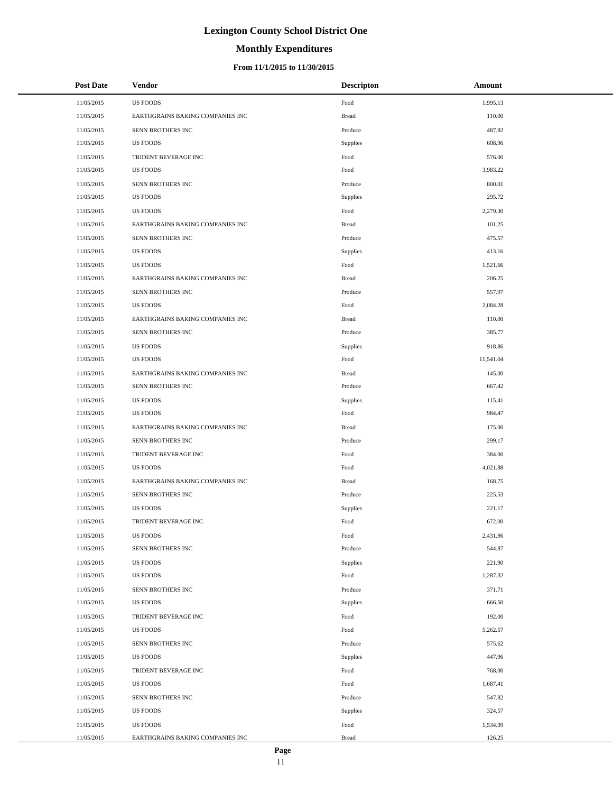# **Monthly Expenditures**

### **From 11/1/2015 to 11/30/2015**

| <b>Post Date</b> | <b>Vendor</b>                    | <b>Descripton</b> | Amount    |
|------------------|----------------------------------|-------------------|-----------|
| 11/05/2015       | <b>US FOODS</b>                  | Food              | 1,995.13  |
| 11/05/2015       | EARTHGRAINS BAKING COMPANIES INC | <b>Bread</b>      | 110.00    |
| 11/05/2015       | SENN BROTHERS INC                | Produce           | 487.92    |
| 11/05/2015       | <b>US FOODS</b>                  | Supplies          | 608.96    |
| 11/05/2015       | TRIDENT BEVERAGE INC             | Food              | 576.00    |
| 11/05/2015       | US FOODS                         | Food              | 3,983.22  |
| 11/05/2015       | SENN BROTHERS INC                | Produce           | 800.01    |
| 11/05/2015       | US FOODS                         | Supplies          | 295.72    |
| 11/05/2015       | <b>US FOODS</b>                  | Food              | 2,279.30  |
| 11/05/2015       | EARTHGRAINS BAKING COMPANIES INC | <b>Bread</b>      | 101.25    |
| 11/05/2015       | SENN BROTHERS INC                | Produce           | 475.57    |
| 11/05/2015       | <b>US FOODS</b>                  | Supplies          | 413.16    |
| 11/05/2015       | <b>US FOODS</b>                  | Food              | 1,521.66  |
| 11/05/2015       | EARTHGRAINS BAKING COMPANIES INC | <b>Bread</b>      | 206.25    |
| 11/05/2015       | SENN BROTHERS INC                | Produce           | 557.97    |
| 11/05/2015       | US FOODS                         | Food              | 2,084.28  |
| 11/05/2015       | EARTHGRAINS BAKING COMPANIES INC | <b>Bread</b>      | 110.00    |
| 11/05/2015       | SENN BROTHERS INC                | Produce           | 385.77    |
| 11/05/2015       | <b>US FOODS</b>                  | Supplies          | 918.86    |
| 11/05/2015       | <b>US FOODS</b>                  | Food              | 11,541.04 |
| 11/05/2015       | EARTHGRAINS BAKING COMPANIES INC | <b>Bread</b>      | 145.00    |
| 11/05/2015       | SENN BROTHERS INC                | Produce           | 667.42    |
| 11/05/2015       | <b>US FOODS</b>                  | Supplies          | 115.41    |
| 11/05/2015       | <b>US FOODS</b>                  | Food              | 984.47    |
| 11/05/2015       | EARTHGRAINS BAKING COMPANIES INC | <b>Bread</b>      | 175.00    |
| 11/05/2015       | SENN BROTHERS INC                | Produce           | 299.17    |
| 11/05/2015       | TRIDENT BEVERAGE INC             | Food              | 384.00    |
| 11/05/2015       | <b>US FOODS</b>                  | Food              | 4,021.88  |
| 11/05/2015       | EARTHGRAINS BAKING COMPANIES INC | <b>Bread</b>      | 168.75    |
| 11/05/2015       | SENN BROTHERS INC                | Produce           | 225.53    |
| 11/05/2015       | <b>US FOODS</b>                  | Supplies          | 221.17    |
| 11/05/2015       | TRIDENT BEVERAGE INC             | Food              | 672.00    |
| 11/05/2015       | <b>US FOODS</b>                  | Food              | 2,431.96  |
| 11/05/2015       | SENN BROTHERS INC                | Produce           | 544.87    |
| 11/05/2015       | US FOODS                         | Supplies          | 221.90    |
| 11/05/2015       | <b>US FOODS</b>                  | Food              | 1,287.32  |
| 11/05/2015       | SENN BROTHERS INC                | Produce           | 371.71    |
| 11/05/2015       | <b>US FOODS</b>                  | Supplies          | 666.50    |
| 11/05/2015       | TRIDENT BEVERAGE INC             | Food              | 192.00    |
| 11/05/2015       | <b>US FOODS</b>                  | Food              | 5,262.57  |
| 11/05/2015       | SENN BROTHERS INC                | Produce           | 575.62    |
| 11/05/2015       | <b>US FOODS</b>                  | Supplies          | 447.96    |
| 11/05/2015       | TRIDENT BEVERAGE INC             | Food              | 768.00    |
| 11/05/2015       | US FOODS                         | Food              | 1,687.41  |
| 11/05/2015       | SENN BROTHERS INC                | Produce           | 547.82    |
| 11/05/2015       | <b>US FOODS</b>                  | Supplies          | 324.57    |
| 11/05/2015       | <b>US FOODS</b>                  | Food              | 1,534.99  |
| 11/05/2015       | EARTHGRAINS BAKING COMPANIES INC | <b>Bread</b>      | 126.25    |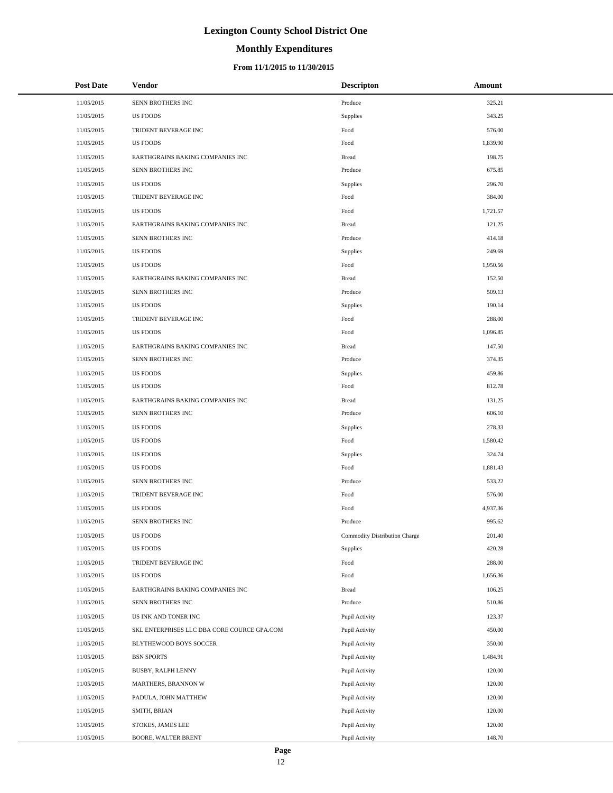# **Monthly Expenditures**

### **From 11/1/2015 to 11/30/2015**

| <b>Post Date</b> | Vendor                                      | <b>Descripton</b>             | Amount   |
|------------------|---------------------------------------------|-------------------------------|----------|
| 11/05/2015       | SENN BROTHERS INC                           | Produce                       | 325.21   |
| 11/05/2015       | <b>US FOODS</b>                             | Supplies                      | 343.25   |
| 11/05/2015       | TRIDENT BEVERAGE INC                        | Food                          | 576.00   |
| 11/05/2015       | <b>US FOODS</b>                             | Food                          | 1,839.90 |
| 11/05/2015       | EARTHGRAINS BAKING COMPANIES INC            | <b>Bread</b>                  | 198.75   |
| 11/05/2015       | SENN BROTHERS INC                           | Produce                       | 675.85   |
| 11/05/2015       | <b>US FOODS</b>                             | Supplies                      | 296.70   |
| 11/05/2015       | TRIDENT BEVERAGE INC                        | Food                          | 384.00   |
| 11/05/2015       | <b>US FOODS</b>                             | Food                          | 1,721.57 |
| 11/05/2015       | EARTHGRAINS BAKING COMPANIES INC            | <b>Bread</b>                  | 121.25   |
| 11/05/2015       | SENN BROTHERS INC                           | Produce                       | 414.18   |
| 11/05/2015       | <b>US FOODS</b>                             | Supplies                      | 249.69   |
| 11/05/2015       | <b>US FOODS</b>                             | Food                          | 1,950.56 |
| 11/05/2015       | EARTHGRAINS BAKING COMPANIES INC            | <b>Bread</b>                  | 152.50   |
| 11/05/2015       | SENN BROTHERS INC                           | Produce                       | 509.13   |
| 11/05/2015       | <b>US FOODS</b>                             | Supplies                      | 190.14   |
| 11/05/2015       | TRIDENT BEVERAGE INC                        | Food                          | 288.00   |
| 11/05/2015       | <b>US FOODS</b>                             | Food                          | 1,096.85 |
| 11/05/2015       | EARTHGRAINS BAKING COMPANIES INC            | <b>Bread</b>                  | 147.50   |
| 11/05/2015       | SENN BROTHERS INC                           | Produce                       | 374.35   |
| 11/05/2015       | <b>US FOODS</b>                             | Supplies                      | 459.86   |
| 11/05/2015       | <b>US FOODS</b>                             | Food                          | 812.78   |
| 11/05/2015       | EARTHGRAINS BAKING COMPANIES INC            | <b>Bread</b>                  | 131.25   |
| 11/05/2015       | SENN BROTHERS INC                           | Produce                       | 606.10   |
| 11/05/2015       | <b>US FOODS</b>                             | Supplies                      | 278.33   |
| 11/05/2015       | <b>US FOODS</b>                             | Food                          | 1,580.42 |
| 11/05/2015       | <b>US FOODS</b>                             | Supplies                      | 324.74   |
| 11/05/2015       | <b>US FOODS</b>                             | Food                          | 1,881.43 |
| 11/05/2015       | SENN BROTHERS INC                           | Produce                       | 533.22   |
| 11/05/2015       | TRIDENT BEVERAGE INC                        | Food                          | 576.00   |
| 11/05/2015       | <b>US FOODS</b>                             | Food                          | 4,937.36 |
| 11/05/2015       | SENN BROTHERS INC                           | Produce                       | 995.62   |
| 11/05/2015       | <b>US FOODS</b>                             | Commodity Distribution Charge | 201.40   |
| 11/05/2015       | <b>US FOODS</b>                             | Supplies                      | 420.28   |
| 11/05/2015       | TRIDENT BEVERAGE INC                        | Food                          | 288.00   |
| 11/05/2015       | <b>US FOODS</b>                             | Food                          | 1,656.36 |
| 11/05/2015       | EARTHGRAINS BAKING COMPANIES INC            | <b>Bread</b>                  | 106.25   |
| 11/05/2015       | SENN BROTHERS INC                           | Produce                       | 510.86   |
| 11/05/2015       | US INK AND TONER INC                        | Pupil Activity                | 123.37   |
| 11/05/2015       | SKL ENTERPRISES LLC DBA CORE COURCE GPA.COM | Pupil Activity                | 450.00   |
| 11/05/2015       | BLYTHEWOOD BOYS SOCCER                      | Pupil Activity                | 350.00   |
| 11/05/2015       | <b>BSN SPORTS</b>                           | Pupil Activity                | 1,484.91 |
| 11/05/2015       | BUSBY, RALPH LENNY                          | Pupil Activity                | 120.00   |
| 11/05/2015       | MARTHERS, BRANNON W                         | Pupil Activity                | 120.00   |
| 11/05/2015       | PADULA, JOHN MATTHEW                        | Pupil Activity                | 120.00   |
| 11/05/2015       | SMITH, BRIAN                                | Pupil Activity                | 120.00   |
| 11/05/2015       | STOKES, JAMES LEE                           | Pupil Activity                | 120.00   |
| 11/05/2015       | BOORE, WALTER BRENT                         | Pupil Activity                | 148.70   |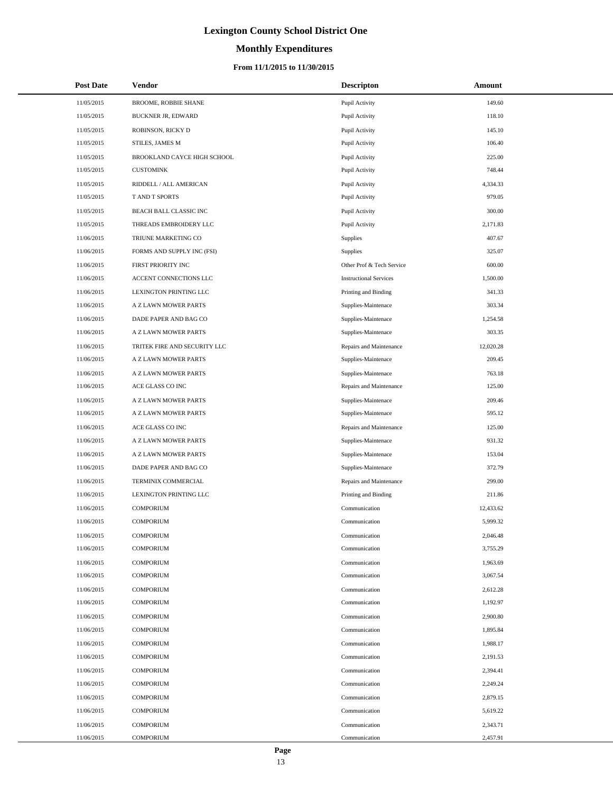# **Monthly Expenditures**

| <b>Post Date</b> | <b>Vendor</b>                 | <b>Descripton</b>             | Amount    |
|------------------|-------------------------------|-------------------------------|-----------|
| 11/05/2015       | BROOME, ROBBIE SHANE          | Pupil Activity                | 149.60    |
| 11/05/2015       | <b>BUCKNER JR, EDWARD</b>     | Pupil Activity                | 118.10    |
| 11/05/2015       | ROBINSON, RICKY D             | Pupil Activity                | 145.10    |
| 11/05/2015       | STILES, JAMES M               | Pupil Activity                | 106.40    |
| 11/05/2015       | BROOKLAND CAYCE HIGH SCHOOL   | Pupil Activity                | 225.00    |
| 11/05/2015       | <b>CUSTOMINK</b>              | Pupil Activity                | 748.44    |
| 11/05/2015       | RIDDELL / ALL AMERICAN        | Pupil Activity                | 4,334.33  |
| 11/05/2015       | T AND T SPORTS                | Pupil Activity                | 979.05    |
| 11/05/2015       | BEACH BALL CLASSIC INC        | Pupil Activity                | 300.00    |
| 11/05/2015       | THREADS EMBROIDERY LLC        | Pupil Activity                | 2,171.83  |
| 11/06/2015       | TRIUNE MARKETING CO           | Supplies                      | 407.67    |
| 11/06/2015       | FORMS AND SUPPLY INC (FSI)    | Supplies                      | 325.07    |
| 11/06/2015       | FIRST PRIORITY INC            | Other Prof & Tech Service     | 600.00    |
| 11/06/2015       | ACCENT CONNECTIONS LLC        | <b>Instructional Services</b> | 1,500.00  |
| 11/06/2015       | LEXINGTON PRINTING LLC        | Printing and Binding          | 341.33    |
| 11/06/2015       | A Z LAWN MOWER PARTS          | Supplies-Maintenace           | 303.34    |
| 11/06/2015       | DADE PAPER AND BAG CO         | Supplies-Maintenace           | 1,254.58  |
| 11/06/2015       | A Z LAWN MOWER PARTS          | Supplies-Maintenace           | 303.35    |
| 11/06/2015       | TRITEK FIRE AND SECURITY LLC  | Repairs and Maintenance       | 12,020.28 |
| 11/06/2015       | A Z LAWN MOWER PARTS          | Supplies-Maintenace           | 209.45    |
| 11/06/2015       | A Z LAWN MOWER PARTS          | Supplies-Maintenace           | 763.18    |
| 11/06/2015       | ACE GLASS CO INC              | Repairs and Maintenance       | 125.00    |
| 11/06/2015       | A Z LAWN MOWER PARTS          | Supplies-Maintenace           | 209.46    |
| 11/06/2015       | A Z LAWN MOWER PARTS          | Supplies-Maintenace           | 595.12    |
| 11/06/2015       | ACE GLASS CO INC              | Repairs and Maintenance       | 125.00    |
| 11/06/2015       | A Z LAWN MOWER PARTS          | Supplies-Maintenace           | 931.32    |
| 11/06/2015       | A Z LAWN MOWER PARTS          | Supplies-Maintenace           | 153.04    |
| 11/06/2015       | DADE PAPER AND BAG CO         | Supplies-Maintenace           | 372.79    |
| 11/06/2015       | TERMINIX COMMERCIAL           | Repairs and Maintenance       | 299.00    |
| 11/06/2015       | <b>LEXINGTON PRINTING LLC</b> | Printing and Binding          | 211.86    |
| 11/06/2015       | <b>COMPORIUM</b>              | Communication                 | 12,433.62 |
| 11/06/2015       | <b>COMPORIUM</b>              | Communication                 | 5,999.32  |
| 11/06/2015       | <b>COMPORIUM</b>              | Communication                 | 2,046.48  |
| 11/06/2015       | <b>COMPORIUM</b>              | Communication                 | 3,755.29  |
| 11/06/2015       | <b>COMPORIUM</b>              | Communication                 | 1,963.69  |
| 11/06/2015       | <b>COMPORIUM</b>              | Communication                 | 3,067.54  |
| 11/06/2015       | <b>COMPORIUM</b>              | Communication                 | 2,612.28  |
| 11/06/2015       | <b>COMPORIUM</b>              | Communication                 | 1,192.97  |
| 11/06/2015       | <b>COMPORIUM</b>              | Communication                 | 2,900.80  |
| 11/06/2015       | <b>COMPORIUM</b>              | Communication                 | 1,895.84  |
| 11/06/2015       | <b>COMPORIUM</b>              | Communication                 | 1,988.17  |
| 11/06/2015       | <b>COMPORIUM</b>              | Communication                 | 2,191.53  |
| 11/06/2015       | <b>COMPORIUM</b>              | Communication                 | 2,394.41  |
| 11/06/2015       | <b>COMPORIUM</b>              | Communication                 | 2,249.24  |
| 11/06/2015       | <b>COMPORIUM</b>              | Communication                 | 2,879.15  |
| 11/06/2015       | <b>COMPORIUM</b>              | Communication                 | 5,619.22  |
| 11/06/2015       | <b>COMPORIUM</b>              | Communication                 | 2,343.71  |
| 11/06/2015       | <b>COMPORIUM</b>              | Communication                 | 2,457.91  |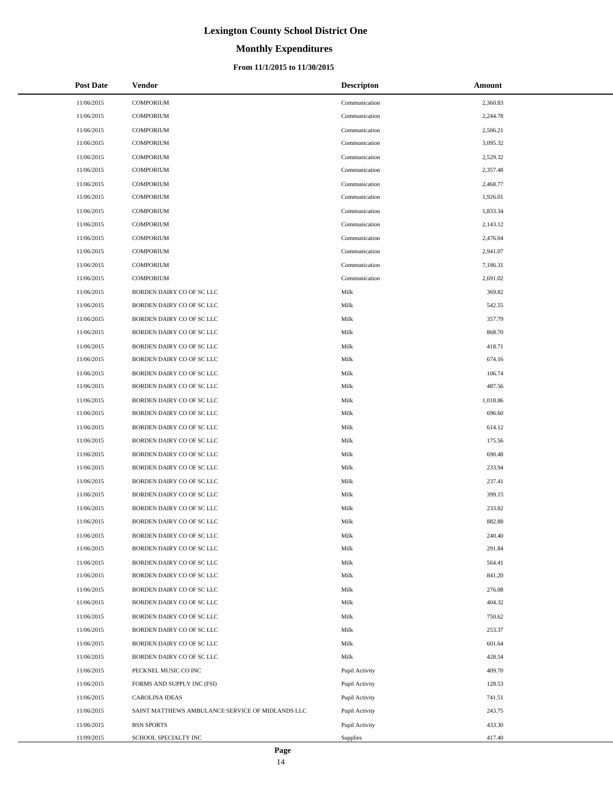# **Monthly Expenditures**

### **From 11/1/2015 to 11/30/2015**

| <b>Post Date</b> | Vendor                                           | <b>Descripton</b> | Amount   |
|------------------|--------------------------------------------------|-------------------|----------|
| 11/06/2015       | <b>COMPORIUM</b>                                 | Communication     | 2,360.83 |
| 11/06/2015       | <b>COMPORIUM</b>                                 | Communication     | 2,244.78 |
| 11/06/2015       | <b>COMPORIUM</b>                                 | Communication     | 2,506.21 |
| 11/06/2015       | <b>COMPORIUM</b>                                 | Communication     | 3,095.32 |
| 11/06/2015       | <b>COMPORIUM</b>                                 | Communication     | 2,529.32 |
| 11/06/2015       | <b>COMPORIUM</b>                                 | Communication     | 2,357.48 |
| 11/06/2015       | <b>COMPORIUM</b>                                 | Communication     | 2,468.77 |
| 11/06/2015       | <b>COMPORIUM</b>                                 | Communication     | 1,926.01 |
| 11/06/2015       | <b>COMPORIUM</b>                                 | Communication     | 1,833.34 |
| 11/06/2015       | <b>COMPORIUM</b>                                 | Communication     | 2,143.12 |
| 11/06/2015       | <b>COMPORIUM</b>                                 | Communication     | 2,476.04 |
| 11/06/2015       | <b>COMPORIUM</b>                                 | Communication     | 2,941.07 |
| 11/06/2015       | <b>COMPORIUM</b>                                 | Communication     | 7,186.31 |
| 11/06/2015       | <b>COMPORIUM</b>                                 | Communication     | 2,691.02 |
| 11/06/2015       | BORDEN DAIRY CO OF SC LLC                        | Milk              | 369.82   |
| 11/06/2015       | BORDEN DAIRY CO OF SC LLC                        | Milk              | 542.55   |
| 11/06/2015       | BORDEN DAIRY CO OF SC LLC                        | Milk              | 357.79   |
| 11/06/2015       | BORDEN DAIRY CO OF SC LLC                        | Milk              | 868.70   |
| 11/06/2015       | BORDEN DAIRY CO OF SC LLC                        | Milk              | 418.71   |
| 11/06/2015       | BORDEN DAIRY CO OF SC LLC                        | Milk              | 674.16   |
| 11/06/2015       | BORDEN DAIRY CO OF SC LLC                        | Milk              | 106.74   |
| 11/06/2015       | BORDEN DAIRY CO OF SC LLC                        | Milk              | 487.56   |
| 11/06/2015       | BORDEN DAIRY CO OF SC LLC                        | Milk              | 1,018.86 |
| 11/06/2015       | BORDEN DAIRY CO OF SC LLC                        | Milk              | 696.60   |
| 11/06/2015       | BORDEN DAIRY CO OF SC LLC                        | Milk              | 614.12   |
| 11/06/2015       | BORDEN DAIRY CO OF SC LLC                        | Milk              | 175.56   |
| 11/06/2015       | BORDEN DAIRY CO OF SC LLC                        | Milk              | 690.48   |
| 11/06/2015       | BORDEN DAIRY CO OF SC LLC                        | Milk              | 233.94   |
| 11/06/2015       | BORDEN DAIRY CO OF SC LLC                        | Milk              | 237.41   |
| 11/06/2015       | BORDEN DAIRY CO OF SC LLC                        | Milk              | 399.15   |
| 11/06/2015       | BORDEN DAIRY CO OF SC LLC                        | Milk              | 233.82   |
| 11/06/2015       | BORDEN DAIRY CO OF SC LLC                        | Milk              | 882.88   |
| 11/06/2015       | BORDEN DAIRY CO OF SC LLC                        | Milk              | 240.40   |
| 11/06/2015       | BORDEN DAIRY CO OF SC LLC                        | Milk              | 291.84   |
| 11/06/2015       | BORDEN DAIRY CO OF SC LLC                        | Milk              | 564.41   |
| 11/06/2015       | BORDEN DAIRY CO OF SC LLC                        | Milk              | 841.20   |
| 11/06/2015       | BORDEN DAIRY CO OF SC LLC                        | Milk              | 276.08   |
| 11/06/2015       | BORDEN DAIRY CO OF SC LLC                        | Milk              | 404.32   |
| 11/06/2015       | BORDEN DAIRY CO OF SC LLC                        | Milk              | 750.62   |
| 11/06/2015       | BORDEN DAIRY CO OF SC LLC                        | Milk              | 253.37   |
| 11/06/2015       | BORDEN DAIRY CO OF SC LLC                        | Milk              | 601.64   |
| 11/06/2015       | BORDEN DAIRY CO OF SC LLC                        | Milk              | 428.54   |
| 11/06/2015       | PECKNEL MUSIC CO INC                             | Pupil Activity    | 409.70   |
| 11/06/2015       | FORMS AND SUPPLY INC (FSI)                       | Pupil Activity    | 128.53   |
| 11/06/2015       | <b>CAROLINA IDEAS</b>                            | Pupil Activity    | 741.51   |
| 11/06/2015       | SAINT MATTHEWS AMBULANCE SERVICE OF MIDLANDS LLC | Pupil Activity    | 243.75   |
| 11/06/2015       | <b>BSN SPORTS</b>                                | Pupil Activity    | 433.30   |
| 11/09/2015       | SCHOOL SPECIALTY INC                             | Supplies          | 417.40   |

 $\overline{a}$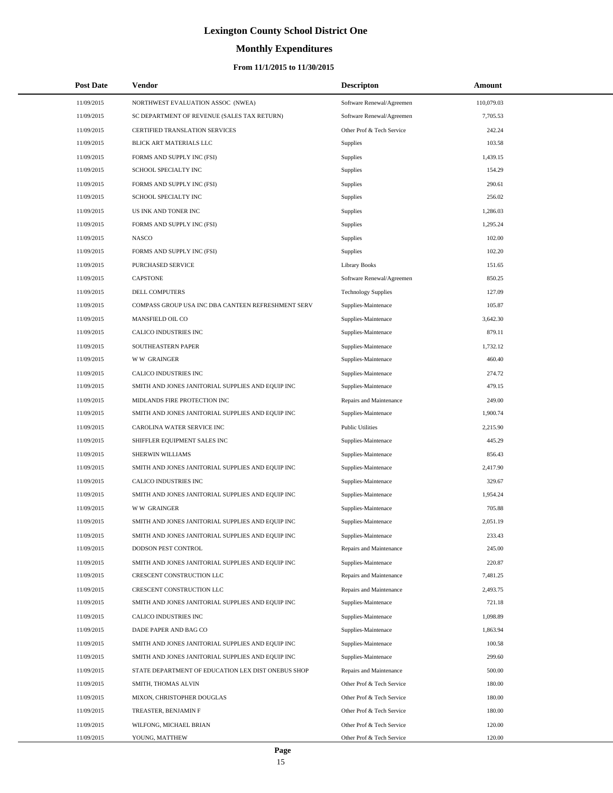# **Monthly Expenditures**

### **From 11/1/2015 to 11/30/2015**

| <b>Post Date</b> | <b>Vendor</b>                                      | <b>Descripton</b>          | Amount     |  |
|------------------|----------------------------------------------------|----------------------------|------------|--|
| 11/09/2015       | NORTHWEST EVALUATION ASSOC (NWEA)                  | Software Renewal/Agreemen  | 110,079.03 |  |
| 11/09/2015       | SC DEPARTMENT OF REVENUE (SALES TAX RETURN)        | Software Renewal/Agreemen  | 7,705.53   |  |
| 11/09/2015       | <b>CERTIFIED TRANSLATION SERVICES</b>              | Other Prof & Tech Service  | 242.24     |  |
| 11/09/2015       | BLICK ART MATERIALS LLC                            | Supplies                   | 103.58     |  |
| 11/09/2015       | FORMS AND SUPPLY INC (FSI)                         | Supplies                   | 1,439.15   |  |
| 11/09/2015       | SCHOOL SPECIALTY INC                               | Supplies                   | 154.29     |  |
| 11/09/2015       | FORMS AND SUPPLY INC (FSI)                         | Supplies                   | 290.61     |  |
| 11/09/2015       | SCHOOL SPECIALTY INC                               | <b>Supplies</b>            | 256.02     |  |
| 11/09/2015       | US INK AND TONER INC                               | Supplies                   | 1,286.03   |  |
| 11/09/2015       | FORMS AND SUPPLY INC (FSI)                         | Supplies                   | 1,295.24   |  |
| 11/09/2015       | <b>NASCO</b>                                       | Supplies                   | 102.00     |  |
| 11/09/2015       | FORMS AND SUPPLY INC (FSI)                         | <b>Supplies</b>            | 102.20     |  |
| 11/09/2015       | PURCHASED SERVICE                                  | <b>Library Books</b>       | 151.65     |  |
| 11/09/2015       | <b>CAPSTONE</b>                                    | Software Renewal/Agreemen  | 850.25     |  |
| 11/09/2015       | DELL COMPUTERS                                     | <b>Technology Supplies</b> | 127.09     |  |
| 11/09/2015       | COMPASS GROUP USA INC DBA CANTEEN REFRESHMENT SERV | Supplies-Maintenace        | 105.87     |  |
| 11/09/2015       | MANSFIELD OIL CO                                   | Supplies-Maintenace        | 3,642.30   |  |
| 11/09/2015       | CALICO INDUSTRIES INC                              | Supplies-Maintenace        | 879.11     |  |
| 11/09/2015       | SOUTHEASTERN PAPER                                 | Supplies-Maintenace        | 1,732.12   |  |
| 11/09/2015       | <b>WW GRAINGER</b>                                 | Supplies-Maintenace        | 460.40     |  |
| 11/09/2015       | CALICO INDUSTRIES INC                              | Supplies-Maintenace        | 274.72     |  |
| 11/09/2015       | SMITH AND JONES JANITORIAL SUPPLIES AND EQUIP INC  | Supplies-Maintenace        | 479.15     |  |
| 11/09/2015       | MIDLANDS FIRE PROTECTION INC                       | Repairs and Maintenance    | 249.00     |  |
| 11/09/2015       | SMITH AND JONES JANITORIAL SUPPLIES AND EQUIP INC  | Supplies-Maintenace        | 1,900.74   |  |
| 11/09/2015       | CAROLINA WATER SERVICE INC                         | <b>Public Utilities</b>    | 2,215.90   |  |
| 11/09/2015       | SHIFFLER EQUIPMENT SALES INC                       | Supplies-Maintenace        | 445.29     |  |
| 11/09/2015       | SHERWIN WILLIAMS                                   | Supplies-Maintenace        | 856.43     |  |
| 11/09/2015       | SMITH AND JONES JANITORIAL SUPPLIES AND EQUIP INC  | Supplies-Maintenace        | 2,417.90   |  |
| 11/09/2015       | CALICO INDUSTRIES INC                              | Supplies-Maintenace        | 329.67     |  |
| 11/09/2015       | SMITH AND JONES JANITORIAL SUPPLIES AND EQUIP INC  | Supplies-Maintenace        | 1,954.24   |  |
| 11/09/2015       | <b>WW GRAINGER</b>                                 | Supplies-Maintenace        | 705.88     |  |
| 11/09/2015       | SMITH AND JONES JANITORIAL SUPPLIES AND EQUIP INC  | Supplies-Maintenace        | 2,051.19   |  |
| 11/09/2015       | SMITH AND JONES JANITORIAL SUPPLIES AND EQUIP INC  | Supplies-Maintenace        | 233.43     |  |
| 11/09/2015       | DODSON PEST CONTROL                                | Repairs and Maintenance    | 245.00     |  |
| 11/09/2015       | SMITH AND JONES JANITORIAL SUPPLIES AND EQUIP INC  | Supplies-Maintenace        | 220.87     |  |
| 11/09/2015       | CRESCENT CONSTRUCTION LLC                          | Repairs and Maintenance    | 7,481.25   |  |
| 11/09/2015       | CRESCENT CONSTRUCTION LLC                          | Repairs and Maintenance    | 2,493.75   |  |
| 11/09/2015       | SMITH AND JONES JANITORIAL SUPPLIES AND EQUIP INC  | Supplies-Maintenace        | 721.18     |  |
| 11/09/2015       | CALICO INDUSTRIES INC                              | Supplies-Maintenace        | 1,098.89   |  |
| 11/09/2015       | DADE PAPER AND BAG CO                              | Supplies-Maintenace        | 1,863.94   |  |
| 11/09/2015       | SMITH AND JONES JANITORIAL SUPPLIES AND EQUIP INC  | Supplies-Maintenace        | 100.58     |  |
| 11/09/2015       | SMITH AND JONES JANITORIAL SUPPLIES AND EQUIP INC  | Supplies-Maintenace        | 299.60     |  |
| 11/09/2015       | STATE DEPARTMENT OF EDUCATION LEX DIST ONEBUS SHOP | Repairs and Maintenance    | 500.00     |  |
| 11/09/2015       | SMITH, THOMAS ALVIN                                | Other Prof & Tech Service  | 180.00     |  |
| 11/09/2015       | MIXON, CHRISTOPHER DOUGLAS                         | Other Prof & Tech Service  | 180.00     |  |
| 11/09/2015       | TREASTER, BENJAMIN F                               | Other Prof & Tech Service  | 180.00     |  |
| 11/09/2015       | WILFONG, MICHAEL BRIAN                             | Other Prof & Tech Service  | 120.00     |  |
| 11/09/2015       | YOUNG, MATTHEW                                     | Other Prof & Tech Service  | 120.00     |  |

÷.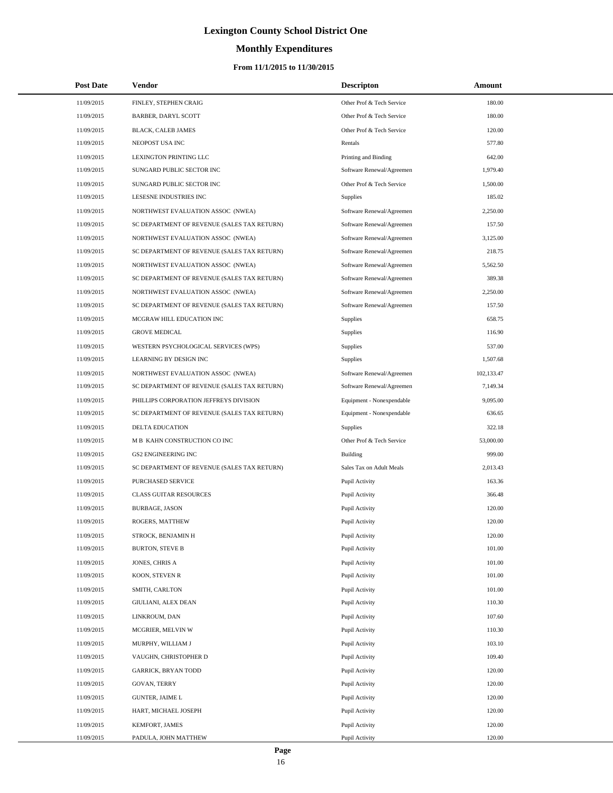# **Monthly Expenditures**

### **From 11/1/2015 to 11/30/2015**

| <b>Post Date</b> | Vendor                                      | <b>Descripton</b>         | Amount     |
|------------------|---------------------------------------------|---------------------------|------------|
| 11/09/2015       | FINLEY, STEPHEN CRAIG                       | Other Prof & Tech Service | 180.00     |
| 11/09/2015       | BARBER, DARYL SCOTT                         | Other Prof & Tech Service | 180.00     |
| 11/09/2015       | BLACK, CALEB JAMES                          | Other Prof & Tech Service | 120.00     |
| 11/09/2015       | NEOPOST USA INC                             | Rentals                   | 577.80     |
| 11/09/2015       | LEXINGTON PRINTING LLC                      | Printing and Binding      | 642.00     |
| 11/09/2015       | SUNGARD PUBLIC SECTOR INC                   | Software Renewal/Agreemen | 1,979.40   |
| 11/09/2015       | SUNGARD PUBLIC SECTOR INC                   | Other Prof & Tech Service | 1,500.00   |
| 11/09/2015       | LESESNE INDUSTRIES INC                      | Supplies                  | 185.02     |
| 11/09/2015       | NORTHWEST EVALUATION ASSOC (NWEA)           | Software Renewal/Agreemen | 2,250.00   |
| 11/09/2015       | SC DEPARTMENT OF REVENUE (SALES TAX RETURN) | Software Renewal/Agreemen | 157.50     |
| 11/09/2015       | NORTHWEST EVALUATION ASSOC (NWEA)           | Software Renewal/Agreemen | 3,125.00   |
| 11/09/2015       | SC DEPARTMENT OF REVENUE (SALES TAX RETURN) | Software Renewal/Agreemen | 218.75     |
| 11/09/2015       | NORTHWEST EVALUATION ASSOC (NWEA)           | Software Renewal/Agreemen | 5,562.50   |
| 11/09/2015       | SC DEPARTMENT OF REVENUE (SALES TAX RETURN) | Software Renewal/Agreemen | 389.38     |
| 11/09/2015       | NORTHWEST EVALUATION ASSOC (NWEA)           | Software Renewal/Agreemen | 2,250.00   |
| 11/09/2015       | SC DEPARTMENT OF REVENUE (SALES TAX RETURN) | Software Renewal/Agreemen | 157.50     |
| 11/09/2015       | MCGRAW HILL EDUCATION INC                   | Supplies                  | 658.75     |
| 11/09/2015       | <b>GROVE MEDICAL</b>                        | Supplies                  | 116.90     |
| 11/09/2015       | WESTERN PSYCHOLOGICAL SERVICES (WPS)        | Supplies                  | 537.00     |
| 11/09/2015       | LEARNING BY DESIGN INC                      | Supplies                  | 1.507.68   |
| 11/09/2015       | NORTHWEST EVALUATION ASSOC (NWEA)           | Software Renewal/Agreemen | 102,133.47 |
| 11/09/2015       | SC DEPARTMENT OF REVENUE (SALES TAX RETURN) | Software Renewal/Agreemen | 7,149.34   |
| 11/09/2015       | PHILLIPS CORPORATION JEFFREYS DIVISION      | Equipment - Nonexpendable | 9,095.00   |
| 11/09/2015       | SC DEPARTMENT OF REVENUE (SALES TAX RETURN) | Equipment - Nonexpendable | 636.65     |
| 11/09/2015       | <b>DELTA EDUCATION</b>                      | Supplies                  | 322.18     |
| 11/09/2015       | M B KAHN CONSTRUCTION CO INC                | Other Prof & Tech Service | 53,000.00  |
| 11/09/2015       | <b>GS2 ENGINEERING INC</b>                  | Building                  | 999.00     |
| 11/09/2015       | SC DEPARTMENT OF REVENUE (SALES TAX RETURN) | Sales Tax on Adult Meals  | 2,013.43   |
| 11/09/2015       | PURCHASED SERVICE                           | Pupil Activity            | 163.36     |
| 11/09/2015       | <b>CLASS GUITAR RESOURCES</b>               | Pupil Activity            | 366.48     |
| 11/09/2015       | <b>BURBAGE, JASON</b>                       | Pupil Activity            | 120.00     |
| 11/09/2015       | ROGERS, MATTHEW                             | Pupil Activity            | 120.00     |
| 11/09/2015       | STROCK, BENJAMIN H                          | Pupil Activity            | 120.00     |
| 11/09/2015       | <b>BURTON, STEVE B</b>                      | Pupil Activity            | 101.00     |
| 11/09/2015       | JONES, CHRIS A                              | Pupil Activity            | 101.00     |
| 11/09/2015       | KOON, STEVEN R                              | Pupil Activity            | 101.00     |
| 11/09/2015       | SMITH, CARLTON                              | Pupil Activity            | 101.00     |
| 11/09/2015       | GIULIANI, ALEX DEAN                         | Pupil Activity            | 110.30     |
| 11/09/2015       | LINKROUM, DAN                               | Pupil Activity            | 107.60     |
| 11/09/2015       | MCGRIER, MELVIN W                           | Pupil Activity            | 110.30     |
| 11/09/2015       | MURPHY, WILLIAM J                           | Pupil Activity            | 103.10     |
| 11/09/2015       | VAUGHN, CHRISTOPHER D                       | Pupil Activity            | 109.40     |
| 11/09/2015       | <b>GARRICK, BRYAN TODD</b>                  | Pupil Activity            | 120.00     |
| 11/09/2015       | GOVAN, TERRY                                | Pupil Activity            | 120.00     |
| 11/09/2015       | <b>GUNTER, JAIME L</b>                      | Pupil Activity            | 120.00     |
| 11/09/2015       | HART, MICHAEL JOSEPH                        | Pupil Activity            | 120.00     |
| 11/09/2015       | KEMFORT, JAMES                              | Pupil Activity            | 120.00     |
| 11/09/2015       | PADULA, JOHN MATTHEW                        | Pupil Activity            | 120.00     |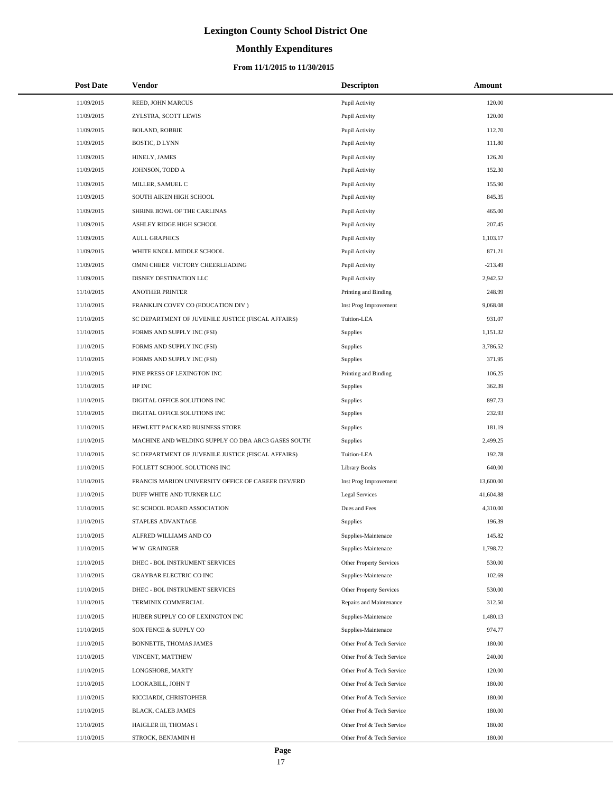# **Monthly Expenditures**

| Post Date  | <b>Vendor</b>                                      | <b>Descripton</b>         | Amount    |
|------------|----------------------------------------------------|---------------------------|-----------|
| 11/09/2015 | REED, JOHN MARCUS                                  | Pupil Activity            | 120.00    |
| 11/09/2015 | ZYLSTRA, SCOTT LEWIS                               | Pupil Activity            | 120.00    |
| 11/09/2015 | <b>BOLAND, ROBBIE</b>                              | Pupil Activity            | 112.70    |
| 11/09/2015 | <b>BOSTIC, D LYNN</b>                              | Pupil Activity            | 111.80    |
| 11/09/2015 | HINELY, JAMES                                      | Pupil Activity            | 126.20    |
| 11/09/2015 | JOHNSON, TODD A                                    | Pupil Activity            | 152.30    |
| 11/09/2015 | MILLER, SAMUEL C                                   | Pupil Activity            | 155.90    |
| 11/09/2015 | SOUTH AIKEN HIGH SCHOOL                            | Pupil Activity            | 845.35    |
| 11/09/2015 | SHRINE BOWL OF THE CARLINAS                        | Pupil Activity            | 465.00    |
| 11/09/2015 | ASHLEY RIDGE HIGH SCHOOL                           | Pupil Activity            | 207.45    |
| 11/09/2015 | <b>AULL GRAPHICS</b>                               | Pupil Activity            | 1,103.17  |
| 11/09/2015 | WHITE KNOLL MIDDLE SCHOOL                          | Pupil Activity            | 871.21    |
| 11/09/2015 | OMNI CHEER VICTORY CHEERLEADING                    | Pupil Activity            | $-213.49$ |
| 11/09/2015 | DISNEY DESTINATION LLC                             | Pupil Activity            | 2,942.52  |
| 11/10/2015 | <b>ANOTHER PRINTER</b>                             | Printing and Binding      | 248.99    |
| 11/10/2015 | FRANKLIN COVEY CO (EDUCATION DIV )                 | Inst Prog Improvement     | 9,068.08  |
| 11/10/2015 | SC DEPARTMENT OF JUVENILE JUSTICE (FISCAL AFFAIRS) | Tuition-LEA               | 931.07    |
| 11/10/2015 | FORMS AND SUPPLY INC (FSI)                         | Supplies                  | 1,151.32  |
| 11/10/2015 | FORMS AND SUPPLY INC (FSI)                         | Supplies                  | 3,786.52  |
| 11/10/2015 | FORMS AND SUPPLY INC (FSI)                         | Supplies                  | 371.95    |
| 11/10/2015 | PINE PRESS OF LEXINGTON INC                        | Printing and Binding      | 106.25    |
| 11/10/2015 | HP INC                                             | <b>Supplies</b>           | 362.39    |
| 11/10/2015 | DIGITAL OFFICE SOLUTIONS INC                       | Supplies                  | 897.73    |
| 11/10/2015 | DIGITAL OFFICE SOLUTIONS INC                       | Supplies                  | 232.93    |
| 11/10/2015 | HEWLETT PACKARD BUSINESS STORE                     | Supplies                  | 181.19    |
| 11/10/2015 | MACHINE AND WELDING SUPPLY CO DBA ARC3 GASES SOUTH | <b>Supplies</b>           | 2,499.25  |
| 11/10/2015 | SC DEPARTMENT OF JUVENILE JUSTICE (FISCAL AFFAIRS) | Tuition-LEA               | 192.78    |
| 11/10/2015 | FOLLETT SCHOOL SOLUTIONS INC                       | <b>Library Books</b>      | 640.00    |
| 11/10/2015 | FRANCIS MARION UNIVERSITY OFFICE OF CAREER DEV/ERD | Inst Prog Improvement     | 13,600.00 |
| 11/10/2015 | DUFF WHITE AND TURNER LLC                          | <b>Legal Services</b>     | 41,604.88 |
| 11/10/2015 | SC SCHOOL BOARD ASSOCIATION                        | Dues and Fees             | 4,310.00  |
| 11/10/2015 | STAPLES ADVANTAGE                                  | Supplies                  | 196.39    |
| 11/10/2015 | ALFRED WILLIAMS AND CO                             | Supplies-Maintenace       | 145.82    |
| 11/10/2015 | <b>WW GRAINGER</b>                                 | Supplies-Maintenace       | 1,798.72  |
| 11/10/2015 | DHEC - BOL INSTRUMENT SERVICES                     | Other Property Services   | 530.00    |
| 11/10/2015 | GRAYBAR ELECTRIC CO INC                            | Supplies-Maintenace       | 102.69    |
| 11/10/2015 | DHEC - BOL INSTRUMENT SERVICES                     | Other Property Services   | 530.00    |
| 11/10/2015 | TERMINIX COMMERCIAL                                | Repairs and Maintenance   | 312.50    |
| 11/10/2015 | HUBER SUPPLY CO OF LEXINGTON INC                   | Supplies-Maintenace       | 1,480.13  |
| 11/10/2015 | SOX FENCE & SUPPLY CO                              | Supplies-Maintenace       | 974.77    |
| 11/10/2015 | BONNETTE, THOMAS JAMES                             | Other Prof & Tech Service | 180.00    |
| 11/10/2015 | VINCENT, MATTHEW                                   | Other Prof & Tech Service | 240.00    |
| 11/10/2015 | LONGSHORE, MARTY                                   | Other Prof & Tech Service | 120.00    |
| 11/10/2015 | LOOKABILL, JOHN T                                  | Other Prof & Tech Service | 180.00    |
| 11/10/2015 | RICCIARDI, CHRISTOPHER                             | Other Prof & Tech Service | 180.00    |
| 11/10/2015 | BLACK, CALEB JAMES                                 | Other Prof & Tech Service | 180.00    |
| 11/10/2015 | HAIGLER III, THOMAS I                              | Other Prof & Tech Service | 180.00    |
| 11/10/2015 | STROCK, BENJAMIN H                                 | Other Prof & Tech Service | 180.00    |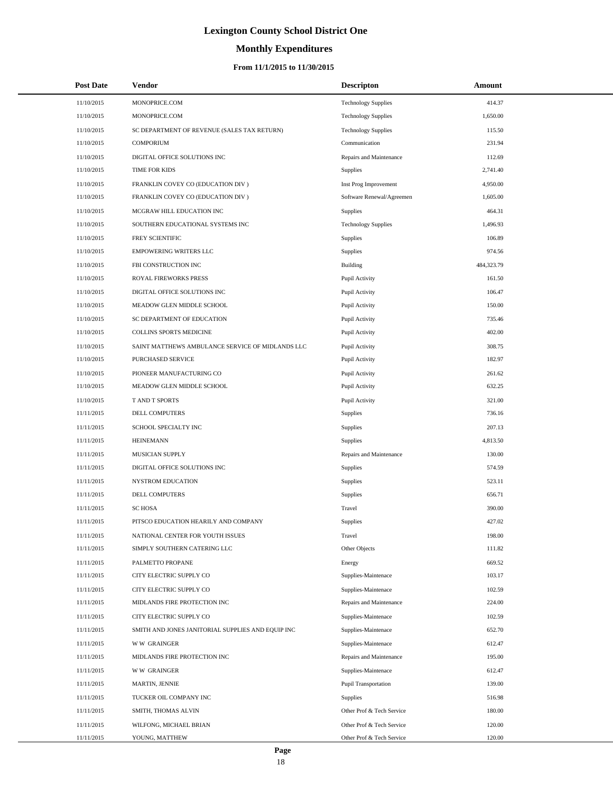# **Monthly Expenditures**

### **From 11/1/2015 to 11/30/2015**

| <b>Post Date</b> | Vendor                                            | <b>Descripton</b>          | Amount     |  |
|------------------|---------------------------------------------------|----------------------------|------------|--|
| 11/10/2015       | MONOPRICE.COM                                     | <b>Technology Supplies</b> | 414.37     |  |
| 11/10/2015       | MONOPRICE.COM                                     | <b>Technology Supplies</b> | 1,650.00   |  |
| 11/10/2015       | SC DEPARTMENT OF REVENUE (SALES TAX RETURN)       | <b>Technology Supplies</b> | 115.50     |  |
| 11/10/2015       | <b>COMPORIUM</b>                                  | Communication              | 231.94     |  |
| 11/10/2015       | DIGITAL OFFICE SOLUTIONS INC                      | Repairs and Maintenance    | 112.69     |  |
| 11/10/2015       | TIME FOR KIDS                                     | Supplies                   | 2,741.40   |  |
| 11/10/2015       | FRANKLIN COVEY CO (EDUCATION DIV)                 | Inst Prog Improvement      | 4,950.00   |  |
| 11/10/2015       | FRANKLIN COVEY CO (EDUCATION DIV)                 | Software Renewal/Agreemen  | 1,605.00   |  |
| 11/10/2015       | MCGRAW HILL EDUCATION INC                         | Supplies                   | 464.31     |  |
| 11/10/2015       | SOUTHERN EDUCATIONAL SYSTEMS INC                  | <b>Technology Supplies</b> | 1,496.93   |  |
| 11/10/2015       | FREY SCIENTIFIC                                   | Supplies                   | 106.89     |  |
| 11/10/2015       | <b>EMPOWERING WRITERS LLC</b>                     | Supplies                   | 974.56     |  |
| 11/10/2015       | FBI CONSTRUCTION INC                              | Building                   | 484,323.79 |  |
| 11/10/2015       | ROYAL FIREWORKS PRESS                             | Pupil Activity             | 161.50     |  |
| 11/10/2015       | DIGITAL OFFICE SOLUTIONS INC                      | Pupil Activity             | 106.47     |  |
| 11/10/2015       | MEADOW GLEN MIDDLE SCHOOL                         | Pupil Activity             | 150.00     |  |
| 11/10/2015       | SC DEPARTMENT OF EDUCATION                        | Pupil Activity             | 735.46     |  |
| 11/10/2015       | COLLINS SPORTS MEDICINE                           | Pupil Activity             | 402.00     |  |
| 11/10/2015       | SAINT MATTHEWS AMBULANCE SERVICE OF MIDLANDS LLC  | Pupil Activity             | 308.75     |  |
| 11/10/2015       | PURCHASED SERVICE                                 | Pupil Activity             | 182.97     |  |
| 11/10/2015       | PIONEER MANUFACTURING CO                          | Pupil Activity             | 261.62     |  |
| 11/10/2015       | MEADOW GLEN MIDDLE SCHOOL                         | Pupil Activity             | 632.25     |  |
| 11/10/2015       | <b>TAND T SPORTS</b>                              | Pupil Activity             | 321.00     |  |
| 11/11/2015       | DELL COMPUTERS                                    | Supplies                   | 736.16     |  |
| 11/11/2015       | SCHOOL SPECIALTY INC                              | Supplies                   | 207.13     |  |
| 11/11/2015       | <b>HEINEMANN</b>                                  | Supplies                   | 4,813.50   |  |
| 11/11/2015       | MUSICIAN SUPPLY                                   | Repairs and Maintenance    | 130.00     |  |
| 11/11/2015       | DIGITAL OFFICE SOLUTIONS INC                      | Supplies                   | 574.59     |  |
| 11/11/2015       | <b>NYSTROM EDUCATION</b>                          | Supplies                   | 523.11     |  |
| 11/11/2015       | DELL COMPUTERS                                    | Supplies                   | 656.71     |  |
| 11/11/2015       | <b>SC HOSA</b>                                    | Travel                     | 390.00     |  |
| 11/11/2015       | PITSCO EDUCATION HEARILY AND COMPANY              | Supplies                   | 427.02     |  |
| 11/11/2015       | NATIONAL CENTER FOR YOUTH ISSUES                  | Travel                     | 198.00     |  |
| 11/11/2015       | SIMPLY SOUTHERN CATERING LLC                      | Other Objects              | 111.82     |  |
| 11/11/2015       | PALMETTO PROPANE                                  | Energy                     | 669.52     |  |
| 11/11/2015       | CITY ELECTRIC SUPPLY CO                           | Supplies-Maintenace        | 103.17     |  |
| 11/11/2015       | CITY ELECTRIC SUPPLY CO                           | Supplies-Maintenace        | 102.59     |  |
| 11/11/2015       | MIDLANDS FIRE PROTECTION INC                      | Repairs and Maintenance    | 224.00     |  |
| 11/11/2015       | CITY ELECTRIC SUPPLY CO                           | Supplies-Maintenace        | 102.59     |  |
| 11/11/2015       | SMITH AND JONES JANITORIAL SUPPLIES AND EQUIP INC | Supplies-Maintenace        | 652.70     |  |
| 11/11/2015       | <b>WW GRAINGER</b>                                | Supplies-Maintenace        | 612.47     |  |
| 11/11/2015       | MIDLANDS FIRE PROTECTION INC                      | Repairs and Maintenance    | 195.00     |  |
| 11/11/2015       | <b>WW GRAINGER</b>                                | Supplies-Maintenace        | 612.47     |  |
| 11/11/2015       | MARTIN, JENNIE                                    | Pupil Transportation       | 139.00     |  |
| 11/11/2015       | TUCKER OIL COMPANY INC                            | Supplies                   | 516.98     |  |
| 11/11/2015       | SMITH, THOMAS ALVIN                               | Other Prof & Tech Service  | 180.00     |  |
| 11/11/2015       | WILFONG, MICHAEL BRIAN                            | Other Prof & Tech Service  | 120.00     |  |
| 11/11/2015       | YOUNG, MATTHEW                                    | Other Prof & Tech Service  | 120.00     |  |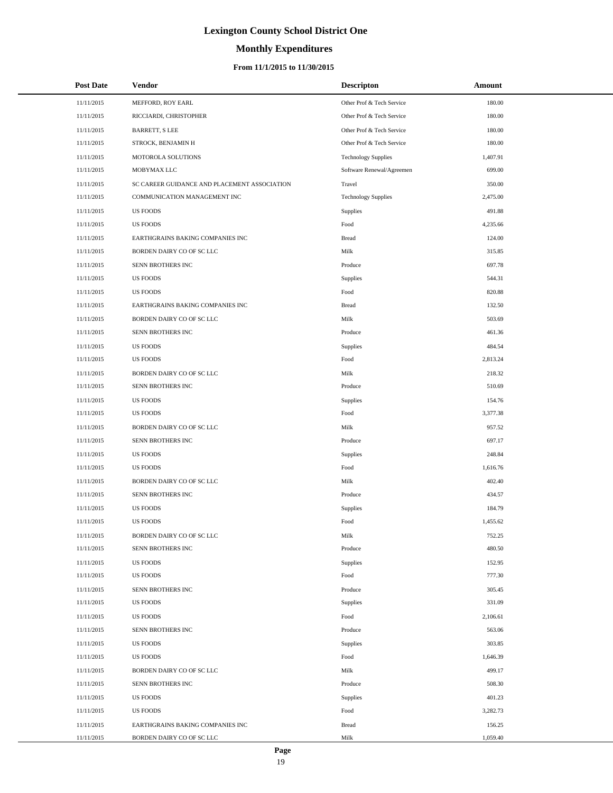# **Monthly Expenditures**

### **From 11/1/2015 to 11/30/2015**

| <b>Post Date</b> | Vendor                                       | <b>Descripton</b>          | Amount   |
|------------------|----------------------------------------------|----------------------------|----------|
| 11/11/2015       | MEFFORD, ROY EARL                            | Other Prof & Tech Service  | 180.00   |
| 11/11/2015       | RICCIARDI, CHRISTOPHER                       | Other Prof & Tech Service  | 180.00   |
| 11/11/2015       | BARRETT, S LEE                               | Other Prof & Tech Service  | 180.00   |
| 11/11/2015       | STROCK, BENJAMIN H                           | Other Prof & Tech Service  | 180.00   |
| 11/11/2015       | MOTOROLA SOLUTIONS                           | <b>Technology Supplies</b> | 1,407.91 |
| 11/11/2015       | MOBYMAX LLC                                  | Software Renewal/Agreemen  | 699.00   |
| 11/11/2015       | SC CAREER GUIDANCE AND PLACEMENT ASSOCIATION | Travel                     | 350.00   |
| 11/11/2015       | COMMUNICATION MANAGEMENT INC                 | <b>Technology Supplies</b> | 2,475.00 |
| 11/11/2015       | <b>US FOODS</b>                              | Supplies                   | 491.88   |
| 11/11/2015       | <b>US FOODS</b>                              | Food                       | 4,235.66 |
| 11/11/2015       | EARTHGRAINS BAKING COMPANIES INC             | <b>Bread</b>               | 124.00   |
| 11/11/2015       | BORDEN DAIRY CO OF SC LLC                    | Milk                       | 315.85   |
| 11/11/2015       | SENN BROTHERS INC                            | Produce                    | 697.78   |
| 11/11/2015       | <b>US FOODS</b>                              | Supplies                   | 544.31   |
| 11/11/2015       | <b>US FOODS</b>                              | Food                       | 820.88   |
| 11/11/2015       | EARTHGRAINS BAKING COMPANIES INC             | <b>Bread</b>               | 132.50   |
| 11/11/2015       | BORDEN DAIRY CO OF SC LLC                    | Milk                       | 503.69   |
| 11/11/2015       | SENN BROTHERS INC                            | Produce                    | 461.36   |
| 11/11/2015       | <b>US FOODS</b>                              | Supplies                   | 484.54   |
| 11/11/2015       | <b>US FOODS</b>                              | Food                       | 2,813.24 |
| 11/11/2015       | BORDEN DAIRY CO OF SC LLC                    | Milk                       | 218.32   |
| 11/11/2015       | SENN BROTHERS INC                            | Produce                    | 510.69   |
| 11/11/2015       | <b>US FOODS</b>                              | Supplies                   | 154.76   |
| 11/11/2015       | <b>US FOODS</b>                              | Food                       | 3,377.38 |
| 11/11/2015       | BORDEN DAIRY CO OF SC LLC                    | Milk                       | 957.52   |
| 11/11/2015       | SENN BROTHERS INC                            | Produce                    | 697.17   |
| 11/11/2015       | <b>US FOODS</b>                              | Supplies                   | 248.84   |
| 11/11/2015       | <b>US FOODS</b>                              | Food                       | 1,616.76 |
| 11/11/2015       | BORDEN DAIRY CO OF SC LLC                    | Milk                       | 402.40   |
| 11/11/2015       | SENN BROTHERS INC                            | Produce                    | 434.57   |
| 11/11/2015       | <b>US FOODS</b>                              | Supplies                   | 184.79   |
| 11/11/2015       | <b>US FOODS</b>                              | Food                       | 1,455.62 |
| 11/11/2015       | BORDEN DAIRY CO OF SC LLC                    | Milk                       | 752.25   |
| 11/11/2015       | SENN BROTHERS INC                            | Produce                    | 480.50   |
| 11/11/2015       | <b>US FOODS</b>                              | Supplies                   | 152.95   |
| 11/11/2015       | <b>US FOODS</b>                              | Food                       | 777.30   |
| 11/11/2015       | SENN BROTHERS INC                            | Produce                    | 305.45   |
| 11/11/2015       | US FOODS                                     | Supplies                   | 331.09   |
| 11/11/2015       | US FOODS                                     | Food                       | 2,106.61 |
| 11/11/2015       | SENN BROTHERS INC                            | Produce                    | 563.06   |
| 11/11/2015       | <b>US FOODS</b>                              | Supplies                   | 303.85   |
| 11/11/2015       | <b>US FOODS</b>                              | Food                       | 1,646.39 |
| 11/11/2015       | BORDEN DAIRY CO OF SC LLC                    | Milk                       | 499.17   |
| 11/11/2015       | SENN BROTHERS INC                            | Produce                    | 508.30   |
| 11/11/2015       | <b>US FOODS</b>                              | Supplies                   | 401.23   |
| 11/11/2015       | <b>US FOODS</b>                              | Food                       | 3,282.73 |
| 11/11/2015       | EARTHGRAINS BAKING COMPANIES INC             | <b>Bread</b>               | 156.25   |
| 11/11/2015       | BORDEN DAIRY CO OF SC LLC                    | Milk                       | 1,059.40 |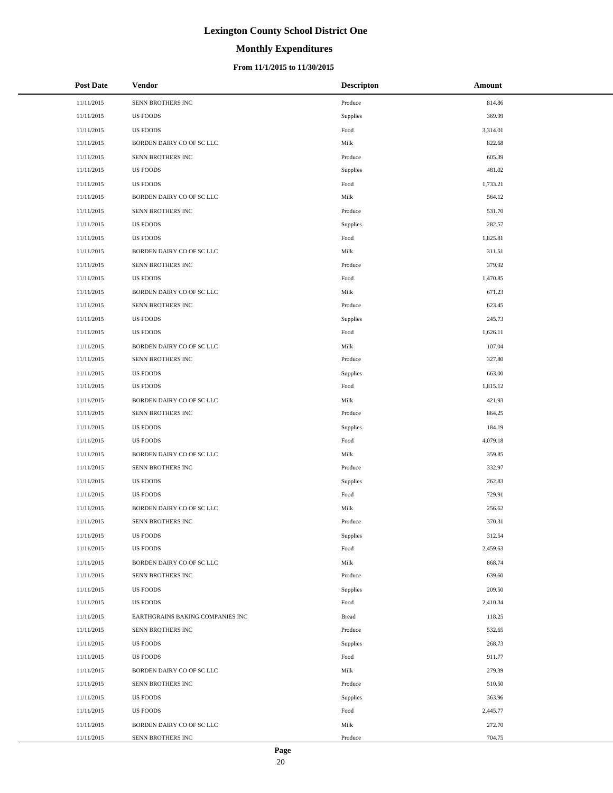# **Monthly Expenditures**

### **From 11/1/2015 to 11/30/2015**

| <b>Post Date</b> | Vendor                           | <b>Descripton</b> | Amount   |
|------------------|----------------------------------|-------------------|----------|
| 11/11/2015       | SENN BROTHERS INC                | Produce           | 814.86   |
| 11/11/2015       | <b>US FOODS</b>                  | Supplies          | 369.99   |
| 11/11/2015       | <b>US FOODS</b>                  | Food              | 3,314.01 |
| 11/11/2015       | BORDEN DAIRY CO OF SC LLC        | Milk              | 822.68   |
| 11/11/2015       | SENN BROTHERS INC                | Produce           | 605.39   |
| 11/11/2015       | <b>US FOODS</b>                  | Supplies          | 481.02   |
| 11/11/2015       | <b>US FOODS</b>                  | Food              | 1,733.21 |
| 11/11/2015       | BORDEN DAIRY CO OF SC LLC        | Milk              | 564.12   |
| 11/11/2015       | SENN BROTHERS INC                | Produce           | 531.70   |
| 11/11/2015       | <b>US FOODS</b>                  | Supplies          | 282.57   |
| 11/11/2015       | <b>US FOODS</b>                  | Food              | 1,825.81 |
| 11/11/2015       | BORDEN DAIRY CO OF SC LLC        | Milk              | 311.51   |
| 11/11/2015       | SENN BROTHERS INC                | Produce           | 379.92   |
| 11/11/2015       | <b>US FOODS</b>                  | Food              | 1,470.85 |
| 11/11/2015       | BORDEN DAIRY CO OF SC LLC        | Milk              | 671.23   |
| 11/11/2015       | SENN BROTHERS INC                | Produce           | 623.45   |
| 11/11/2015       | <b>US FOODS</b>                  | Supplies          | 245.73   |
| 11/11/2015       | <b>US FOODS</b>                  | Food              | 1,626.11 |
| 11/11/2015       | BORDEN DAIRY CO OF SC LLC        | Milk              | 107.04   |
| 11/11/2015       | SENN BROTHERS INC                | Produce           | 327.80   |
| 11/11/2015       | <b>US FOODS</b>                  | Supplies          | 663.00   |
| 11/11/2015       | <b>US FOODS</b>                  | Food              | 1,815.12 |
| 11/11/2015       | BORDEN DAIRY CO OF SC LLC        | Milk              | 421.93   |
| 11/11/2015       | SENN BROTHERS INC                | Produce           | 864.25   |
| 11/11/2015       | <b>US FOODS</b>                  | Supplies          | 184.19   |
| 11/11/2015       | <b>US FOODS</b>                  | Food              | 4,079.18 |
| 11/11/2015       | BORDEN DAIRY CO OF SC LLC        | Milk              | 359.85   |
| 11/11/2015       | SENN BROTHERS INC                | Produce           | 332.97   |
| 11/11/2015       | <b>US FOODS</b>                  | Supplies          | 262.83   |
| 11/11/2015       | <b>US FOODS</b>                  | Food              | 729.91   |
| 11/11/2015       | BORDEN DAIRY CO OF SC LLC        | Milk              | 256.62   |
| 11/11/2015       | SENN BROTHERS INC                | Produce           | 370.31   |
| 11/11/2015       | <b>US FOODS</b>                  | Supplies          | 312.54   |
| 11/11/2015       | <b>US FOODS</b>                  | Food              | 2,459.63 |
| 11/11/2015       | BORDEN DAIRY CO OF SC LLC        | Milk              | 868.74   |
| 11/11/2015       | SENN BROTHERS INC                | Produce           | 639.60   |
| 11/11/2015       | <b>US FOODS</b>                  | Supplies          | 209.50   |
| 11/11/2015       | <b>US FOODS</b>                  | Food              | 2,410.34 |
| 11/11/2015       | EARTHGRAINS BAKING COMPANIES INC | Bread             | 118.25   |
| 11/11/2015       | SENN BROTHERS INC                | Produce           | 532.65   |
| 11/11/2015       | <b>US FOODS</b>                  | Supplies          | 268.73   |
| 11/11/2015       | <b>US FOODS</b>                  | Food              | 911.77   |
| 11/11/2015       | BORDEN DAIRY CO OF SC LLC        | Milk              | 279.39   |
| 11/11/2015       | SENN BROTHERS INC                | Produce           | 510.50   |
| 11/11/2015       | <b>US FOODS</b>                  | Supplies          | 363.96   |
| 11/11/2015       | <b>US FOODS</b>                  | Food              | 2,445.77 |
| 11/11/2015       | BORDEN DAIRY CO OF SC LLC        | Milk              | 272.70   |
| 11/11/2015       | SENN BROTHERS INC                | Produce           | 704.75   |

 $\overline{a}$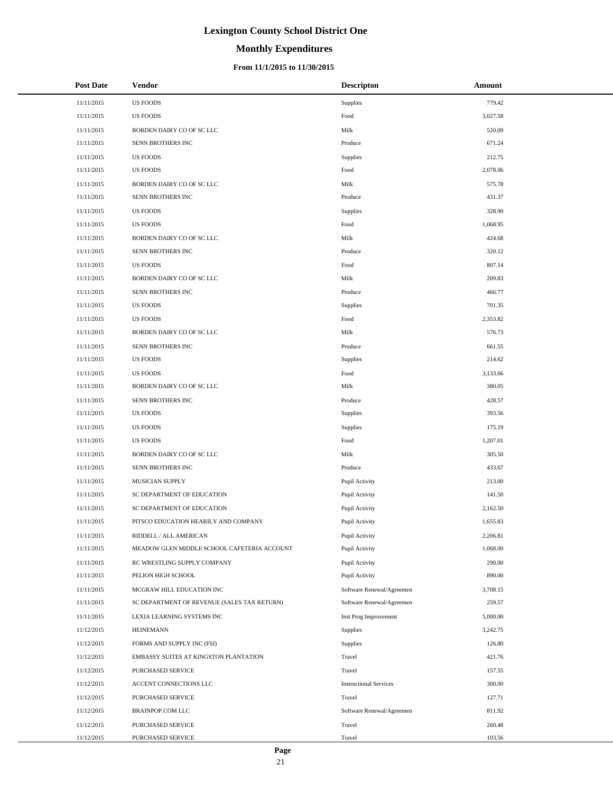# **Monthly Expenditures**

### **From 11/1/2015 to 11/30/2015**

| <b>Post Date</b> | <b>Vendor</b>                               | <b>Descripton</b>             | Amount   |
|------------------|---------------------------------------------|-------------------------------|----------|
| 11/11/2015       | <b>US FOODS</b>                             | Supplies                      | 779.42   |
| 11/11/2015       | <b>US FOODS</b>                             | Food                          | 3,027.58 |
| 11/11/2015       | BORDEN DAIRY CO OF SC LLC                   | Milk                          | 520.09   |
| 11/11/2015       | SENN BROTHERS INC                           | Produce                       | 671.24   |
| 11/11/2015       | <b>US FOODS</b>                             | Supplies                      | 212.75   |
| 11/11/2015       | <b>US FOODS</b>                             | Food                          | 2,078.06 |
| 11/11/2015       | BORDEN DAIRY CO OF SC LLC                   | Milk                          | 575.78   |
| 11/11/2015       | SENN BROTHERS INC                           | Produce                       | 431.37   |
| 11/11/2015       | US FOODS                                    | Supplies                      | 328.90   |
| 11/11/2015       | US FOODS                                    | Food                          | 1,068.95 |
| 11/11/2015       | BORDEN DAIRY CO OF SC LLC                   | Milk                          | 424.68   |
| 11/11/2015       | SENN BROTHERS INC                           | Produce                       | 320.12   |
| 11/11/2015       | <b>US FOODS</b>                             | Food                          | 807.14   |
| 11/11/2015       | BORDEN DAIRY CO OF SC LLC                   | Milk                          | 209.83   |
| 11/11/2015       | SENN BROTHERS INC                           | Produce                       | 466.77   |
| 11/11/2015       | US FOODS                                    | Supplies                      | 701.35   |
| 11/11/2015       | US FOODS                                    | Food                          | 2,353.82 |
| 11/11/2015       | BORDEN DAIRY CO OF SC LLC                   | Milk                          | 576.73   |
| 11/11/2015       | SENN BROTHERS INC                           | Produce                       | 661.55   |
| 11/11/2015       | <b>US FOODS</b>                             | Supplies                      | 214.62   |
| 11/11/2015       | US FOODS                                    | Food                          | 3,133.66 |
| 11/11/2015       | BORDEN DAIRY CO OF SC LLC                   | Milk                          | 380.05   |
| 11/11/2015       | SENN BROTHERS INC                           | Produce                       | 428.57   |
| 11/11/2015       | US FOODS                                    | Supplies                      | 393.56   |
| 11/11/2015       | US FOODS                                    | Supplies                      | 175.19   |
| 11/11/2015       | US FOODS                                    | Food                          | 1,207.01 |
| 11/11/2015       | BORDEN DAIRY CO OF SC LLC                   | Milk                          | 305.50   |
| 11/11/2015       | SENN BROTHERS INC                           | Produce                       | 433.67   |
| 11/11/2015       | MUSICIAN SUPPLY                             | Pupil Activity                | 213.00   |
| 11/11/2015       | SC DEPARTMENT OF EDUCATION                  | Pupil Activity                | 141.50   |
| 11/11/2015       | SC DEPARTMENT OF EDUCATION                  | Pupil Activity                | 2,162.50 |
| 11/11/2015       | PITSCO EDUCATION HEARILY AND COMPANY        | Pupil Activity                | 1,655.83 |
| 11/11/2015       | RIDDELL / ALL AMERICAN                      | Pupil Activity                | 2,206.81 |
| 11/11/2015       | MEADOW GLEN MIDDLE SCHOOL CAFETERIA ACCOUNT | Pupil Activity                | 1,068.00 |
| 11/11/2015       | RC WRESTLING SUPPLY COMPANY                 | Pupil Activity                | 290.00   |
| 11/11/2015       | PELION HIGH SCHOOL                          | Pupil Activity                | 890.00   |
| 11/11/2015       | MCGRAW HILL EDUCATION INC                   | Software Renewal/Agreemen     | 3,708.15 |
| 11/11/2015       | SC DEPARTMENT OF REVENUE (SALES TAX RETURN) | Software Renewal/Agreemen     | 259.57   |
| 11/11/2015       | LEXIA LEARNING SYSTEMS INC                  | Inst Prog Improvement         | 5,000.00 |
| 11/12/2015       | <b>HEINEMANN</b>                            | Supplies                      | 3,242.75 |
| 11/12/2015       | FORMS AND SUPPLY INC (FSI)                  | Supplies                      | 126.80   |
| 11/12/2015       | EMBASSY SUITES AT KINGSTON PLANTATION       | Travel                        | 421.76   |
| 11/12/2015       | PURCHASED SERVICE                           | Travel                        | 157.55   |
| 11/12/2015       | ACCENT CONNECTIONS LLC                      | <b>Instructional Services</b> | 300.00   |
| 11/12/2015       | PURCHASED SERVICE                           | Travel                        | 127.71   |
| 11/12/2015       | BRAINPOP.COM LLC                            | Software Renewal/Agreemen     | 811.92   |
| 11/12/2015       | PURCHASED SERVICE                           | Travel                        | 260.48   |
| 11/12/2015       | PURCHASED SERVICE                           | Travel                        | 103.56   |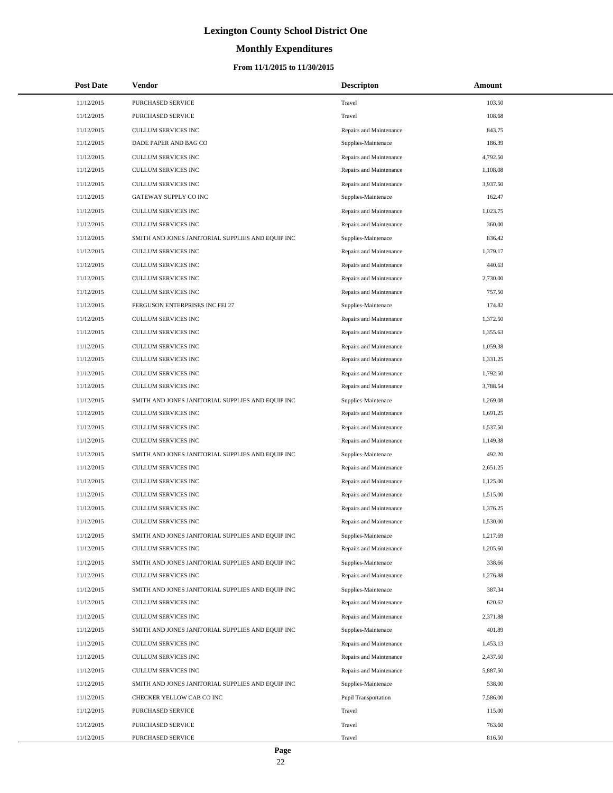# **Monthly Expenditures**

| <b>Post Date</b> | Vendor                                            | <b>Descripton</b>       | Amount   |
|------------------|---------------------------------------------------|-------------------------|----------|
| 11/12/2015       | PURCHASED SERVICE                                 | Travel                  | 103.50   |
| 11/12/2015       | <b>PURCHASED SERVICE</b>                          | Travel                  | 108.68   |
| 11/12/2015       | CULLUM SERVICES INC                               | Repairs and Maintenance | 843.75   |
| 11/12/2015       | DADE PAPER AND BAG CO                             | Supplies-Maintenace     | 186.39   |
| 11/12/2015       | CULLUM SERVICES INC                               | Repairs and Maintenance | 4,792.50 |
| 11/12/2015       | CULLUM SERVICES INC                               | Repairs and Maintenance | 1,108.08 |
| 11/12/2015       | <b>CULLUM SERVICES INC</b>                        | Repairs and Maintenance | 3,937.50 |
| 11/12/2015       | GATEWAY SUPPLY CO INC                             | Supplies-Maintenace     | 162.47   |
| 11/12/2015       | CULLUM SERVICES INC                               | Repairs and Maintenance | 1,023.75 |
| 11/12/2015       | CULLUM SERVICES INC                               | Repairs and Maintenance | 360.00   |
| 11/12/2015       | SMITH AND JONES JANITORIAL SUPPLIES AND EQUIP INC | Supplies-Maintenace     | 836.42   |
| 11/12/2015       | CULLUM SERVICES INC                               | Repairs and Maintenance | 1,379.17 |
| 11/12/2015       | CULLUM SERVICES INC                               | Repairs and Maintenance | 440.63   |
| 11/12/2015       | <b>CULLUM SERVICES INC</b>                        | Repairs and Maintenance | 2,730.00 |
| 11/12/2015       | CULLUM SERVICES INC                               | Repairs and Maintenance | 757.50   |
| 11/12/2015       | FERGUSON ENTERPRISES INC FEI 27                   | Supplies-Maintenace     | 174.82   |
| 11/12/2015       | CULLUM SERVICES INC                               | Repairs and Maintenance | 1,372.50 |
| 11/12/2015       | CULLUM SERVICES INC                               | Repairs and Maintenance | 1,355.63 |
| 11/12/2015       | CULLUM SERVICES INC                               | Repairs and Maintenance | 1,059.38 |
| 11/12/2015       | CULLUM SERVICES INC                               | Repairs and Maintenance | 1,331.25 |
| 11/12/2015       | CULLUM SERVICES INC                               | Repairs and Maintenance | 1,792.50 |
| 11/12/2015       | CULLUM SERVICES INC                               | Repairs and Maintenance | 3,788.54 |
| 11/12/2015       | SMITH AND JONES JANITORIAL SUPPLIES AND EQUIP INC | Supplies-Maintenace     | 1,269.08 |
| 11/12/2015       | CULLUM SERVICES INC                               | Repairs and Maintenance | 1,691.25 |
| 11/12/2015       | CULLUM SERVICES INC                               | Repairs and Maintenance | 1,537.50 |
| 11/12/2015       | CULLUM SERVICES INC                               | Repairs and Maintenance | 1,149.38 |
| 11/12/2015       | SMITH AND JONES JANITORIAL SUPPLIES AND EQUIP INC | Supplies-Maintenace     | 492.20   |
| 11/12/2015       | CULLUM SERVICES INC                               | Repairs and Maintenance | 2,651.25 |
| 11/12/2015       | CULLUM SERVICES INC                               | Repairs and Maintenance | 1,125.00 |
| 11/12/2015       | CULLUM SERVICES INC                               | Repairs and Maintenance | 1,515.00 |
| 11/12/2015       | CULLUM SERVICES INC                               | Repairs and Maintenance | 1,376.25 |
| 11/12/2015       | CULLUM SERVICES INC                               | Repairs and Maintenance | 1,530.00 |
| 11/12/2015       | SMITH AND JONES JANITORIAL SUPPLIES AND EQUIP INC | Supplies-Maintenace     | 1,217.69 |
| 11/12/2015       | CULLUM SERVICES INC                               | Repairs and Maintenance | 1,205.60 |
| 11/12/2015       | SMITH AND JONES JANITORIAL SUPPLIES AND EQUIP INC | Supplies-Maintenace     | 338.66   |
| 11/12/2015       | CULLUM SERVICES INC                               | Repairs and Maintenance | 1,276.88 |
| 11/12/2015       | SMITH AND JONES JANITORIAL SUPPLIES AND EQUIP INC | Supplies-Maintenace     | 387.34   |
| 11/12/2015       | CULLUM SERVICES INC                               | Repairs and Maintenance | 620.62   |
| 11/12/2015       | CULLUM SERVICES INC                               | Repairs and Maintenance | 2,371.88 |
| 11/12/2015       | SMITH AND JONES JANITORIAL SUPPLIES AND EQUIP INC | Supplies-Maintenace     | 401.89   |
| 11/12/2015       | CULLUM SERVICES INC                               | Repairs and Maintenance | 1,453.13 |
| 11/12/2015       | <b>CULLUM SERVICES INC</b>                        | Repairs and Maintenance | 2,437.50 |
| 11/12/2015       | CULLUM SERVICES INC                               | Repairs and Maintenance | 5,887.50 |
| 11/12/2015       | SMITH AND JONES JANITORIAL SUPPLIES AND EQUIP INC | Supplies-Maintenace     | 538.00   |
| 11/12/2015       | CHECKER YELLOW CAB CO INC                         | Pupil Transportation    | 7,586.00 |
| 11/12/2015       | PURCHASED SERVICE                                 | Travel                  | 115.00   |
| 11/12/2015       | PURCHASED SERVICE                                 | Travel                  | 763.60   |
| 11/12/2015       | PURCHASED SERVICE                                 | Travel                  | 816.50   |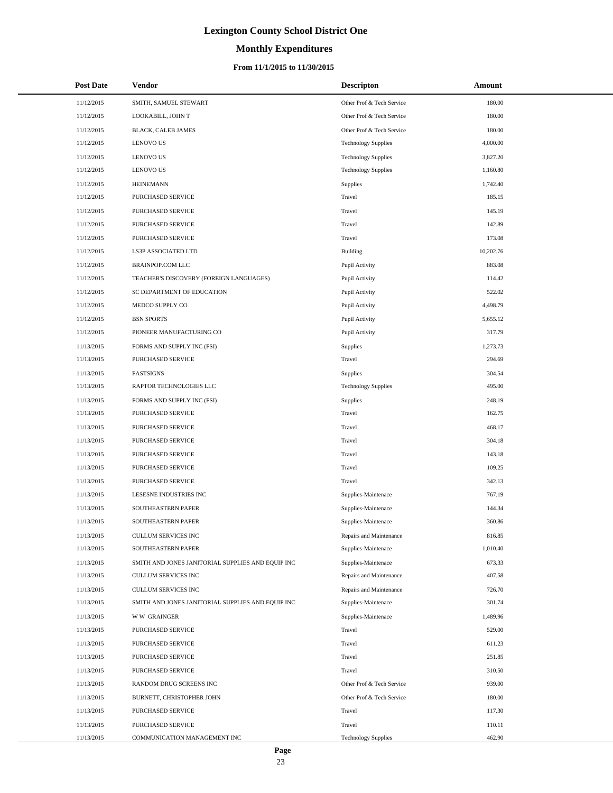# **Monthly Expenditures**

### **From 11/1/2015 to 11/30/2015**

| <b>Post Date</b> | Vendor                                            | <b>Descripton</b>          | Amount    |
|------------------|---------------------------------------------------|----------------------------|-----------|
| 11/12/2015       | SMITH, SAMUEL STEWART                             | Other Prof & Tech Service  | 180.00    |
| 11/12/2015       | LOOKABILL, JOHN T                                 | Other Prof & Tech Service  | 180.00    |
| 11/12/2015       | BLACK, CALEB JAMES                                | Other Prof & Tech Service  | 180.00    |
| 11/12/2015       | <b>LENOVO US</b>                                  | <b>Technology Supplies</b> | 4,000.00  |
| 11/12/2015       | <b>LENOVO US</b>                                  | <b>Technology Supplies</b> | 3,827.20  |
| 11/12/2015       | <b>LENOVO US</b>                                  | <b>Technology Supplies</b> | 1,160.80  |
| 11/12/2015       | <b>HEINEMANN</b>                                  | <b>Supplies</b>            | 1,742.40  |
| 11/12/2015       | PURCHASED SERVICE                                 | Travel                     | 185.15    |
| 11/12/2015       | PURCHASED SERVICE                                 | Travel                     | 145.19    |
| 11/12/2015       | PURCHASED SERVICE                                 | Travel                     | 142.89    |
| 11/12/2015       | PURCHASED SERVICE                                 | Travel                     | 173.08    |
| 11/12/2015       | LS3P ASSOCIATED LTD                               | <b>Building</b>            | 10,202.76 |
| 11/12/2015       | BRAINPOP.COM LLC                                  | Pupil Activity             | 883.08    |
| 11/12/2015       | TEACHER'S DISCOVERY (FOREIGN LANGUAGES)           | Pupil Activity             | 114.42    |
| 11/12/2015       | SC DEPARTMENT OF EDUCATION                        | Pupil Activity             | 522.02    |
| 11/12/2015       | MEDCO SUPPLY CO                                   | Pupil Activity             | 4,498.79  |
| 11/12/2015       | <b>BSN SPORTS</b>                                 | Pupil Activity             | 5,655.12  |
| 11/12/2015       | PIONEER MANUFACTURING CO                          | Pupil Activity             | 317.79    |
| 11/13/2015       | FORMS AND SUPPLY INC (FSI)                        | Supplies                   | 1,273.73  |
| 11/13/2015       | PURCHASED SERVICE                                 | Travel                     | 294.69    |
| 11/13/2015       | <b>FASTSIGNS</b>                                  | Supplies                   | 304.54    |
| 11/13/2015       | RAPTOR TECHNOLOGIES LLC                           | <b>Technology Supplies</b> | 495.00    |
| 11/13/2015       | FORMS AND SUPPLY INC (FSI)                        | Supplies                   | 248.19    |
| 11/13/2015       | PURCHASED SERVICE                                 | Travel                     | 162.75    |
| 11/13/2015       | PURCHASED SERVICE                                 | Travel                     | 468.17    |
| 11/13/2015       | PURCHASED SERVICE                                 | Travel                     | 304.18    |
| 11/13/2015       | PURCHASED SERVICE                                 | Travel                     | 143.18    |
| 11/13/2015       | PURCHASED SERVICE                                 | Travel                     | 109.25    |
| 11/13/2015       | PURCHASED SERVICE                                 | Travel                     | 342.13    |
| 11/13/2015       | LESESNE INDUSTRIES INC                            | Supplies-Maintenace        | 767.19    |
| 11/13/2015       | SOUTHEASTERN PAPER                                | Supplies-Maintenace        | 144.34    |
| 11/13/2015       | SOUTHEASTERN PAPER                                | Supplies-Maintenace        | 360.86    |
| 11/13/2015       | CULLUM SERVICES INC                               | Repairs and Maintenance    | 816.85    |
| 11/13/2015       | SOUTHEASTERN PAPER                                | Supplies-Maintenace        | 1,010.40  |
| 11/13/2015       | SMITH AND JONES JANITORIAL SUPPLIES AND EQUIP INC | Supplies-Maintenace        | 673.33    |
| 11/13/2015       | CULLUM SERVICES INC                               | Repairs and Maintenance    | 407.58    |
| 11/13/2015       | <b>CULLUM SERVICES INC</b>                        | Repairs and Maintenance    | 726.70    |
| 11/13/2015       | SMITH AND JONES JANITORIAL SUPPLIES AND EQUIP INC | Supplies-Maintenace        | 301.74    |
| 11/13/2015       | <b>WW GRAINGER</b>                                | Supplies-Maintenace        | 1,489.96  |
| 11/13/2015       | PURCHASED SERVICE                                 | Travel                     | 529.00    |
| 11/13/2015       | PURCHASED SERVICE                                 | Travel                     | 611.23    |
| 11/13/2015       | PURCHASED SERVICE                                 | Travel                     | 251.85    |
| 11/13/2015       | PURCHASED SERVICE                                 | Travel                     | 310.50    |
| 11/13/2015       | RANDOM DRUG SCREENS INC                           | Other Prof & Tech Service  | 939.00    |
| 11/13/2015       | BURNETT, CHRISTOPHER JOHN                         | Other Prof & Tech Service  | 180.00    |
| 11/13/2015       | PURCHASED SERVICE                                 | Travel                     | 117.30    |
| 11/13/2015       | PURCHASED SERVICE                                 | Travel                     | 110.11    |
| 11/13/2015       | COMMUNICATION MANAGEMENT INC                      | <b>Technology Supplies</b> | 462.90    |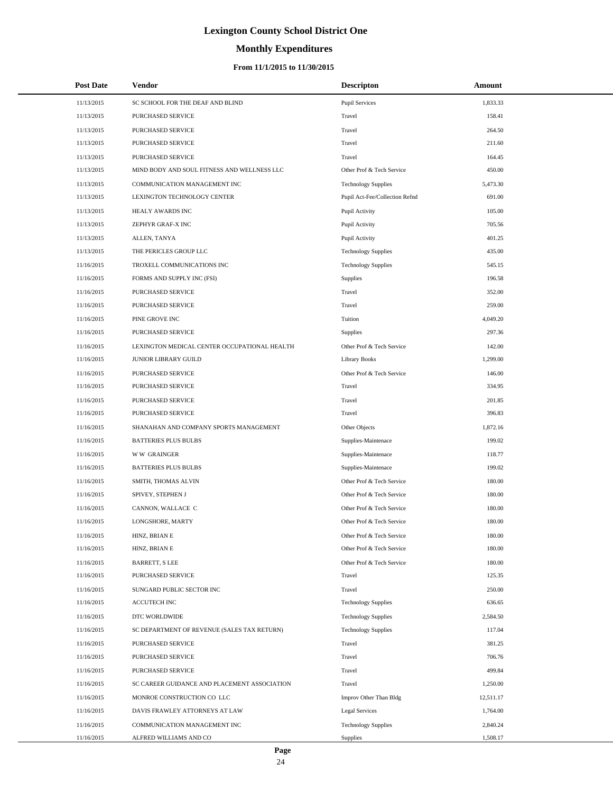# **Monthly Expenditures**

### **From 11/1/2015 to 11/30/2015**

| <b>Post Date</b> | Vendor                                       | <b>Descripton</b>              | Amount    |
|------------------|----------------------------------------------|--------------------------------|-----------|
| 11/13/2015       | SC SCHOOL FOR THE DEAF AND BLIND             | <b>Pupil Services</b>          | 1,833.33  |
| 11/13/2015       | PURCHASED SERVICE                            | Travel                         | 158.41    |
| 11/13/2015       | <b>PURCHASED SERVICE</b>                     | Travel                         | 264.50    |
| 11/13/2015       | PURCHASED SERVICE                            | Travel                         | 211.60    |
| 11/13/2015       | PURCHASED SERVICE                            | Travel                         | 164.45    |
| 11/13/2015       | MIND BODY AND SOUL FITNESS AND WELLNESS LLC  | Other Prof & Tech Service      | 450.00    |
| 11/13/2015       | COMMUNICATION MANAGEMENT INC                 | <b>Technology Supplies</b>     | 5,473.30  |
| 11/13/2015       | LEXINGTON TECHNOLOGY CENTER                  | Pupil Act-Fee/Collection Refnd | 691.00    |
| 11/13/2015       | HEALY AWARDS INC                             | Pupil Activity                 | 105.00    |
| 11/13/2015       | ZEPHYR GRAF-X INC                            | Pupil Activity                 | 705.56    |
| 11/13/2015       | ALLEN, TANYA                                 | Pupil Activity                 | 401.25    |
| 11/13/2015       | THE PERICLES GROUP LLC                       | <b>Technology Supplies</b>     | 435.00    |
| 11/16/2015       | TROXELL COMMUNICATIONS INC                   | <b>Technology Supplies</b>     | 545.15    |
| 11/16/2015       | FORMS AND SUPPLY INC (FSI)                   | Supplies                       | 196.58    |
| 11/16/2015       | PURCHASED SERVICE                            | Travel                         | 352.00    |
| 11/16/2015       | PURCHASED SERVICE                            | Travel                         | 259.00    |
| 11/16/2015       | PINE GROVE INC                               | Tuition                        | 4,049.20  |
| 11/16/2015       | PURCHASED SERVICE                            | <b>Supplies</b>                | 297.36    |
| 11/16/2015       | LEXINGTON MEDICAL CENTER OCCUPATIONAL HEALTH | Other Prof & Tech Service      | 142.00    |
| 11/16/2015       | JUNIOR LIBRARY GUILD                         | <b>Library Books</b>           | 1,299.00  |
| 11/16/2015       | PURCHASED SERVICE                            | Other Prof & Tech Service      | 146.00    |
| 11/16/2015       | PURCHASED SERVICE                            | Travel                         | 334.95    |
| 11/16/2015       | PURCHASED SERVICE                            | Travel                         | 201.85    |
| 11/16/2015       | PURCHASED SERVICE                            | Travel                         | 396.83    |
| 11/16/2015       | SHANAHAN AND COMPANY SPORTS MANAGEMENT       | Other Objects                  | 1,872.16  |
| 11/16/2015       | <b>BATTERIES PLUS BULBS</b>                  | Supplies-Maintenace            | 199.02    |
| 11/16/2015       | <b>WW GRAINGER</b>                           | Supplies-Maintenace            | 118.77    |
| 11/16/2015       | <b>BATTERIES PLUS BULBS</b>                  | Supplies-Maintenace            | 199.02    |
| 11/16/2015       | SMITH, THOMAS ALVIN                          | Other Prof & Tech Service      | 180.00    |
| 11/16/2015       | SPIVEY, STEPHEN J                            | Other Prof & Tech Service      | 180.00    |
| 11/16/2015       | CANNON, WALLACE C                            | Other Prof & Tech Service      | 180.00    |
| 11/16/2015       | LONGSHORE, MARTY                             | Other Prof & Tech Service      | 180.00    |
| 11/16/2015       | HINZ, BRIAN E                                | Other Prof & Tech Service      | 180.00    |
| 11/16/2015       | HINZ, BRIAN E                                | Other Prof & Tech Service      | 180.00    |
| 11/16/2015       | <b>BARRETT, S LEE</b>                        | Other Prof & Tech Service      | 180.00    |
| 11/16/2015       | PURCHASED SERVICE                            | Travel                         | 125.35    |
| 11/16/2015       | SUNGARD PUBLIC SECTOR INC                    | Travel                         | 250.00    |
| 11/16/2015       | <b>ACCUTECH INC</b>                          | <b>Technology Supplies</b>     | 636.65    |
| 11/16/2015       | DTC WORLDWIDE                                | <b>Technology Supplies</b>     | 2,584.50  |
| 11/16/2015       | SC DEPARTMENT OF REVENUE (SALES TAX RETURN)  | <b>Technology Supplies</b>     | 117.04    |
| 11/16/2015       | PURCHASED SERVICE                            | Travel                         | 381.25    |
| 11/16/2015       | PURCHASED SERVICE                            | Travel                         | 706.76    |
| 11/16/2015       | PURCHASED SERVICE                            | Travel                         | 499.84    |
| 11/16/2015       | SC CAREER GUIDANCE AND PLACEMENT ASSOCIATION | Travel                         | 1,250.00  |
| 11/16/2015       | MONROE CONSTRUCTION CO LLC                   | Improv Other Than Bldg         | 12,511.17 |
| 11/16/2015       | DAVIS FRAWLEY ATTORNEYS AT LAW               | <b>Legal Services</b>          | 1,764.00  |
| 11/16/2015       | COMMUNICATION MANAGEMENT INC                 | <b>Technology Supplies</b>     | 2,840.24  |
| 11/16/2015       | ALFRED WILLIAMS AND CO                       | <b>Supplies</b>                | 1,508.17  |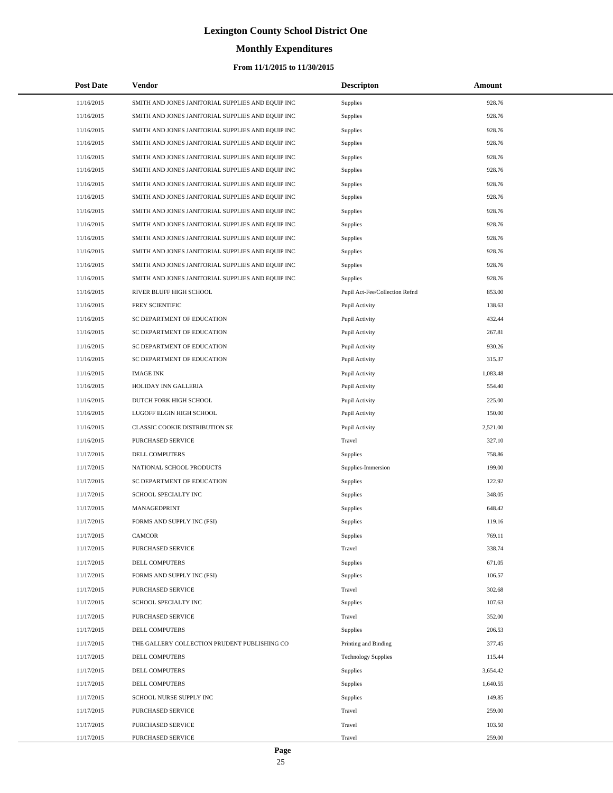# **Monthly Expenditures**

### **From 11/1/2015 to 11/30/2015**

| <b>Post Date</b> | Vendor                                            | <b>Descripton</b>              | Amount   |
|------------------|---------------------------------------------------|--------------------------------|----------|
| 11/16/2015       | SMITH AND JONES JANITORIAL SUPPLIES AND EQUIP INC | Supplies                       | 928.76   |
| 11/16/2015       | SMITH AND JONES JANITORIAL SUPPLIES AND EQUIP INC | Supplies                       | 928.76   |
| 11/16/2015       | SMITH AND JONES JANITORIAL SUPPLIES AND EQUIP INC | Supplies                       | 928.76   |
| 11/16/2015       | SMITH AND JONES JANITORIAL SUPPLIES AND EQUIP INC | Supplies                       | 928.76   |
| 11/16/2015       | SMITH AND JONES JANITORIAL SUPPLIES AND EQUIP INC | Supplies                       | 928.76   |
| 11/16/2015       | SMITH AND JONES JANITORIAL SUPPLIES AND EQUIP INC | <b>Supplies</b>                | 928.76   |
| 11/16/2015       | SMITH AND JONES JANITORIAL SUPPLIES AND EQUIP INC | Supplies                       | 928.76   |
| 11/16/2015       | SMITH AND JONES JANITORIAL SUPPLIES AND EQUIP INC | Supplies                       | 928.76   |
| 11/16/2015       | SMITH AND JONES JANITORIAL SUPPLIES AND EQUIP INC | Supplies                       | 928.76   |
| 11/16/2015       | SMITH AND JONES JANITORIAL SUPPLIES AND EQUIP INC | <b>Supplies</b>                | 928.76   |
| 11/16/2015       | SMITH AND JONES JANITORIAL SUPPLIES AND EQUIP INC | Supplies                       | 928.76   |
| 11/16/2015       | SMITH AND JONES JANITORIAL SUPPLIES AND EQUIP INC | Supplies                       | 928.76   |
| 11/16/2015       | SMITH AND JONES JANITORIAL SUPPLIES AND EQUIP INC | Supplies                       | 928.76   |
| 11/16/2015       | SMITH AND JONES JANITORIAL SUPPLIES AND EQUIP INC | <b>Supplies</b>                | 928.76   |
| 11/16/2015       | RIVER BLUFF HIGH SCHOOL                           | Pupil Act-Fee/Collection Refnd | 853.00   |
| 11/16/2015       | FREY SCIENTIFIC                                   | Pupil Activity                 | 138.63   |
| 11/16/2015       | SC DEPARTMENT OF EDUCATION                        | Pupil Activity                 | 432.44   |
| 11/16/2015       | SC DEPARTMENT OF EDUCATION                        | Pupil Activity                 | 267.81   |
| 11/16/2015       | SC DEPARTMENT OF EDUCATION                        | Pupil Activity                 | 930.26   |
| 11/16/2015       | SC DEPARTMENT OF EDUCATION                        | Pupil Activity                 | 315.37   |
| 11/16/2015       | <b>IMAGE INK</b>                                  | Pupil Activity                 | 1,083.48 |
| 11/16/2015       | HOLIDAY INN GALLERIA                              | Pupil Activity                 | 554.40   |
| 11/16/2015       | DUTCH FORK HIGH SCHOOL                            | Pupil Activity                 | 225.00   |
| 11/16/2015       | LUGOFF ELGIN HIGH SCHOOL                          | Pupil Activity                 | 150.00   |
| 11/16/2015       | CLASSIC COOKIE DISTRIBUTION SE                    | Pupil Activity                 | 2,521.00 |
| 11/16/2015       | PURCHASED SERVICE                                 | Travel                         | 327.10   |
| 11/17/2015       | DELL COMPUTERS                                    | Supplies                       | 758.86   |
| 11/17/2015       | NATIONAL SCHOOL PRODUCTS                          | Supplies-Immersion             | 199.00   |
| 11/17/2015       | SC DEPARTMENT OF EDUCATION                        | <b>Supplies</b>                | 122.92   |
| 11/17/2015       | SCHOOL SPECIALTY INC                              | <b>Supplies</b>                | 348.05   |
| 11/17/2015       | MANAGEDPRINT                                      | Supplies                       | 648.42   |
| 11/17/2015       | FORMS AND SUPPLY INC (FSI)                        | <b>Supplies</b>                | 119.16   |
| 11/17/2015       | <b>CAMCOR</b>                                     | Supplies                       | 769.11   |
| 11/17/2015       | PURCHASED SERVICE                                 | Travel                         | 338.74   |
| 11/17/2015       | DELL COMPUTERS                                    | Supplies                       | 671.05   |
| 11/17/2015       | FORMS AND SUPPLY INC (FSI)                        | <b>Supplies</b>                | 106.57   |
| 11/17/2015       | PURCHASED SERVICE                                 | Travel                         | 302.68   |
| 11/17/2015       | SCHOOL SPECIALTY INC                              | <b>Supplies</b>                | 107.63   |
| 11/17/2015       | PURCHASED SERVICE                                 | Travel                         | 352.00   |
| 11/17/2015       | DELL COMPUTERS                                    | <b>Supplies</b>                | 206.53   |
| 11/17/2015       | THE GALLERY COLLECTION PRUDENT PUBLISHING CO      | Printing and Binding           | 377.45   |
| 11/17/2015       | DELL COMPUTERS                                    | <b>Technology Supplies</b>     | 115.44   |
| 11/17/2015       | DELL COMPUTERS                                    | <b>Supplies</b>                | 3,654.42 |
| 11/17/2015       | DELL COMPUTERS                                    | <b>Supplies</b>                | 1,640.55 |
| 11/17/2015       | SCHOOL NURSE SUPPLY INC                           | Supplies                       | 149.85   |
| 11/17/2015       | PURCHASED SERVICE                                 | Travel                         | 259.00   |
| 11/17/2015       | PURCHASED SERVICE                                 | Travel                         | 103.50   |
| 11/17/2015       | PURCHASED SERVICE                                 | Travel                         | 259.00   |

÷.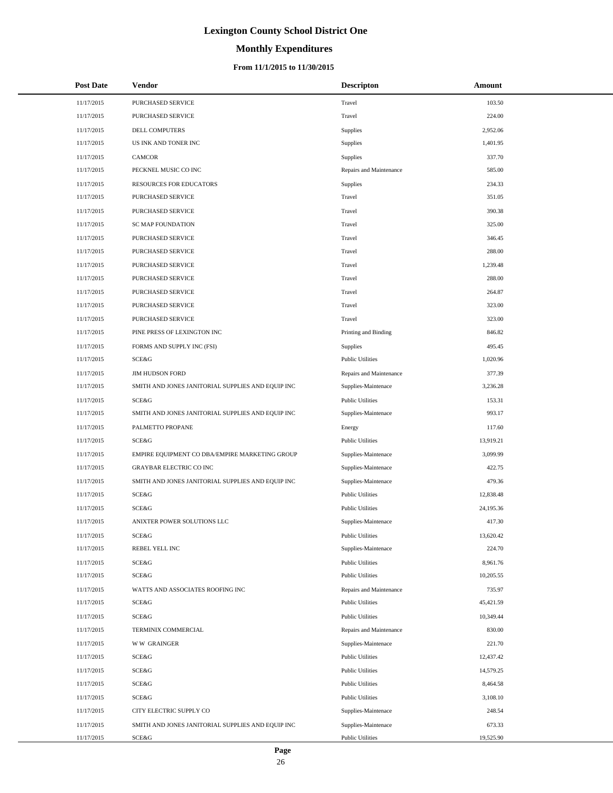# **Monthly Expenditures**

| <b>Post Date</b> | Vendor                                            | <b>Descripton</b>       | Amount    |
|------------------|---------------------------------------------------|-------------------------|-----------|
| 11/17/2015       | PURCHASED SERVICE                                 | Travel                  | 103.50    |
| 11/17/2015       | PURCHASED SERVICE                                 | Travel                  | 224.00    |
| 11/17/2015       | DELL COMPUTERS                                    | <b>Supplies</b>         | 2,952.06  |
| 11/17/2015       | US INK AND TONER INC                              | Supplies                | 1,401.95  |
| 11/17/2015       | <b>CAMCOR</b>                                     | <b>Supplies</b>         | 337.70    |
| 11/17/2015       | PECKNEL MUSIC CO INC                              | Repairs and Maintenance | 585.00    |
| 11/17/2015       | <b>RESOURCES FOR EDUCATORS</b>                    | <b>Supplies</b>         | 234.33    |
| 11/17/2015       | PURCHASED SERVICE                                 | Travel                  | 351.05    |
| 11/17/2015       | PURCHASED SERVICE                                 | Travel                  | 390.38    |
| 11/17/2015       | <b>SC MAP FOUNDATION</b>                          | Travel                  | 325.00    |
| 11/17/2015       | PURCHASED SERVICE                                 | Travel                  | 346.45    |
| 11/17/2015       | PURCHASED SERVICE                                 | Travel                  | 288.00    |
| 11/17/2015       | PURCHASED SERVICE                                 | Travel                  | 1,239.48  |
| 11/17/2015       | PURCHASED SERVICE                                 | Travel                  | 288.00    |
| 11/17/2015       | PURCHASED SERVICE                                 | Travel                  | 264.87    |
| 11/17/2015       | PURCHASED SERVICE                                 | Travel                  | 323.00    |
| 11/17/2015       | PURCHASED SERVICE                                 | Travel                  | 323.00    |
| 11/17/2015       | PINE PRESS OF LEXINGTON INC                       | Printing and Binding    | 846.82    |
| 11/17/2015       | FORMS AND SUPPLY INC (FSI)                        | <b>Supplies</b>         | 495.45    |
| 11/17/2015       | <b>SCE&amp;G</b>                                  | <b>Public Utilities</b> | 1,020.96  |
| 11/17/2015       | <b>JIM HUDSON FORD</b>                            | Repairs and Maintenance | 377.39    |
| 11/17/2015       | SMITH AND JONES JANITORIAL SUPPLIES AND EQUIP INC | Supplies-Maintenace     | 3,236.28  |
| 11/17/2015       | SCE&G                                             | <b>Public Utilities</b> | 153.31    |
| 11/17/2015       | SMITH AND JONES JANITORIAL SUPPLIES AND EQUIP INC | Supplies-Maintenace     | 993.17    |
| 11/17/2015       | PALMETTO PROPANE                                  | Energy                  | 117.60    |
| 11/17/2015       | <b>SCE&amp;G</b>                                  | <b>Public Utilities</b> | 13,919.21 |
| 11/17/2015       | EMPIRE EQUIPMENT CO DBA/EMPIRE MARKETING GROUP    | Supplies-Maintenace     | 3,099.99  |
| 11/17/2015       | <b>GRAYBAR ELECTRIC CO INC</b>                    | Supplies-Maintenace     | 422.75    |
| 11/17/2015       | SMITH AND JONES JANITORIAL SUPPLIES AND EQUIP INC | Supplies-Maintenace     | 479.36    |
| 11/17/2015       | SCE&G                                             | <b>Public Utilities</b> | 12,838.48 |
| 11/17/2015       | SCE&G                                             | <b>Public Utilities</b> | 24,195.36 |
| 11/17/2015       | ANIXTER POWER SOLUTIONS LLC                       | Supplies-Maintenace     | 417.30    |
| 11/17/2015       | SCE&G                                             | <b>Public Utilities</b> | 13,620.42 |
| 11/17/2015       | REBEL YELL INC                                    | Supplies-Maintenace     | 224.70    |
| 11/17/2015       | SCE&G                                             | <b>Public Utilities</b> | 8,961.76  |
| 11/17/2015       | SCE&G                                             | <b>Public Utilities</b> | 10,205.55 |
| 11/17/2015       | WATTS AND ASSOCIATES ROOFING INC                  | Repairs and Maintenance | 735.97    |
| 11/17/2015       | SCE&G                                             | <b>Public Utilities</b> | 45,421.59 |
| 11/17/2015       | SCE&G                                             | <b>Public Utilities</b> | 10,349.44 |
| 11/17/2015       | TERMINIX COMMERCIAL                               | Repairs and Maintenance | 830.00    |
| 11/17/2015       | <b>WW GRAINGER</b>                                | Supplies-Maintenace     | 221.70    |
| 11/17/2015       | SCE&G                                             | <b>Public Utilities</b> | 12,437.42 |
| 11/17/2015       | SCE&G                                             | <b>Public Utilities</b> | 14,579.25 |
| 11/17/2015       | SCE&G                                             | <b>Public Utilities</b> | 8,464.58  |
| 11/17/2015       | SCE&G                                             | <b>Public Utilities</b> | 3,108.10  |
| 11/17/2015       | CITY ELECTRIC SUPPLY CO                           | Supplies-Maintenace     | 248.54    |
| 11/17/2015       | SMITH AND JONES JANITORIAL SUPPLIES AND EQUIP INC | Supplies-Maintenace     | 673.33    |
| 11/17/2015       | SCE&G                                             | <b>Public Utilities</b> | 19,525.90 |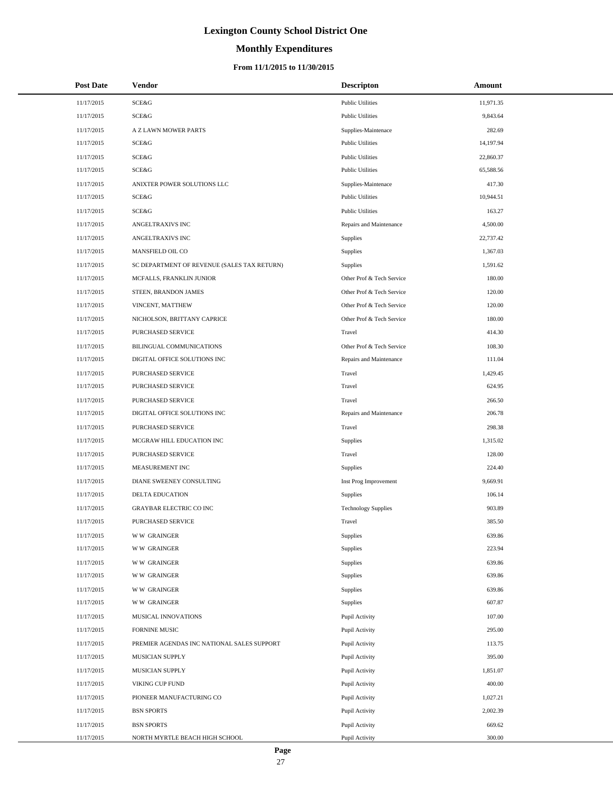# **Monthly Expenditures**

| <b>Post Date</b> | Vendor                                      | <b>Descripton</b>          | Amount    |
|------------------|---------------------------------------------|----------------------------|-----------|
| 11/17/2015       | SCE&G                                       | <b>Public Utilities</b>    | 11,971.35 |
| 11/17/2015       | SCE&G                                       | <b>Public Utilities</b>    | 9,843.64  |
| 11/17/2015       | A Z LAWN MOWER PARTS                        | Supplies-Maintenace        | 282.69    |
| 11/17/2015       | SCE&G                                       | <b>Public Utilities</b>    | 14,197.94 |
| 11/17/2015       | SCE&G                                       | <b>Public Utilities</b>    | 22,860.37 |
| 11/17/2015       | SCE&G                                       | <b>Public Utilities</b>    | 65,588.56 |
| 11/17/2015       | ANIXTER POWER SOLUTIONS LLC                 | Supplies-Maintenace        | 417.30    |
| 11/17/2015       | SCE&G                                       | <b>Public Utilities</b>    | 10,944.51 |
| 11/17/2015       | SCE&G                                       | <b>Public Utilities</b>    | 163.27    |
| 11/17/2015       | ANGELTRAXIVS INC                            | Repairs and Maintenance    | 4,500.00  |
| 11/17/2015       | ANGELTRAXIVS INC                            | Supplies                   | 22,737.42 |
| 11/17/2015       | MANSFIELD OIL CO                            | Supplies                   | 1,367.03  |
| 11/17/2015       | SC DEPARTMENT OF REVENUE (SALES TAX RETURN) | <b>Supplies</b>            | 1,591.62  |
| 11/17/2015       | MCFALLS, FRANKLIN JUNIOR                    | Other Prof & Tech Service  | 180.00    |
| 11/17/2015       | STEEN, BRANDON JAMES                        | Other Prof & Tech Service  | 120.00    |
| 11/17/2015       | VINCENT, MATTHEW                            | Other Prof & Tech Service  | 120.00    |
| 11/17/2015       | NICHOLSON, BRITTANY CAPRICE                 | Other Prof & Tech Service  | 180.00    |
| 11/17/2015       | PURCHASED SERVICE                           | Travel                     | 414.30    |
| 11/17/2015       | BILINGUAL COMMUNICATIONS                    | Other Prof & Tech Service  | 108.30    |
| 11/17/2015       | DIGITAL OFFICE SOLUTIONS INC                | Repairs and Maintenance    | 111.04    |
| 11/17/2015       | PURCHASED SERVICE                           | Travel                     | 1,429.45  |
| 11/17/2015       | PURCHASED SERVICE                           | Travel                     | 624.95    |
| 11/17/2015       | PURCHASED SERVICE                           | Travel                     | 266.50    |
| 11/17/2015       | DIGITAL OFFICE SOLUTIONS INC                | Repairs and Maintenance    | 206.78    |
| 11/17/2015       | PURCHASED SERVICE                           | Travel                     | 298.38    |
| 11/17/2015       | MCGRAW HILL EDUCATION INC                   | Supplies                   | 1,315.02  |
| 11/17/2015       | PURCHASED SERVICE                           | Travel                     | 128.00    |
| 11/17/2015       | MEASUREMENT INC                             | Supplies                   | 224.40    |
| 11/17/2015       | DIANE SWEENEY CONSULTING                    | Inst Prog Improvement      | 9,669.91  |
| 11/17/2015       | DELTA EDUCATION                             | Supplies                   | 106.14    |
| 11/17/2015       | <b>GRAYBAR ELECTRIC CO INC</b>              | <b>Technology Supplies</b> | 903.89    |
| 11/17/2015       | PURCHASED SERVICE                           | Travel                     | 385.50    |
| 11/17/2015       | <b>WW GRAINGER</b>                          | Supplies                   | 639.86    |
| 11/17/2015       | <b>WW GRAINGER</b>                          | Supplies                   | 223.94    |
| 11/17/2015       | <b>WW GRAINGER</b>                          | Supplies                   | 639.86    |
| 11/17/2015       | <b>WW GRAINGER</b>                          | Supplies                   | 639.86    |
| 11/17/2015       | <b>WW GRAINGER</b>                          | Supplies                   | 639.86    |
| 11/17/2015       | <b>WW GRAINGER</b>                          | Supplies                   | 607.87    |
| 11/17/2015       | <b>MUSICAL INNOVATIONS</b>                  | Pupil Activity             | 107.00    |
| 11/17/2015       | FORNINE MUSIC                               | Pupil Activity             | 295.00    |
| 11/17/2015       | PREMIER AGENDAS INC NATIONAL SALES SUPPORT  | Pupil Activity             | 113.75    |
| 11/17/2015       | MUSICIAN SUPPLY                             | Pupil Activity             | 395.00    |
| 11/17/2015       | MUSICIAN SUPPLY                             | Pupil Activity             | 1,851.07  |
| 11/17/2015       | VIKING CUP FUND                             | Pupil Activity             | 400.00    |
| 11/17/2015       | PIONEER MANUFACTURING CO                    | Pupil Activity             | 1,027.21  |
| 11/17/2015       | <b>BSN SPORTS</b>                           | Pupil Activity             | 2,002.39  |
| 11/17/2015       | <b>BSN SPORTS</b>                           | Pupil Activity             | 669.62    |
| 11/17/2015       | NORTH MYRTLE BEACH HIGH SCHOOL              | Pupil Activity             | 300.00    |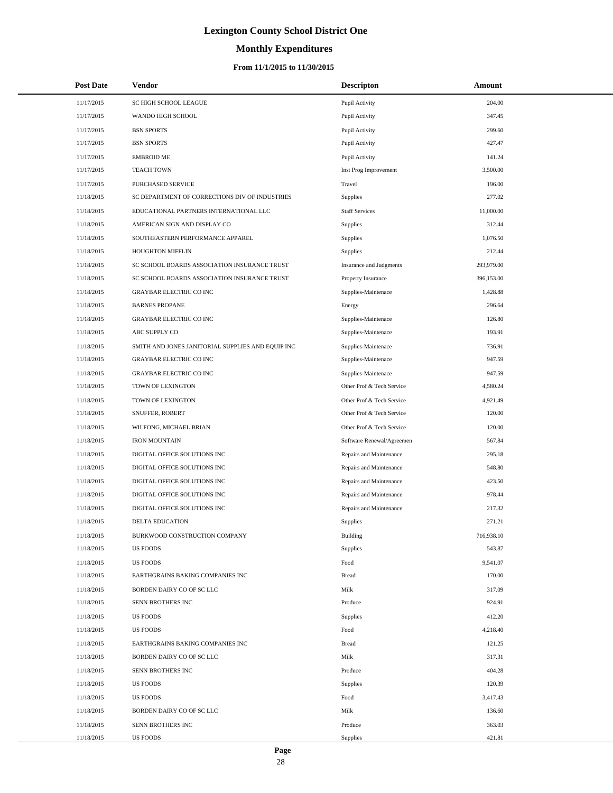# **Monthly Expenditures**

| <b>Post Date</b> | <b>Vendor</b>                                     | <b>Descripton</b>         | Amount     |
|------------------|---------------------------------------------------|---------------------------|------------|
| 11/17/2015       | SC HIGH SCHOOL LEAGUE                             | Pupil Activity            | 204.00     |
| 11/17/2015       | WANDO HIGH SCHOOL                                 | Pupil Activity            | 347.45     |
| 11/17/2015       | <b>BSN SPORTS</b>                                 | Pupil Activity            | 299.60     |
| 11/17/2015       | <b>BSN SPORTS</b>                                 | Pupil Activity            | 427.47     |
| 11/17/2015       | <b>EMBROID ME</b>                                 | Pupil Activity            | 141.24     |
| 11/17/2015       | <b>TEACH TOWN</b>                                 | Inst Prog Improvement     | 3,500.00   |
| 11/17/2015       | PURCHASED SERVICE                                 | Travel                    | 196.00     |
| 11/18/2015       | SC DEPARTMENT OF CORRECTIONS DIV OF INDUSTRIES    | Supplies                  | 277.02     |
| 11/18/2015       | EDUCATIONAL PARTNERS INTERNATIONAL LLC            | <b>Staff Services</b>     | 11,000.00  |
| 11/18/2015       | AMERICAN SIGN AND DISPLAY CO                      | Supplies                  | 312.44     |
| 11/18/2015       | SOUTHEASTERN PERFORMANCE APPAREL                  | Supplies                  | 1,076.50   |
| 11/18/2015       | HOUGHTON MIFFLIN                                  | Supplies                  | 212.44     |
| 11/18/2015       | SC SCHOOL BOARDS ASSOCIATION INSURANCE TRUST      | Insurance and Judgments   | 293,979.00 |
| 11/18/2015       | SC SCHOOL BOARDS ASSOCIATION INSURANCE TRUST      | Property Insurance        | 396,153.00 |
| 11/18/2015       | <b>GRAYBAR ELECTRIC CO INC</b>                    | Supplies-Maintenace       | 1,428.88   |
| 11/18/2015       | <b>BARNES PROPANE</b>                             | Energy                    | 296.64     |
| 11/18/2015       | <b>GRAYBAR ELECTRIC CO INC</b>                    | Supplies-Maintenace       | 126.80     |
| 11/18/2015       | ABC SUPPLY CO                                     | Supplies-Maintenace       | 193.91     |
| 11/18/2015       | SMITH AND JONES JANITORIAL SUPPLIES AND EQUIP INC | Supplies-Maintenace       | 736.91     |
| 11/18/2015       | <b>GRAYBAR ELECTRIC CO INC</b>                    | Supplies-Maintenace       | 947.59     |
| 11/18/2015       | <b>GRAYBAR ELECTRIC CO INC</b>                    | Supplies-Maintenace       | 947.59     |
| 11/18/2015       | TOWN OF LEXINGTON                                 | Other Prof & Tech Service | 4,580.24   |
| 11/18/2015       | TOWN OF LEXINGTON                                 | Other Prof & Tech Service | 4,921.49   |
| 11/18/2015       | SNUFFER, ROBERT                                   | Other Prof & Tech Service | 120.00     |
| 11/18/2015       | WILFONG, MICHAEL BRIAN                            | Other Prof & Tech Service | 120.00     |
| 11/18/2015       | <b>IRON MOUNTAIN</b>                              | Software Renewal/Agreemen | 567.84     |
| 11/18/2015       | DIGITAL OFFICE SOLUTIONS INC                      | Repairs and Maintenance   | 295.18     |
| 11/18/2015       | DIGITAL OFFICE SOLUTIONS INC                      | Repairs and Maintenance   | 548.80     |
| 11/18/2015       | DIGITAL OFFICE SOLUTIONS INC                      | Repairs and Maintenance   | 423.50     |
| 11/18/2015       | DIGITAL OFFICE SOLUTIONS INC                      | Repairs and Maintenance   | 978.44     |
| 11/18/2015       | DIGITAL OFFICE SOLUTIONS INC                      | Repairs and Maintenance   | 217.32     |
| 11/18/2015       | <b>DELTA EDUCATION</b>                            | Supplies                  | 271.21     |
| 11/18/2015       | BURKWOOD CONSTRUCTION COMPANY                     | Building                  | 716,938.10 |
| 11/18/2015       | <b>US FOODS</b>                                   | Supplies                  | 543.87     |
| 11/18/2015       | <b>US FOODS</b>                                   | Food                      | 9,541.07   |
| 11/18/2015       | EARTHGRAINS BAKING COMPANIES INC                  | <b>Bread</b>              | 170.00     |
| 11/18/2015       | BORDEN DAIRY CO OF SC LLC                         | Milk                      | 317.09     |
| 11/18/2015       | SENN BROTHERS INC                                 | Produce                   | 924.91     |
| 11/18/2015       | <b>US FOODS</b>                                   | Supplies                  | 412.20     |
| 11/18/2015       | <b>US FOODS</b>                                   | Food                      | 4,218.40   |
| 11/18/2015       | EARTHGRAINS BAKING COMPANIES INC                  | <b>Bread</b>              | 121.25     |
| 11/18/2015       | BORDEN DAIRY CO OF SC LLC                         | Milk                      | 317.31     |
| 11/18/2015       | SENN BROTHERS INC                                 | Produce                   | 404.28     |
| 11/18/2015       | <b>US FOODS</b>                                   | Supplies                  | 120.39     |
| 11/18/2015       | <b>US FOODS</b>                                   | Food                      | 3,417.43   |
| 11/18/2015       | BORDEN DAIRY CO OF SC LLC                         | Milk                      | 136.60     |
| 11/18/2015       | SENN BROTHERS INC                                 | Produce                   | 363.03     |
| 11/18/2015       | <b>US FOODS</b>                                   | Supplies                  | 421.81     |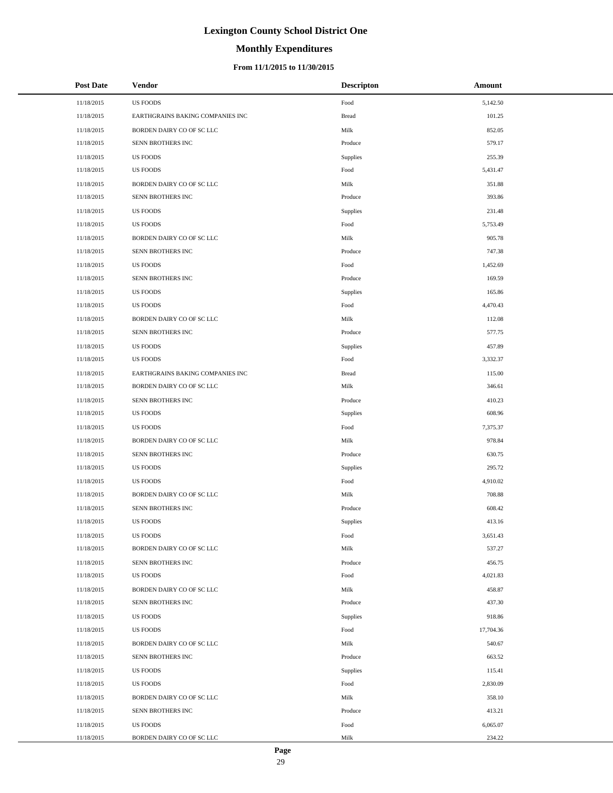# **Monthly Expenditures**

### **From 11/1/2015 to 11/30/2015**

| <b>Post Date</b> | <b>Vendor</b>                    | <b>Descripton</b> | Amount    |  |
|------------------|----------------------------------|-------------------|-----------|--|
| 11/18/2015       | <b>US FOODS</b>                  | Food              | 5,142.50  |  |
| 11/18/2015       | EARTHGRAINS BAKING COMPANIES INC | <b>Bread</b>      | 101.25    |  |
| 11/18/2015       | BORDEN DAIRY CO OF SC LLC        | Milk              | 852.05    |  |
| 11/18/2015       | SENN BROTHERS INC                | Produce           | 579.17    |  |
| 11/18/2015       | <b>US FOODS</b>                  | Supplies          | 255.39    |  |
| 11/18/2015       | <b>US FOODS</b>                  | Food              | 5,431.47  |  |
| 11/18/2015       | BORDEN DAIRY CO OF SC LLC        | Milk              | 351.88    |  |
| 11/18/2015       | SENN BROTHERS INC                | Produce           | 393.86    |  |
| 11/18/2015       | <b>US FOODS</b>                  | Supplies          | 231.48    |  |
| 11/18/2015       | <b>US FOODS</b>                  | Food              | 5,753.49  |  |
| 11/18/2015       | BORDEN DAIRY CO OF SC LLC        | Milk              | 905.78    |  |
| 11/18/2015       | SENN BROTHERS INC                | Produce           | 747.38    |  |
| 11/18/2015       | <b>US FOODS</b>                  | Food              | 1,452.69  |  |
| 11/18/2015       | SENN BROTHERS INC                | Produce           | 169.59    |  |
| 11/18/2015       | <b>US FOODS</b>                  | Supplies          | 165.86    |  |
| 11/18/2015       | <b>US FOODS</b>                  | Food              | 4,470.43  |  |
| 11/18/2015       | BORDEN DAIRY CO OF SC LLC        | Milk              | 112.08    |  |
| 11/18/2015       | SENN BROTHERS INC                | Produce           | 577.75    |  |
| 11/18/2015       | <b>US FOODS</b>                  | Supplies          | 457.89    |  |
| 11/18/2015       | <b>US FOODS</b>                  | Food              | 3,332.37  |  |
| 11/18/2015       | EARTHGRAINS BAKING COMPANIES INC | <b>Bread</b>      | 115.00    |  |
| 11/18/2015       | BORDEN DAIRY CO OF SC LLC        | Milk              | 346.61    |  |
| 11/18/2015       | SENN BROTHERS INC                | Produce           | 410.23    |  |
| 11/18/2015       | <b>US FOODS</b>                  | Supplies          | 608.96    |  |
| 11/18/2015       | <b>US FOODS</b>                  | Food              | 7,375.37  |  |
| 11/18/2015       | BORDEN DAIRY CO OF SC LLC        | Milk              | 978.84    |  |
| 11/18/2015       | SENN BROTHERS INC                | Produce           | 630.75    |  |
| 11/18/2015       | <b>US FOODS</b>                  | Supplies          | 295.72    |  |
| 11/18/2015       | <b>US FOODS</b>                  | Food              | 4,910.02  |  |
| 11/18/2015       | BORDEN DAIRY CO OF SC LLC        | Milk              | 708.88    |  |
| 11/18/2015       | SENN BROTHERS INC                | Produce           | 608.42    |  |
| 11/18/2015       | <b>US FOODS</b>                  | Supplies          | 413.16    |  |
| 11/18/2015       | US FOODS                         | Food              | 3,651.43  |  |
| 11/18/2015       | BORDEN DAIRY CO OF SC LLC        | Milk              | 537.27    |  |
| 11/18/2015       | SENN BROTHERS INC                | Produce           | 456.75    |  |
| 11/18/2015       | <b>US FOODS</b>                  | Food              | 4,021.83  |  |
| 11/18/2015       | BORDEN DAIRY CO OF SC LLC        | Milk              | 458.87    |  |
| 11/18/2015       | SENN BROTHERS INC                | Produce           | 437.30    |  |
| 11/18/2015       | US FOODS                         | Supplies          | 918.86    |  |
| 11/18/2015       | <b>US FOODS</b>                  | Food              | 17,704.36 |  |
| 11/18/2015       | BORDEN DAIRY CO OF SC LLC        | Milk              | 540.67    |  |
| 11/18/2015       | SENN BROTHERS INC                | Produce           | 663.52    |  |
| 11/18/2015       | US FOODS                         | Supplies          | 115.41    |  |
| 11/18/2015       | <b>US FOODS</b>                  | Food              | 2,830.09  |  |
| 11/18/2015       | BORDEN DAIRY CO OF SC LLC        | Milk              | 358.10    |  |
| 11/18/2015       | SENN BROTHERS INC                | Produce           | 413.21    |  |
| 11/18/2015       | <b>US FOODS</b>                  | Food              | 6,065.07  |  |
| 11/18/2015       | BORDEN DAIRY CO OF SC LLC        | Milk              | 234.22    |  |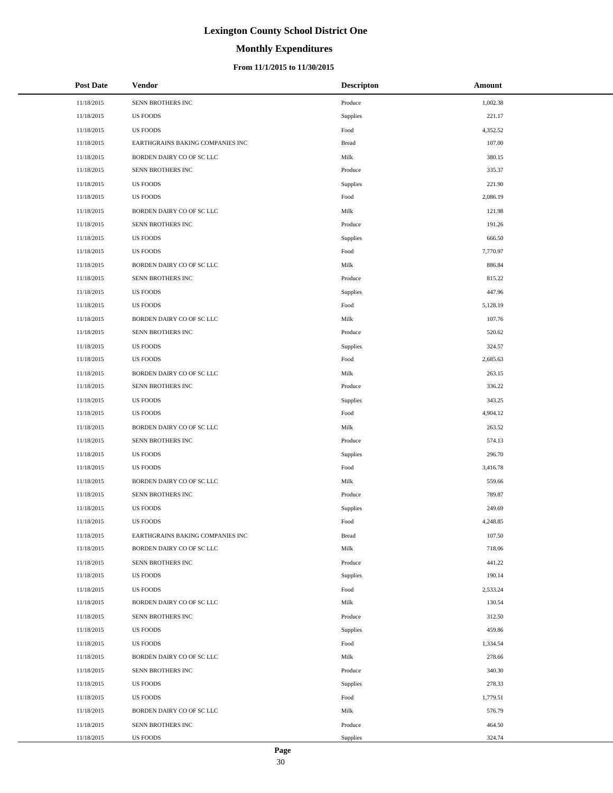# **Monthly Expenditures**

### **From 11/1/2015 to 11/30/2015**

| <b>Post Date</b> | <b>Vendor</b>                    | <b>Descripton</b> | Amount   |
|------------------|----------------------------------|-------------------|----------|
| 11/18/2015       | SENN BROTHERS INC                | Produce           | 1,002.38 |
| 11/18/2015       | <b>US FOODS</b>                  | Supplies          | 221.17   |
| 11/18/2015       | <b>US FOODS</b>                  | Food              | 4,352.52 |
| 11/18/2015       | EARTHGRAINS BAKING COMPANIES INC | <b>Bread</b>      | 107.00   |
| 11/18/2015       | BORDEN DAIRY CO OF SC LLC        | Milk              | 380.15   |
| 11/18/2015       | SENN BROTHERS INC                | Produce           | 335.37   |
| 11/18/2015       | <b>US FOODS</b>                  | Supplies          | 221.90   |
| 11/18/2015       | <b>US FOODS</b>                  | Food              | 2,086.19 |
| 11/18/2015       | BORDEN DAIRY CO OF SC LLC        | Milk              | 121.98   |
| 11/18/2015       | SENN BROTHERS INC                | Produce           | 191.26   |
| 11/18/2015       | US FOODS                         | Supplies          | 666.50   |
| 11/18/2015       | <b>US FOODS</b>                  | Food              | 7,770.97 |
| 11/18/2015       | BORDEN DAIRY CO OF SC LLC        | Milk              | 886.84   |
| 11/18/2015       | SENN BROTHERS INC                | Produce           | 815.22   |
| 11/18/2015       | <b>US FOODS</b>                  | Supplies          | 447.96   |
| 11/18/2015       | <b>US FOODS</b>                  | Food              | 5,128.19 |
| 11/18/2015       | BORDEN DAIRY CO OF SC LLC        | Milk              | 107.76   |
| 11/18/2015       | SENN BROTHERS INC                | Produce           | 520.62   |
| 11/18/2015       | <b>US FOODS</b>                  | Supplies          | 324.57   |
| 11/18/2015       | <b>US FOODS</b>                  | Food              | 2,685.63 |
| 11/18/2015       | BORDEN DAIRY CO OF SC LLC        | Milk              | 263.15   |
| 11/18/2015       | SENN BROTHERS INC                | Produce           | 336.22   |
| 11/18/2015       | <b>US FOODS</b>                  | Supplies          | 343.25   |
| 11/18/2015       | <b>US FOODS</b>                  | Food              | 4,904.12 |
| 11/18/2015       | BORDEN DAIRY CO OF SC LLC        | Milk              | 263.52   |
| 11/18/2015       | SENN BROTHERS INC                | Produce           | 574.13   |
| 11/18/2015       | US FOODS                         | Supplies          | 296.70   |
| 11/18/2015       | <b>US FOODS</b>                  | Food              | 3,416.78 |
| 11/18/2015       | BORDEN DAIRY CO OF SC LLC        | Milk              | 559.66   |
| 11/18/2015       | SENN BROTHERS INC                | Produce           | 789.87   |
| 11/18/2015       | <b>US FOODS</b>                  | Supplies          | 249.69   |
| 11/18/2015       | <b>US FOODS</b>                  | Food              | 4,248.85 |
| 11/18/2015       | EARTHGRAINS BAKING COMPANIES INC | <b>Bread</b>      | 107.50   |
| 11/18/2015       | BORDEN DAIRY CO OF SC LLC        | Milk              | 718.06   |
| 11/18/2015       | SENN BROTHERS INC                | Produce           | 441.22   |
| 11/18/2015       | <b>US FOODS</b>                  | Supplies          | 190.14   |
| 11/18/2015       | <b>US FOODS</b>                  | Food              | 2,533.24 |
| 11/18/2015       | BORDEN DAIRY CO OF SC LLC        | Milk              | 130.54   |
| 11/18/2015       | SENN BROTHERS INC                | Produce           | 312.50   |
| 11/18/2015       | <b>US FOODS</b>                  | Supplies          | 459.86   |
| 11/18/2015       | <b>US FOODS</b>                  | Food              | 1,334.54 |
| 11/18/2015       | BORDEN DAIRY CO OF SC LLC        | Milk              | 278.66   |
| 11/18/2015       | SENN BROTHERS INC                | Produce           | 340.30   |
| 11/18/2015       | <b>US FOODS</b>                  | Supplies          | 278.33   |
| 11/18/2015       | <b>US FOODS</b>                  | Food              | 1,779.51 |
| 11/18/2015       | BORDEN DAIRY CO OF SC LLC        | Milk              | 576.79   |
| 11/18/2015       | SENN BROTHERS INC                | Produce           | 464.50   |
| 11/18/2015       | US FOODS                         | Supplies          | 324.74   |

÷.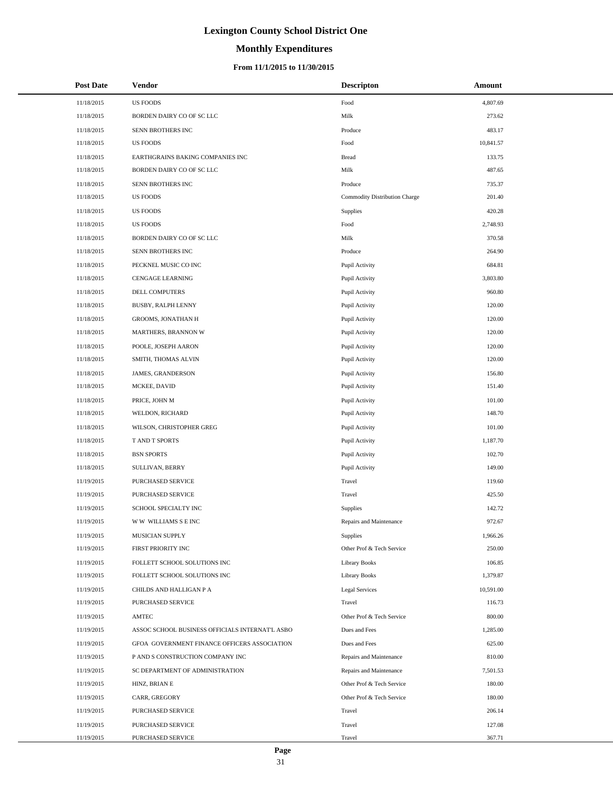# **Monthly Expenditures**

| <b>Post Date</b> | Vendor                                          | <b>Descripton</b>             | Amount    |
|------------------|-------------------------------------------------|-------------------------------|-----------|
| 11/18/2015       | <b>US FOODS</b>                                 | Food                          | 4,807.69  |
| 11/18/2015       | BORDEN DAIRY CO OF SC LLC                       | Milk                          | 273.62    |
| 11/18/2015       | SENN BROTHERS INC                               | Produce                       | 483.17    |
| 11/18/2015       | <b>US FOODS</b>                                 | Food                          | 10,841.57 |
| 11/18/2015       | EARTHGRAINS BAKING COMPANIES INC                | <b>Bread</b>                  | 133.75    |
| 11/18/2015       | BORDEN DAIRY CO OF SC LLC                       | Milk                          | 487.65    |
| 11/18/2015       | SENN BROTHERS INC                               | Produce                       | 735.37    |
| 11/18/2015       | <b>US FOODS</b>                                 | Commodity Distribution Charge | 201.40    |
| 11/18/2015       | <b>US FOODS</b>                                 | Supplies                      | 420.28    |
| 11/18/2015       | <b>US FOODS</b>                                 | Food                          | 2,748.93  |
| 11/18/2015       | BORDEN DAIRY CO OF SC LLC                       | Milk                          | 370.58    |
| 11/18/2015       | SENN BROTHERS INC                               | Produce                       | 264.90    |
| 11/18/2015       | PECKNEL MUSIC CO INC                            | Pupil Activity                | 684.81    |
| 11/18/2015       | <b>CENGAGE LEARNING</b>                         | Pupil Activity                | 3,803.80  |
| 11/18/2015       | DELL COMPUTERS                                  | Pupil Activity                | 960.80    |
| 11/18/2015       | BUSBY, RALPH LENNY                              | Pupil Activity                | 120.00    |
| 11/18/2015       | GROOMS, JONATHAN H                              | Pupil Activity                | 120.00    |
| 11/18/2015       | MARTHERS, BRANNON W                             | Pupil Activity                | 120.00    |
| 11/18/2015       | POOLE, JOSEPH AARON                             | Pupil Activity                | 120.00    |
| 11/18/2015       | SMITH, THOMAS ALVIN                             | Pupil Activity                | 120.00    |
| 11/18/2015       | JAMES, GRANDERSON                               | Pupil Activity                | 156.80    |
| 11/18/2015       | MCKEE, DAVID                                    | Pupil Activity                | 151.40    |
| 11/18/2015       | PRICE, JOHN M                                   | Pupil Activity                | 101.00    |
| 11/18/2015       | WELDON, RICHARD                                 | Pupil Activity                | 148.70    |
| 11/18/2015       | WILSON, CHRISTOPHER GREG                        | Pupil Activity                | 101.00    |
| 11/18/2015       | T AND T SPORTS                                  | Pupil Activity                | 1,187.70  |
| 11/18/2015       | <b>BSN SPORTS</b>                               | Pupil Activity                | 102.70    |
| 11/18/2015       | SULLIVAN, BERRY                                 | Pupil Activity                | 149.00    |
| 11/19/2015       | PURCHASED SERVICE                               | Travel                        | 119.60    |
| 11/19/2015       | PURCHASED SERVICE                               | Travel                        | 425.50    |
| 11/19/2015       | SCHOOL SPECIALTY INC                            | Supplies                      | 142.72    |
| 11/19/2015       | W W WILLIAMS S E INC                            | Repairs and Maintenance       | 972.67    |
| 11/19/2015       | MUSICIAN SUPPLY                                 | Supplies                      | 1,966.26  |
| 11/19/2015       | FIRST PRIORITY INC                              | Other Prof & Tech Service     | 250.00    |
| 11/19/2015       | FOLLETT SCHOOL SOLUTIONS INC                    | <b>Library Books</b>          | 106.85    |
| 11/19/2015       | FOLLETT SCHOOL SOLUTIONS INC                    | Library Books                 | 1,379.87  |
| 11/19/2015       | CHILDS AND HALLIGAN P A                         | Legal Services                | 10,591.00 |
| 11/19/2015       | PURCHASED SERVICE                               | Travel                        | 116.73    |
| 11/19/2015       | AMTEC                                           | Other Prof & Tech Service     | 800.00    |
| 11/19/2015       | ASSOC SCHOOL BUSINESS OFFICIALS INTERNAT'L ASBO | Dues and Fees                 | 1,285.00  |
| 11/19/2015       | GFOA GOVERNMENT FINANCE OFFICERS ASSOCIATION    | Dues and Fees                 | 625.00    |
| 11/19/2015       | P AND S CONSTRUCTION COMPANY INC                | Repairs and Maintenance       | 810.00    |
| 11/19/2015       | SC DEPARTMENT OF ADMINISTRATION                 | Repairs and Maintenance       | 7,501.53  |
| 11/19/2015       | HINZ, BRIAN E                                   | Other Prof & Tech Service     | 180.00    |
| 11/19/2015       | CARR, GREGORY                                   | Other Prof & Tech Service     | 180.00    |
| 11/19/2015       | PURCHASED SERVICE                               | Travel                        | 206.14    |
| 11/19/2015       | PURCHASED SERVICE                               | Travel                        | 127.08    |
| 11/19/2015       | PURCHASED SERVICE                               | Travel                        | 367.71    |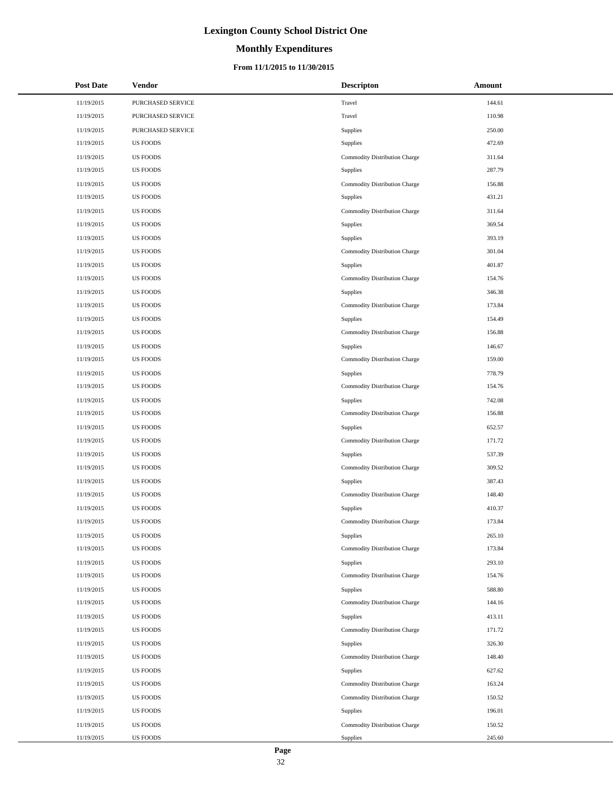# **Monthly Expenditures**

| <b>Post Date</b> | Vendor            | <b>Descripton</b>             | Amount |
|------------------|-------------------|-------------------------------|--------|
| 11/19/2015       | PURCHASED SERVICE | Travel                        | 144.61 |
| 11/19/2015       | PURCHASED SERVICE | Travel                        | 110.98 |
| 11/19/2015       | PURCHASED SERVICE | Supplies                      | 250.00 |
| 11/19/2015       | <b>US FOODS</b>   | Supplies                      | 472.69 |
| 11/19/2015       | <b>US FOODS</b>   | Commodity Distribution Charge | 311.64 |
| 11/19/2015       | <b>US FOODS</b>   | Supplies                      | 287.79 |
| 11/19/2015       | <b>US FOODS</b>   | Commodity Distribution Charge | 156.88 |
| 11/19/2015       | <b>US FOODS</b>   | Supplies                      | 431.21 |
| 11/19/2015       | <b>US FOODS</b>   | Commodity Distribution Charge | 311.64 |
| 11/19/2015       | <b>US FOODS</b>   | Supplies                      | 369.54 |
| 11/19/2015       | <b>US FOODS</b>   | Supplies                      | 393.19 |
| 11/19/2015       | <b>US FOODS</b>   | Commodity Distribution Charge | 301.04 |
| 11/19/2015       | <b>US FOODS</b>   | Supplies                      | 401.87 |
| 11/19/2015       | <b>US FOODS</b>   | Commodity Distribution Charge | 154.76 |
| 11/19/2015       | <b>US FOODS</b>   | Supplies                      | 346.38 |
| 11/19/2015       | <b>US FOODS</b>   | Commodity Distribution Charge | 173.84 |
| 11/19/2015       | <b>US FOODS</b>   | Supplies                      | 154.49 |
| 11/19/2015       | <b>US FOODS</b>   | Commodity Distribution Charge | 156.88 |
| 11/19/2015       | <b>US FOODS</b>   | Supplies                      | 146.67 |
| 11/19/2015       | <b>US FOODS</b>   | Commodity Distribution Charge | 159.00 |
| 11/19/2015       | <b>US FOODS</b>   | Supplies                      | 778.79 |
| 11/19/2015       | <b>US FOODS</b>   | Commodity Distribution Charge | 154.76 |
| 11/19/2015       | <b>US FOODS</b>   | Supplies                      | 742.08 |
| 11/19/2015       | <b>US FOODS</b>   | Commodity Distribution Charge | 156.88 |
| 11/19/2015       | <b>US FOODS</b>   | Supplies                      | 652.57 |
| 11/19/2015       | <b>US FOODS</b>   | Commodity Distribution Charge | 171.72 |
| 11/19/2015       | <b>US FOODS</b>   | Supplies                      | 537.39 |
| 11/19/2015       | <b>US FOODS</b>   | Commodity Distribution Charge | 309.52 |
| 11/19/2015       | <b>US FOODS</b>   | Supplies                      | 387.43 |
| 11/19/2015       | <b>US FOODS</b>   | Commodity Distribution Charge | 148.40 |
| 11/19/2015       | <b>US FOODS</b>   | Supplies                      | 410.37 |
| 11/19/2015       | <b>US FOODS</b>   | Commodity Distribution Charge | 173.84 |
| 11/19/2015       | <b>US FOODS</b>   | Supplies                      | 265.10 |
| 11/19/2015       | <b>US FOODS</b>   | Commodity Distribution Charge | 173.84 |
| 11/19/2015       | <b>US FOODS</b>   | Supplies                      | 293.10 |
| 11/19/2015       | <b>US FOODS</b>   | Commodity Distribution Charge | 154.76 |
| 11/19/2015       | <b>US FOODS</b>   | Supplies                      | 588.80 |
| 11/19/2015       | <b>US FOODS</b>   | Commodity Distribution Charge | 144.16 |
| 11/19/2015       | <b>US FOODS</b>   | Supplies                      | 413.11 |
| 11/19/2015       | <b>US FOODS</b>   | Commodity Distribution Charge | 171.72 |
| 11/19/2015       | <b>US FOODS</b>   | Supplies                      | 326.30 |
| 11/19/2015       | <b>US FOODS</b>   | Commodity Distribution Charge | 148.40 |
| 11/19/2015       | <b>US FOODS</b>   | Supplies                      | 627.62 |
| 11/19/2015       | <b>US FOODS</b>   | Commodity Distribution Charge | 163.24 |
| 11/19/2015       | <b>US FOODS</b>   | Commodity Distribution Charge | 150.52 |
| 11/19/2015       | <b>US FOODS</b>   | Supplies                      | 196.01 |
| 11/19/2015       | <b>US FOODS</b>   | Commodity Distribution Charge | 150.52 |
| 11/19/2015       | <b>US FOODS</b>   | Supplies                      | 245.60 |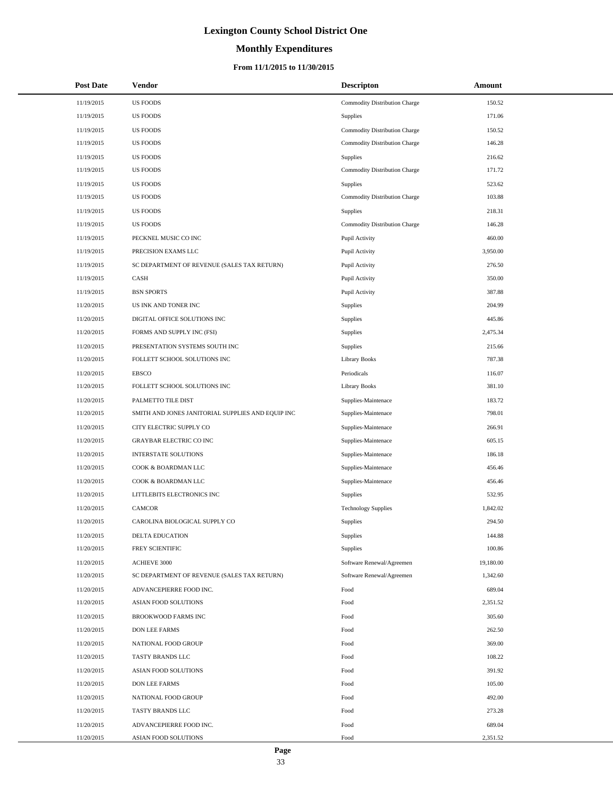# **Monthly Expenditures**

| <b>Post Date</b> | Vendor                                            | <b>Descripton</b>             | <b>Amount</b> |
|------------------|---------------------------------------------------|-------------------------------|---------------|
| 11/19/2015       | <b>US FOODS</b>                                   | Commodity Distribution Charge | 150.52        |
| 11/19/2015       | <b>US FOODS</b>                                   | Supplies                      | 171.06        |
| 11/19/2015       | <b>US FOODS</b>                                   | Commodity Distribution Charge | 150.52        |
| 11/19/2015       | <b>US FOODS</b>                                   | Commodity Distribution Charge | 146.28        |
| 11/19/2015       | <b>US FOODS</b>                                   | Supplies                      | 216.62        |
| 11/19/2015       | <b>US FOODS</b>                                   | Commodity Distribution Charge | 171.72        |
| 11/19/2015       | <b>US FOODS</b>                                   | <b>Supplies</b>               | 523.62        |
| 11/19/2015       | <b>US FOODS</b>                                   | Commodity Distribution Charge | 103.88        |
| 11/19/2015       | <b>US FOODS</b>                                   | Supplies                      | 218.31        |
| 11/19/2015       | <b>US FOODS</b>                                   | Commodity Distribution Charge | 146.28        |
| 11/19/2015       | PECKNEL MUSIC CO INC                              | Pupil Activity                | 460.00        |
| 11/19/2015       | PRECISION EXAMS LLC                               | Pupil Activity                | 3,950.00      |
| 11/19/2015       | SC DEPARTMENT OF REVENUE (SALES TAX RETURN)       | Pupil Activity                | 276.50        |
| 11/19/2015       | CASH                                              | Pupil Activity                | 350.00        |
| 11/19/2015       | <b>BSN SPORTS</b>                                 | Pupil Activity                | 387.88        |
| 11/20/2015       | US INK AND TONER INC                              | Supplies                      | 204.99        |
| 11/20/2015       | DIGITAL OFFICE SOLUTIONS INC                      | Supplies                      | 445.86        |
| 11/20/2015       | FORMS AND SUPPLY INC (FSI)                        | Supplies                      | 2,475.34      |
| 11/20/2015       | PRESENTATION SYSTEMS SOUTH INC                    | Supplies                      | 215.66        |
| 11/20/2015       | FOLLETT SCHOOL SOLUTIONS INC                      | <b>Library Books</b>          | 787.38        |
| 11/20/2015       | <b>EBSCO</b>                                      | Periodicals                   | 116.07        |
| 11/20/2015       | FOLLETT SCHOOL SOLUTIONS INC                      | <b>Library Books</b>          | 381.10        |
| 11/20/2015       | PALMETTO TILE DIST                                | Supplies-Maintenace           | 183.72        |
| 11/20/2015       | SMITH AND JONES JANITORIAL SUPPLIES AND EQUIP INC | Supplies-Maintenace           | 798.01        |
| 11/20/2015       | CITY ELECTRIC SUPPLY CO                           | Supplies-Maintenace           | 266.91        |
| 11/20/2015       | GRAYBAR ELECTRIC CO INC                           | Supplies-Maintenace           | 605.15        |
| 11/20/2015       | <b>INTERSTATE SOLUTIONS</b>                       | Supplies-Maintenace           | 186.18        |
| 11/20/2015       | COOK & BOARDMAN LLC                               | Supplies-Maintenace           | 456.46        |
| 11/20/2015       | COOK & BOARDMAN LLC                               | Supplies-Maintenace           | 456.46        |
| 11/20/2015       | LITTLEBITS ELECTRONICS INC                        | Supplies                      | 532.95        |
| 11/20/2015       | <b>CAMCOR</b>                                     | <b>Technology Supplies</b>    | 1,842.02      |
| 11/20/2015       | CAROLINA BIOLOGICAL SUPPLY CO                     | Supplies                      | 294.50        |
| 11/20/2015       | <b>DELTA EDUCATION</b>                            | <b>Supplies</b>               | 144.88        |
| 11/20/2015       | FREY SCIENTIFIC                                   | Supplies                      | 100.86        |
| 11/20/2015       | ACHIEVE 3000                                      | Software Renewal/Agreemen     | 19,180.00     |
| 11/20/2015       | SC DEPARTMENT OF REVENUE (SALES TAX RETURN)       | Software Renewal/Agreemen     | 1,342.60      |
| 11/20/2015       | ADVANCEPIERRE FOOD INC.                           | Food                          | 689.04        |
| 11/20/2015       | ASIAN FOOD SOLUTIONS                              | Food                          | 2,351.52      |
| 11/20/2015       | BROOKWOOD FARMS INC                               | Food                          | 305.60        |
| 11/20/2015       | <b>DON LEE FARMS</b>                              | Food                          | 262.50        |
| 11/20/2015       | NATIONAL FOOD GROUP                               | Food                          | 369.00        |
| 11/20/2015       | TASTY BRANDS LLC                                  | Food                          | 108.22        |
| 11/20/2015       | ASIAN FOOD SOLUTIONS                              | Food                          | 391.92        |
| 11/20/2015       | DON LEE FARMS                                     | Food                          | 105.00        |
| 11/20/2015       | NATIONAL FOOD GROUP                               | Food                          | 492.00        |
| 11/20/2015       | TASTY BRANDS LLC                                  | Food                          | 273.28        |
| 11/20/2015       | ADVANCEPIERRE FOOD INC.                           | Food                          | 689.04        |
| 11/20/2015       | ASIAN FOOD SOLUTIONS                              | Food                          | 2,351.52      |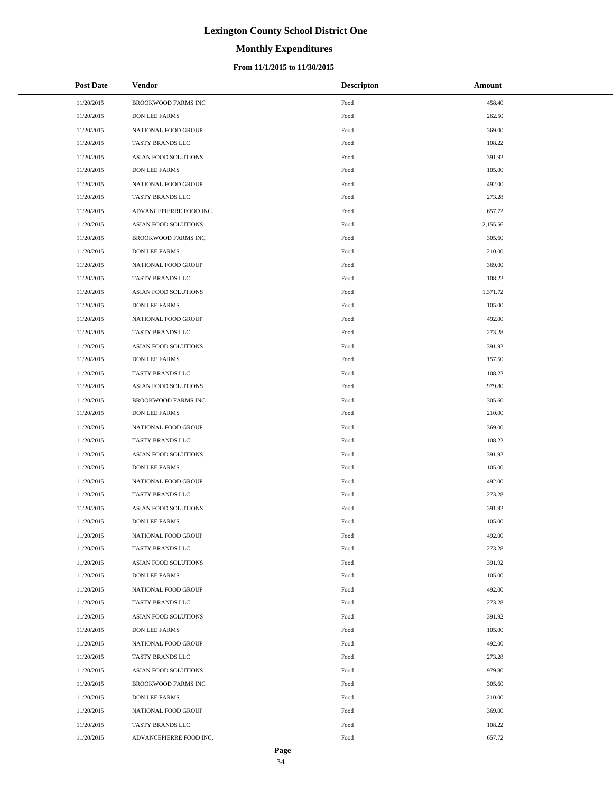# **Monthly Expenditures**

### **From 11/1/2015 to 11/30/2015**

| <b>Post Date</b> | Vendor                      | <b>Descripton</b>      | Amount   |
|------------------|-----------------------------|------------------------|----------|
| 11/20/2015       | BROOKWOOD FARMS INC         | Food                   | 458.40   |
| 11/20/2015       | <b>DON LEE FARMS</b>        | Food                   | 262.50   |
| 11/20/2015       | NATIONAL FOOD GROUP         | Food                   | 369.00   |
| 11/20/2015       | TASTY BRANDS LLC            | Food                   | 108.22   |
| 11/20/2015       | ASIAN FOOD SOLUTIONS        | Food                   | 391.92   |
| 11/20/2015       | DON LEE FARMS               | Food                   | 105.00   |
| 11/20/2015       | NATIONAL FOOD GROUP         | Food                   | 492.00   |
| 11/20/2015       | TASTY BRANDS LLC            | Food                   | 273.28   |
| 11/20/2015       | ADVANCEPIERRE FOOD INC.     | Food                   | 657.72   |
| 11/20/2015       | ASIAN FOOD SOLUTIONS        | Food                   | 2,155.56 |
| 11/20/2015       | BROOKWOOD FARMS INC         | Food                   | 305.60   |
| 11/20/2015       | DON LEE FARMS               | Food                   | 210.00   |
| 11/20/2015       | NATIONAL FOOD GROUP         | Food                   | 369.00   |
| 11/20/2015       | TASTY BRANDS LLC            | Food                   | 108.22   |
| 11/20/2015       | <b>ASIAN FOOD SOLUTIONS</b> | Food                   | 1,371.72 |
| 11/20/2015       | DON LEE FARMS               | Food                   | 105.00   |
| 11/20/2015       | NATIONAL FOOD GROUP         | Food                   | 492.00   |
| 11/20/2015       | TASTY BRANDS LLC            | Food                   | 273.28   |
| 11/20/2015       | <b>ASIAN FOOD SOLUTIONS</b> | Food                   | 391.92   |
| 11/20/2015       | DON LEE FARMS               | Food                   | 157.50   |
| 11/20/2015       | TASTY BRANDS LLC            | Food                   | 108.22   |
| 11/20/2015       | ASIAN FOOD SOLUTIONS        | Food                   | 979.80   |
| 11/20/2015       | BROOKWOOD FARMS INC         | Food                   | 305.60   |
| 11/20/2015       | DON LEE FARMS               | Food                   | 210.00   |
| 11/20/2015       | NATIONAL FOOD GROUP         | Food                   | 369.00   |
| 11/20/2015       | TASTY BRANDS LLC            | Food                   | 108.22   |
| 11/20/2015       | ASIAN FOOD SOLUTIONS        | Food                   | 391.92   |
| 11/20/2015       | <b>DON LEE FARMS</b>        | Food                   | 105.00   |
| 11/20/2015       | NATIONAL FOOD GROUP         | Food                   | 492.00   |
| 11/20/2015       | TASTY BRANDS LLC            | Food                   | 273.28   |
| 11/20/2015       | <b>ASIAN FOOD SOLUTIONS</b> | Food                   | 391.92   |
| 11/20/2015       | DON LEE FARMS               | Food                   | 105.00   |
| 11/20/2015       | NATIONAL FOOD GROUP         | Food                   | 492.00   |
| 11/20/2015       | TASTY BRANDS LLC            | Food                   | 273.28   |
| 11/20/2015       | <b>ASIAN FOOD SOLUTIONS</b> | Food                   | 391.92   |
| 11/20/2015       | <b>DON LEE FARMS</b>        | Food                   | 105.00   |
| 11/20/2015       | NATIONAL FOOD GROUP         | Food                   | 492.00   |
| 11/20/2015       | TASTY BRANDS LLC            | Food                   | 273.28   |
| 11/20/2015       | ASIAN FOOD SOLUTIONS        | Food                   | 391.92   |
| 11/20/2015       | DON LEE FARMS               | Food                   | 105.00   |
| 11/20/2015       | NATIONAL FOOD GROUP         | Food                   | 492.00   |
| 11/20/2015       | TASTY BRANDS LLC            | Food                   | 273.28   |
| 11/20/2015       | ASIAN FOOD SOLUTIONS        | Food                   | 979.80   |
| 11/20/2015       | BROOKWOOD FARMS INC         | Food                   | 305.60   |
| 11/20/2015       | DON LEE FARMS               | Food                   | 210.00   |
| 11/20/2015       | NATIONAL FOOD GROUP         | Food                   | 369.00   |
| 11/20/2015       | TASTY BRANDS LLC            | Food                   | 108.22   |
| 11/20/2015       | ADVANCEPIERRE FOOD INC.     | $\operatorname*{Food}$ | 657.72   |

 $\overline{a}$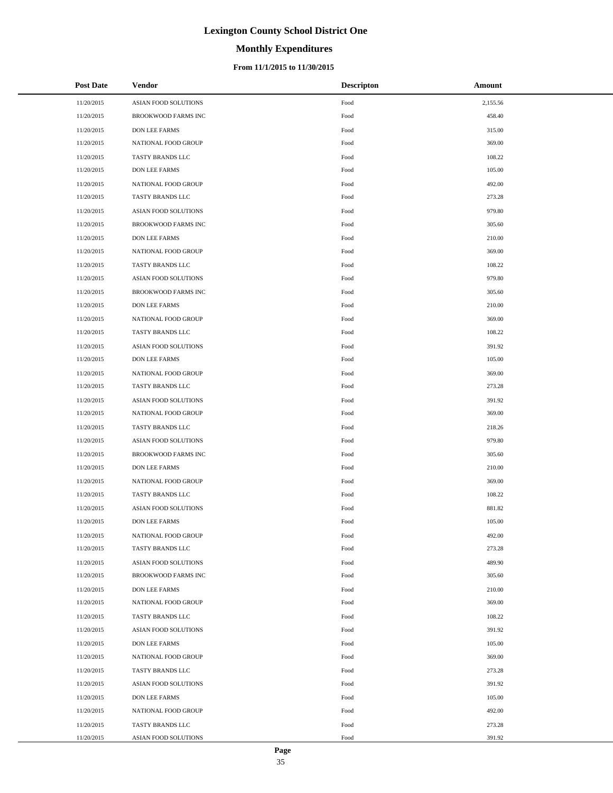# **Monthly Expenditures**

### **From 11/1/2015 to 11/30/2015**

| <b>Post Date</b> | Vendor                      | <b>Descripton</b> | Amount   |
|------------------|-----------------------------|-------------------|----------|
| 11/20/2015       | ASIAN FOOD SOLUTIONS        | Food              | 2,155.56 |
| 11/20/2015       | BROOKWOOD FARMS INC         | Food              | 458.40   |
| 11/20/2015       | <b>DON LEE FARMS</b>        | Food              | 315.00   |
| 11/20/2015       | NATIONAL FOOD GROUP         | Food              | 369.00   |
| 11/20/2015       | TASTY BRANDS LLC            | Food              | 108.22   |
| 11/20/2015       | <b>DON LEE FARMS</b>        | Food              | 105.00   |
| 11/20/2015       | NATIONAL FOOD GROUP         | Food              | 492.00   |
| 11/20/2015       | TASTY BRANDS LLC            | Food              | 273.28   |
| 11/20/2015       | ASIAN FOOD SOLUTIONS        | Food              | 979.80   |
| 11/20/2015       | <b>BROOKWOOD FARMS INC</b>  | Food              | 305.60   |
| 11/20/2015       | <b>DON LEE FARMS</b>        | Food              | 210.00   |
| 11/20/2015       | NATIONAL FOOD GROUP         | Food              | 369.00   |
| 11/20/2015       | TASTY BRANDS LLC            | Food              | 108.22   |
| 11/20/2015       | <b>ASIAN FOOD SOLUTIONS</b> | Food              | 979.80   |
| 11/20/2015       | BROOKWOOD FARMS INC         | Food              | 305.60   |
| 11/20/2015       | <b>DON LEE FARMS</b>        | Food              | 210.00   |
| 11/20/2015       | NATIONAL FOOD GROUP         | Food              | 369.00   |
| 11/20/2015       | TASTY BRANDS LLC            | Food              | 108.22   |
| 11/20/2015       | ASIAN FOOD SOLUTIONS        | Food              | 391.92   |
| 11/20/2015       | <b>DON LEE FARMS</b>        | Food              | 105.00   |
| 11/20/2015       | NATIONAL FOOD GROUP         | Food              | 369.00   |
| 11/20/2015       | TASTY BRANDS LLC            | Food              | 273.28   |
| 11/20/2015       | ASIAN FOOD SOLUTIONS        | Food              | 391.92   |
| 11/20/2015       | NATIONAL FOOD GROUP         | Food              | 369.00   |
| 11/20/2015       | TASTY BRANDS LLC            | Food              | 218.26   |
| 11/20/2015       | ASIAN FOOD SOLUTIONS        | Food              | 979.80   |
| 11/20/2015       | <b>BROOKWOOD FARMS INC</b>  | Food              | 305.60   |
| 11/20/2015       | <b>DON LEE FARMS</b>        | Food              | 210.00   |
| 11/20/2015       | NATIONAL FOOD GROUP         | Food              | 369.00   |
| 11/20/2015       | TASTY BRANDS LLC            | Food              | 108.22   |
| 11/20/2015       | <b>ASIAN FOOD SOLUTIONS</b> | Food              | 881.82   |
| 11/20/2015       | <b>DON LEE FARMS</b>        | Food              | 105.00   |
| 11/20/2015       | NATIONAL FOOD GROUP         | Food              | 492.00   |
| 11/20/2015       | TASTY BRANDS LLC            | Food              | 273.28   |
| 11/20/2015       | ASIAN FOOD SOLUTIONS        | Food              | 489.90   |
| 11/20/2015       | <b>BROOKWOOD FARMS INC</b>  | Food              | 305.60   |
| 11/20/2015       | <b>DON LEE FARMS</b>        | Food              | 210.00   |
| 11/20/2015       | NATIONAL FOOD GROUP         | Food              | 369.00   |
| 11/20/2015       | TASTY BRANDS LLC            | Food              | 108.22   |
| 11/20/2015       | ASIAN FOOD SOLUTIONS        | Food              | 391.92   |
| 11/20/2015       | <b>DON LEE FARMS</b>        | Food              | 105.00   |
| 11/20/2015       | NATIONAL FOOD GROUP         | Food              | 369.00   |
| 11/20/2015       | TASTY BRANDS LLC            | Food              | 273.28   |
| 11/20/2015       | ASIAN FOOD SOLUTIONS        | Food              | 391.92   |
| 11/20/2015       | <b>DON LEE FARMS</b>        | Food              | 105.00   |
| 11/20/2015       | NATIONAL FOOD GROUP         | Food              | 492.00   |
| 11/20/2015       | TASTY BRANDS LLC            | Food              | 273.28   |
| 11/20/2015       | ASIAN FOOD SOLUTIONS        | Food              | 391.92   |

÷.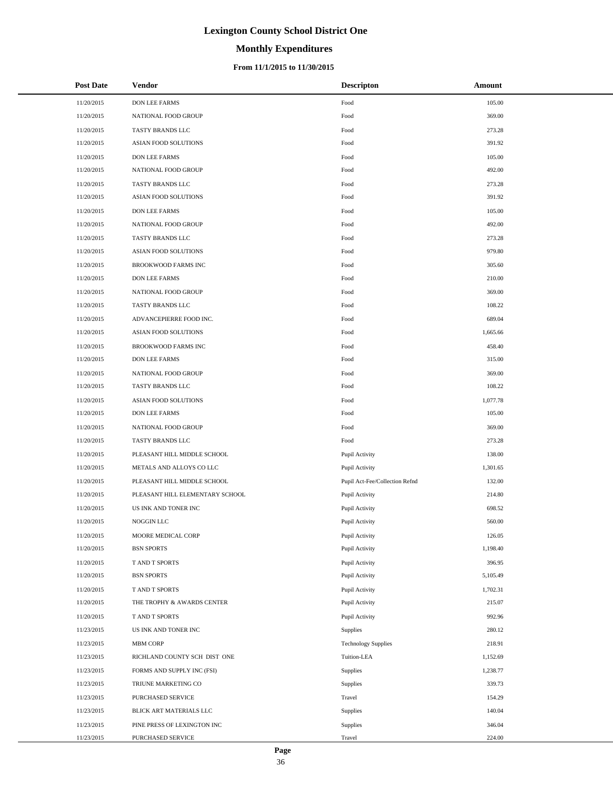# **Monthly Expenditures**

### **From 11/1/2015 to 11/30/2015**

| <b>Post Date</b> | <b>Vendor</b>                   | <b>Descripton</b>              | Amount   |
|------------------|---------------------------------|--------------------------------|----------|
| 11/20/2015       | <b>DON LEE FARMS</b>            | Food                           | 105.00   |
| 11/20/2015       | NATIONAL FOOD GROUP             | Food                           | 369.00   |
| 11/20/2015       | TASTY BRANDS LLC                | Food                           | 273.28   |
| 11/20/2015       | ASIAN FOOD SOLUTIONS            | Food                           | 391.92   |
| 11/20/2015       | DON LEE FARMS                   | Food                           | 105.00   |
| 11/20/2015       | NATIONAL FOOD GROUP             | Food                           | 492.00   |
| 11/20/2015       | TASTY BRANDS LLC                | Food                           | 273.28   |
| 11/20/2015       | ASIAN FOOD SOLUTIONS            | Food                           | 391.92   |
| 11/20/2015       | DON LEE FARMS                   | Food                           | 105.00   |
| 11/20/2015       | NATIONAL FOOD GROUP             | Food                           | 492.00   |
| 11/20/2015       | TASTY BRANDS LLC                | Food                           | 273.28   |
| 11/20/2015       | ASIAN FOOD SOLUTIONS            | Food                           | 979.80   |
| 11/20/2015       | BROOKWOOD FARMS INC             | Food                           | 305.60   |
| 11/20/2015       | DON LEE FARMS                   | Food                           | 210.00   |
| 11/20/2015       | NATIONAL FOOD GROUP             | Food                           | 369.00   |
| 11/20/2015       | TASTY BRANDS LLC                | Food                           | 108.22   |
| 11/20/2015       | ADVANCEPIERRE FOOD INC.         | Food                           | 689.04   |
| 11/20/2015       | ASIAN FOOD SOLUTIONS            | Food                           | 1,665.66 |
| 11/20/2015       | BROOKWOOD FARMS INC             | Food                           | 458.40   |
| 11/20/2015       | DON LEE FARMS                   | Food                           | 315.00   |
| 11/20/2015       | NATIONAL FOOD GROUP             | Food                           | 369.00   |
| 11/20/2015       | TASTY BRANDS LLC                | Food                           | 108.22   |
| 11/20/2015       | ASIAN FOOD SOLUTIONS            | Food                           | 1,077.78 |
| 11/20/2015       | DON LEE FARMS                   | Food                           | 105.00   |
| 11/20/2015       | NATIONAL FOOD GROUP             | Food                           | 369.00   |
| 11/20/2015       | TASTY BRANDS LLC                | Food                           | 273.28   |
| 11/20/2015       | PLEASANT HILL MIDDLE SCHOOL     | Pupil Activity                 | 138.00   |
| 11/20/2015       | METALS AND ALLOYS CO LLC        | Pupil Activity                 | 1,301.65 |
| 11/20/2015       | PLEASANT HILL MIDDLE SCHOOL     | Pupil Act-Fee/Collection Refnd | 132.00   |
| 11/20/2015       | PLEASANT HILL ELEMENTARY SCHOOL | Pupil Activity                 | 214.80   |
| 11/20/2015       | US INK AND TONER INC            | Pupil Activity                 | 698.52   |
| 11/20/2015       | NOGGIN LLC                      | Pupil Activity                 | 560.00   |
| 11/20/2015       | MOORE MEDICAL CORP              | Pupil Activity                 | 126.05   |
| 11/20/2015       | <b>BSN SPORTS</b>               | Pupil Activity                 | 1,198.40 |
| 11/20/2015       | T AND T SPORTS                  | Pupil Activity                 | 396.95   |
| 11/20/2015       | <b>BSN SPORTS</b>               | Pupil Activity                 | 5,105.49 |
| 11/20/2015       | T AND T SPORTS                  | Pupil Activity                 | 1,702.31 |
| 11/20/2015       | THE TROPHY & AWARDS CENTER      | Pupil Activity                 | 215.07   |
| 11/20/2015       | T AND T SPORTS                  | Pupil Activity                 | 992.96   |
| 11/23/2015       | US INK AND TONER INC            | Supplies                       | 280.12   |
| 11/23/2015       | <b>MBM CORP</b>                 | <b>Technology Supplies</b>     | 218.91   |
| 11/23/2015       | RICHLAND COUNTY SCH DIST ONE    | Tuition-LEA                    | 1,152.69 |
| 11/23/2015       | FORMS AND SUPPLY INC (FSI)      | Supplies                       | 1,238.77 |
| 11/23/2015       | TRIUNE MARKETING CO             | Supplies                       | 339.73   |
| 11/23/2015       | PURCHASED SERVICE               | Travel                         | 154.29   |
| 11/23/2015       | BLICK ART MATERIALS LLC         | Supplies                       | 140.04   |
| 11/23/2015       | PINE PRESS OF LEXINGTON INC     | Supplies                       | 346.04   |
| 11/23/2015       | PURCHASED SERVICE               | Travel                         | 224.00   |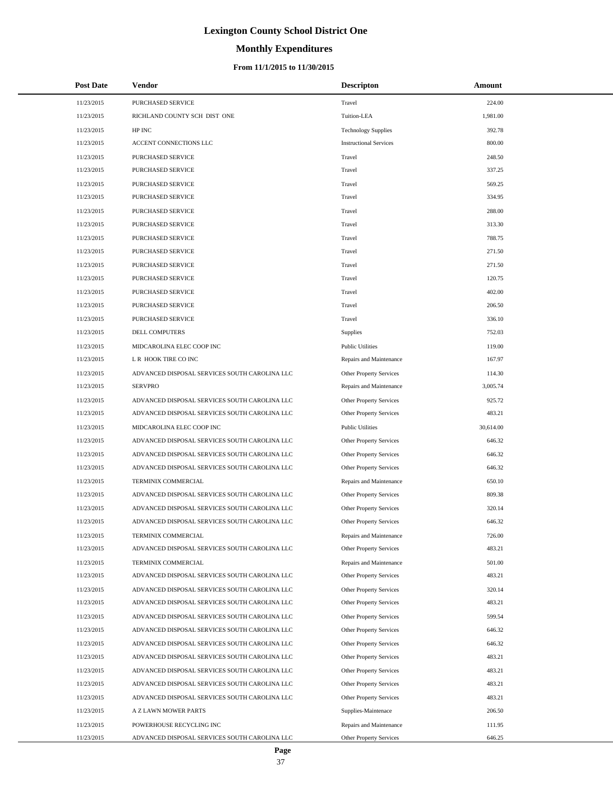# **Monthly Expenditures**

| <b>Post Date</b> | Vendor                                        | <b>Descripton</b>              | <b>Amount</b> |
|------------------|-----------------------------------------------|--------------------------------|---------------|
| 11/23/2015       | PURCHASED SERVICE                             | Travel                         | 224.00        |
| 11/23/2015       | RICHLAND COUNTY SCH DIST ONE                  | Tuition-LEA                    | 1,981.00      |
| 11/23/2015       | HP INC                                        | <b>Technology Supplies</b>     | 392.78        |
| 11/23/2015       | ACCENT CONNECTIONS LLC                        | <b>Instructional Services</b>  | 800.00        |
| 11/23/2015       | PURCHASED SERVICE                             | Travel                         | 248.50        |
| 11/23/2015       | PURCHASED SERVICE                             | Travel                         | 337.25        |
| 11/23/2015       | PURCHASED SERVICE                             | Travel                         | 569.25        |
| 11/23/2015       | PURCHASED SERVICE                             | Travel                         | 334.95        |
| 11/23/2015       | PURCHASED SERVICE                             | Travel                         | 288.00        |
| 11/23/2015       | PURCHASED SERVICE                             | Travel                         | 313.30        |
| 11/23/2015       | PURCHASED SERVICE                             | Travel                         | 788.75        |
| 11/23/2015       | PURCHASED SERVICE                             | Travel                         | 271.50        |
| 11/23/2015       | PURCHASED SERVICE                             | Travel                         | 271.50        |
| 11/23/2015       | PURCHASED SERVICE                             | Travel                         | 120.75        |
| 11/23/2015       | PURCHASED SERVICE                             | Travel                         | 402.00        |
| 11/23/2015       | PURCHASED SERVICE                             | Travel                         | 206.50        |
| 11/23/2015       | PURCHASED SERVICE                             | Travel                         | 336.10        |
| 11/23/2015       | DELL COMPUTERS                                | Supplies                       | 752.03        |
| 11/23/2015       | MIDCAROLINA ELEC COOP INC                     | <b>Public Utilities</b>        | 119.00        |
| 11/23/2015       | L R HOOK TIRE CO INC                          | Repairs and Maintenance        | 167.97        |
| 11/23/2015       | ADVANCED DISPOSAL SERVICES SOUTH CAROLINA LLC | Other Property Services        | 114.30        |
| 11/23/2015       | <b>SERVPRO</b>                                | Repairs and Maintenance        | 3,005.74      |
| 11/23/2015       | ADVANCED DISPOSAL SERVICES SOUTH CAROLINA LLC | Other Property Services        | 925.72        |
| 11/23/2015       | ADVANCED DISPOSAL SERVICES SOUTH CAROLINA LLC | Other Property Services        | 483.21        |
| 11/23/2015       | MIDCAROLINA ELEC COOP INC                     | <b>Public Utilities</b>        | 30,614.00     |
| 11/23/2015       | ADVANCED DISPOSAL SERVICES SOUTH CAROLINA LLC | Other Property Services        | 646.32        |
| 11/23/2015       | ADVANCED DISPOSAL SERVICES SOUTH CAROLINA LLC | Other Property Services        | 646.32        |
| 11/23/2015       | ADVANCED DISPOSAL SERVICES SOUTH CAROLINA LLC | Other Property Services        | 646.32        |
| 11/23/2015       | TERMINIX COMMERCIAL                           | Repairs and Maintenance        | 650.10        |
| 11/23/2015       | ADVANCED DISPOSAL SERVICES SOUTH CAROLINA LLC | Other Property Services        | 809.38        |
| 11/23/2015       | ADVANCED DISPOSAL SERVICES SOUTH CAROLINA LLC | Other Property Services        | 320.14        |
| 11/23/2015       | ADVANCED DISPOSAL SERVICES SOUTH CAROLINA LLC | Other Property Services        | 646.32        |
| 11/23/2015       | TERMINIX COMMERCIAL                           | Repairs and Maintenance        | 726.00        |
| 11/23/2015       | ADVANCED DISPOSAL SERVICES SOUTH CAROLINA LLC | Other Property Services        | 483.21        |
| 11/23/2015       | TERMINIX COMMERCIAL                           | Repairs and Maintenance        | 501.00        |
| 11/23/2015       | ADVANCED DISPOSAL SERVICES SOUTH CAROLINA LLC | Other Property Services        | 483.21        |
| 11/23/2015       | ADVANCED DISPOSAL SERVICES SOUTH CAROLINA LLC | Other Property Services        | 320.14        |
| 11/23/2015       | ADVANCED DISPOSAL SERVICES SOUTH CAROLINA LLC | Other Property Services        | 483.21        |
| 11/23/2015       | ADVANCED DISPOSAL SERVICES SOUTH CAROLINA LLC | Other Property Services        | 599.54        |
| 11/23/2015       | ADVANCED DISPOSAL SERVICES SOUTH CAROLINA LLC | <b>Other Property Services</b> | 646.32        |
| 11/23/2015       | ADVANCED DISPOSAL SERVICES SOUTH CAROLINA LLC | Other Property Services        | 646.32        |
| 11/23/2015       | ADVANCED DISPOSAL SERVICES SOUTH CAROLINA LLC | Other Property Services        | 483.21        |
| 11/23/2015       | ADVANCED DISPOSAL SERVICES SOUTH CAROLINA LLC | Other Property Services        | 483.21        |
| 11/23/2015       | ADVANCED DISPOSAL SERVICES SOUTH CAROLINA LLC | Other Property Services        | 483.21        |
| 11/23/2015       | ADVANCED DISPOSAL SERVICES SOUTH CAROLINA LLC | Other Property Services        | 483.21        |
| 11/23/2015       | A Z LAWN MOWER PARTS                          | Supplies-Maintenace            | 206.50        |
| 11/23/2015       | POWERHOUSE RECYCLING INC                      | Repairs and Maintenance        | 111.95        |
| 11/23/2015       | ADVANCED DISPOSAL SERVICES SOUTH CAROLINA LLC | <b>Other Property Services</b> | 646.25        |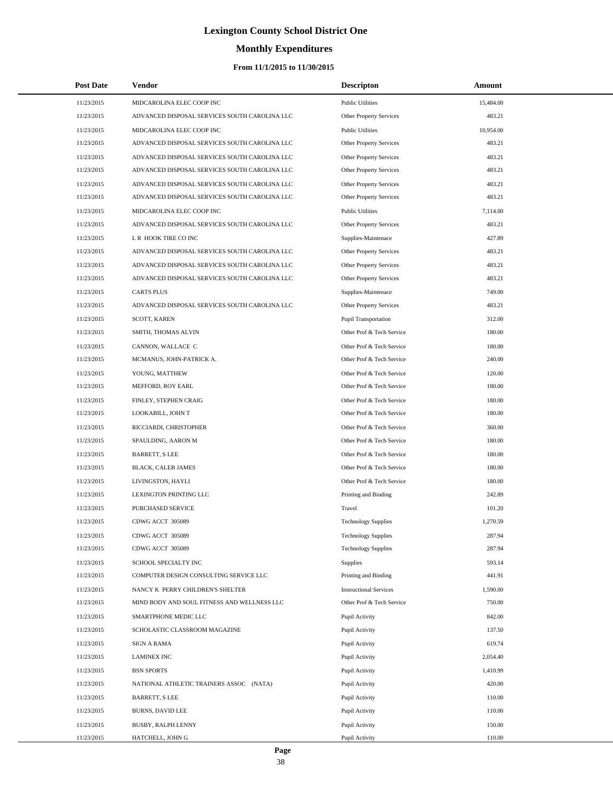# **Monthly Expenditures**

| <b>Post Date</b> | <b>Vendor</b>                                 | <b>Descripton</b>              | Amount    |
|------------------|-----------------------------------------------|--------------------------------|-----------|
| 11/23/2015       | MIDCAROLINA ELEC COOP INC                     | <b>Public Utilities</b>        | 15,484.00 |
| 11/23/2015       | ADVANCED DISPOSAL SERVICES SOUTH CAROLINA LLC | Other Property Services        | 483.21    |
| 11/23/2015       | MIDCAROLINA ELEC COOP INC                     | <b>Public Utilities</b>        | 10,954.00 |
| 11/23/2015       | ADVANCED DISPOSAL SERVICES SOUTH CAROLINA LLC | <b>Other Property Services</b> | 483.21    |
| 11/23/2015       | ADVANCED DISPOSAL SERVICES SOUTH CAROLINA LLC | <b>Other Property Services</b> | 483.21    |
| 11/23/2015       | ADVANCED DISPOSAL SERVICES SOUTH CAROLINA LLC | Other Property Services        | 483.21    |
| 11/23/2015       | ADVANCED DISPOSAL SERVICES SOUTH CAROLINA LLC | Other Property Services        | 483.21    |
| 11/23/2015       | ADVANCED DISPOSAL SERVICES SOUTH CAROLINA LLC | Other Property Services        | 483.21    |
| 11/23/2015       | MIDCAROLINA ELEC COOP INC                     | <b>Public Utilities</b>        | 7,114.00  |
| 11/23/2015       | ADVANCED DISPOSAL SERVICES SOUTH CAROLINA LLC | Other Property Services        | 483.21    |
| 11/23/2015       | L R HOOK TIRE CO INC                          | Supplies-Maintenace            | 427.89    |
| 11/23/2015       | ADVANCED DISPOSAL SERVICES SOUTH CAROLINA LLC | Other Property Services        | 483.21    |
| 11/23/2015       | ADVANCED DISPOSAL SERVICES SOUTH CAROLINA LLC | <b>Other Property Services</b> | 483.21    |
| 11/23/2015       | ADVANCED DISPOSAL SERVICES SOUTH CAROLINA LLC | Other Property Services        | 483.21    |
| 11/23/2015       | <b>CARTS PLUS</b>                             | Supplies-Maintenace            | 749.00    |
| 11/23/2015       | ADVANCED DISPOSAL SERVICES SOUTH CAROLINA LLC | Other Property Services        | 483.21    |
| 11/23/2015       | SCOTT, KAREN                                  | <b>Pupil Transportation</b>    | 312.00    |
| 11/23/2015       | SMITH, THOMAS ALVIN                           | Other Prof & Tech Service      | 180.00    |
| 11/23/2015       | CANNON, WALLACE C                             | Other Prof & Tech Service      | 180.00    |
| 11/23/2015       | MCMANUS, JOHN-PATRICK A.                      | Other Prof & Tech Service      | 240.00    |
| 11/23/2015       | YOUNG, MATTHEW                                | Other Prof & Tech Service      | 120.00    |
| 11/23/2015       | MEFFORD, ROY EARL                             | Other Prof & Tech Service      | 180.00    |
| 11/23/2015       | FINLEY, STEPHEN CRAIG                         | Other Prof & Tech Service      | 180.00    |
| 11/23/2015       | LOOKABILL, JOHN T                             | Other Prof & Tech Service      | 180.00    |
| 11/23/2015       | RICCIARDI, CHRISTOPHER                        | Other Prof & Tech Service      | 360.00    |
| 11/23/2015       | SPAULDING, AARON M                            | Other Prof & Tech Service      | 180.00    |
| 11/23/2015       | <b>BARRETT, S LEE</b>                         | Other Prof & Tech Service      | 180.00    |
| 11/23/2015       | BLACK, CALEB JAMES                            | Other Prof & Tech Service      | 180.00    |
| 11/23/2015       | LIVINGSTON, HAYLI                             | Other Prof & Tech Service      | 180.00    |
| 11/23/2015       | LEXINGTON PRINTING LLC                        | Printing and Binding           | 242.89    |
| 11/23/2015       | <b>PURCHASED SERVICE</b>                      | Travel                         | 101.20    |
| 11/23/2015       | CDWG ACCT 305089                              | <b>Technology Supplies</b>     | 1,270.59  |
| 11/23/2015       | CDWG ACCT 305089                              | <b>Technology Supplies</b>     | 287.94    |
| 11/23/2015       | CDWG ACCT 305089                              | <b>Technology Supplies</b>     | 287.94    |
| 11/23/2015       | SCHOOL SPECIALTY INC                          | <b>Supplies</b>                | 593.14    |
| 11/23/2015       | COMPUTER DESIGN CONSULTING SERVICE LLC        | Printing and Binding           | 441.91    |
| 11/23/2015       | NANCY K PERRY CHILDREN'S SHELTER              | <b>Instructional Services</b>  | 1,590.00  |
| 11/23/2015       | MIND BODY AND SOUL FITNESS AND WELLNESS LLC   | Other Prof & Tech Service      | 750.00    |
| 11/23/2015       | SMARTPHONE MEDIC LLC                          | Pupil Activity                 | 842.00    |
| 11/23/2015       | SCHOLASTIC CLASSROOM MAGAZINE                 | Pupil Activity                 | 137.50    |
| 11/23/2015       | <b>SIGN A RAMA</b>                            | Pupil Activity                 | 619.74    |
| 11/23/2015       | <b>LAMINEX INC</b>                            | Pupil Activity                 | 2,054.40  |
| 11/23/2015       | <b>BSN SPORTS</b>                             | Pupil Activity                 | 1,410.99  |
| 11/23/2015       | NATIONAL ATHLETIC TRAINERS ASSOC (NATA)       | Pupil Activity                 | 420.00    |
| 11/23/2015       | <b>BARRETT, S LEE</b>                         | Pupil Activity                 | 110.00    |
| 11/23/2015       | <b>BURNS, DAVID LEE</b>                       | Pupil Activity                 | 110.00    |
| 11/23/2015       | BUSBY, RALPH LENNY                            | Pupil Activity                 | 150.00    |
| 11/23/2015       | HATCHELL, JOHN G                              | Pupil Activity                 | 110.00    |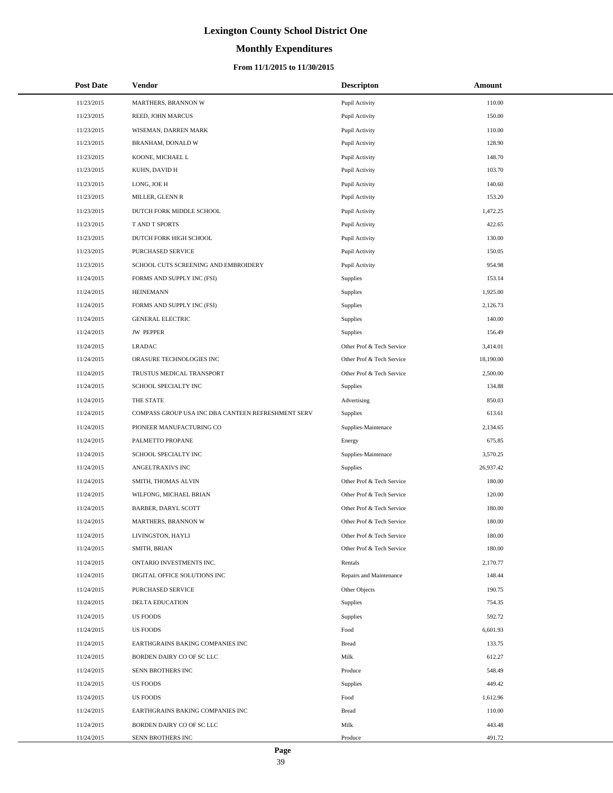# **Monthly Expenditures**

| <b>Post Date</b> | Vendor                                             | <b>Descripton</b>         | Amount    |
|------------------|----------------------------------------------------|---------------------------|-----------|
| 11/23/2015       | MARTHERS, BRANNON W                                | Pupil Activity            | 110.00    |
| 11/23/2015       | REED, JOHN MARCUS                                  | Pupil Activity            | 150.00    |
| 11/23/2015       | WISEMAN, DARREN MARK                               | Pupil Activity            | 110.00    |
| 11/23/2015       | BRANHAM, DONALD W                                  | Pupil Activity            | 128.90    |
| 11/23/2015       | KOONE, MICHAEL L                                   | Pupil Activity            | 148.70    |
| 11/23/2015       | KUHN, DAVID H                                      | Pupil Activity            | 103.70    |
| 11/23/2015       | LONG, JOE H                                        | Pupil Activity            | 140.60    |
| 11/23/2015       | MILLER, GLENN R                                    | Pupil Activity            | 153.20    |
| 11/23/2015       | DUTCH FORK MIDDLE SCHOOL                           | Pupil Activity            | 1,472.25  |
| 11/23/2015       | T AND T SPORTS                                     | Pupil Activity            | 422.65    |
| 11/23/2015       | DUTCH FORK HIGH SCHOOL                             | Pupil Activity            | 130.00    |
| 11/23/2015       | PURCHASED SERVICE                                  | Pupil Activity            | 150.05    |
| 11/23/2015       | SCHOOL CUTS SCREENING AND EMBROIDERY               | Pupil Activity            | 954.98    |
| 11/24/2015       | FORMS AND SUPPLY INC (FSI)                         | Supplies                  | 153.14    |
| 11/24/2015       | <b>HEINEMANN</b>                                   | <b>Supplies</b>           | 1,925.00  |
| 11/24/2015       | FORMS AND SUPPLY INC (FSI)                         | Supplies                  | 2,126.73  |
| 11/24/2015       | <b>GENERAL ELECTRIC</b>                            | <b>Supplies</b>           | 140.00    |
| 11/24/2015       | <b>JW PEPPER</b>                                   | Supplies                  | 156.49    |
| 11/24/2015       | <b>LRADAC</b>                                      | Other Prof & Tech Service | 3,414.01  |
| 11/24/2015       | ORASURE TECHNOLOGIES INC                           | Other Prof & Tech Service | 18,190.00 |
| 11/24/2015       | TRUSTUS MEDICAL TRANSPORT                          | Other Prof & Tech Service | 2,500.00  |
| 11/24/2015       | SCHOOL SPECIALTY INC                               | Supplies                  | 134.88    |
| 11/24/2015       | THE STATE                                          | Advertising               | 850.03    |
| 11/24/2015       | COMPASS GROUP USA INC DBA CANTEEN REFRESHMENT SERV | Supplies                  | 613.61    |
| 11/24/2015       | PIONEER MANUFACTURING CO                           | Supplies-Maintenace       | 2,134.65  |
| 11/24/2015       | PALMETTO PROPANE                                   | Energy                    | 675.85    |
| 11/24/2015       | SCHOOL SPECIALTY INC                               | Supplies-Maintenace       | 3,570.25  |
| 11/24/2015       | ANGELTRAXIVS INC                                   | Supplies                  | 26,937.42 |
| 11/24/2015       | SMITH, THOMAS ALVIN                                | Other Prof & Tech Service | 180.00    |
| 11/24/2015       | WILFONG, MICHAEL BRIAN                             | Other Prof & Tech Service | 120.00    |
| 11/24/2015       | BARBER, DARYL SCOTT                                | Other Prof & Tech Service | 180.00    |
| 11/24/2015       | <b>MARTHERS, BRANNON W</b>                         | Other Prof & Tech Service | 180.00    |
| 11/24/2015       | LIVINGSTON, HAYLI                                  | Other Prof & Tech Service | 180.00    |
| 11/24/2015       | SMITH, BRIAN                                       | Other Prof & Tech Service | 180.00    |
| 11/24/2015       | ONTARIO INVESTMENTS INC.                           | Rentals                   | 2,170.77  |
| 11/24/2015       | DIGITAL OFFICE SOLUTIONS INC                       | Repairs and Maintenance   | 148.44    |
| 11/24/2015       | PURCHASED SERVICE                                  | Other Objects             | 190.75    |
| 11/24/2015       | DELTA EDUCATION                                    | Supplies                  | 754.35    |
| 11/24/2015       | <b>US FOODS</b>                                    | Supplies                  | 592.72    |
| 11/24/2015       | <b>US FOODS</b>                                    | Food                      | 6,601.93  |
| 11/24/2015       | EARTHGRAINS BAKING COMPANIES INC                   | <b>Bread</b>              | 133.75    |
| 11/24/2015       | BORDEN DAIRY CO OF SC LLC                          | Milk                      | 612.27    |
| 11/24/2015       | SENN BROTHERS INC                                  | Produce                   | 548.49    |
| 11/24/2015       | <b>US FOODS</b>                                    | Supplies                  | 449.42    |
| 11/24/2015       | <b>US FOODS</b>                                    | Food                      | 1,612.96  |
| 11/24/2015       | EARTHGRAINS BAKING COMPANIES INC                   | <b>Bread</b>              | 110.00    |
| 11/24/2015       | BORDEN DAIRY CO OF SC LLC                          | Milk                      | 443.48    |
| 11/24/2015       | SENN BROTHERS INC                                  | Produce                   | 491.72    |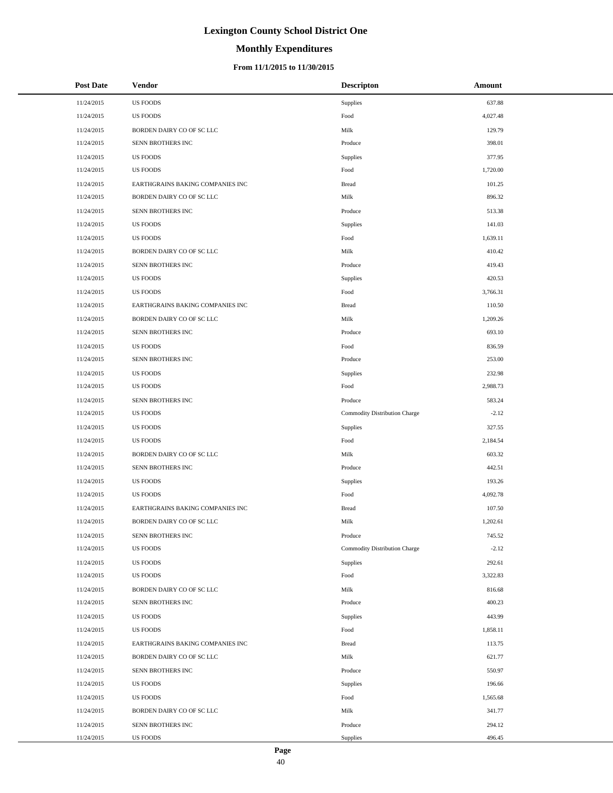# **Monthly Expenditures**

### **From 11/1/2015 to 11/30/2015**

| <b>Post Date</b> | Vendor                           | <b>Descripton</b>             | Amount   |
|------------------|----------------------------------|-------------------------------|----------|
| 11/24/2015       | <b>US FOODS</b>                  | Supplies                      | 637.88   |
| 11/24/2015       | <b>US FOODS</b>                  | Food                          | 4,027.48 |
| 11/24/2015       | BORDEN DAIRY CO OF SC LLC        | Milk                          | 129.79   |
| 11/24/2015       | SENN BROTHERS INC                | Produce                       | 398.01   |
| 11/24/2015       | <b>US FOODS</b>                  | Supplies                      | 377.95   |
| 11/24/2015       | <b>US FOODS</b>                  | Food                          | 1,720.00 |
| 11/24/2015       | EARTHGRAINS BAKING COMPANIES INC | <b>Bread</b>                  | 101.25   |
| 11/24/2015       | BORDEN DAIRY CO OF SC LLC        | Milk                          | 896.32   |
| 11/24/2015       | SENN BROTHERS INC                | Produce                       | 513.38   |
| 11/24/2015       | <b>US FOODS</b>                  | Supplies                      | 141.03   |
| 11/24/2015       | <b>US FOODS</b>                  | Food                          | 1,639.11 |
| 11/24/2015       | BORDEN DAIRY CO OF SC LLC        | Milk                          | 410.42   |
| 11/24/2015       | SENN BROTHERS INC                | Produce                       | 419.43   |
| 11/24/2015       | <b>US FOODS</b>                  | Supplies                      | 420.53   |
| 11/24/2015       | <b>US FOODS</b>                  | Food                          | 3,766.31 |
| 11/24/2015       | EARTHGRAINS BAKING COMPANIES INC | <b>Bread</b>                  | 110.50   |
| 11/24/2015       | BORDEN DAIRY CO OF SC LLC        | Milk                          | 1,209.26 |
| 11/24/2015       | SENN BROTHERS INC                | Produce                       | 693.10   |
| 11/24/2015       | <b>US FOODS</b>                  | Food                          | 836.59   |
| 11/24/2015       | SENN BROTHERS INC                | Produce                       | 253.00   |
| 11/24/2015       | <b>US FOODS</b>                  | Supplies                      | 232.98   |
| 11/24/2015       | <b>US FOODS</b>                  | Food                          | 2,988.73 |
| 11/24/2015       | SENN BROTHERS INC                | Produce                       | 583.24   |
| 11/24/2015       | <b>US FOODS</b>                  | Commodity Distribution Charge | $-2.12$  |
| 11/24/2015       | <b>US FOODS</b>                  | Supplies                      | 327.55   |
| 11/24/2015       | <b>US FOODS</b>                  | Food                          | 2,184.54 |
| 11/24/2015       | BORDEN DAIRY CO OF SC LLC        | Milk                          | 603.32   |
| 11/24/2015       | SENN BROTHERS INC                | Produce                       | 442.51   |
| 11/24/2015       | <b>US FOODS</b>                  | Supplies                      | 193.26   |
| 11/24/2015       | <b>US FOODS</b>                  | Food                          | 4,092.78 |
| 11/24/2015       | EARTHGRAINS BAKING COMPANIES INC | <b>Bread</b>                  | 107.50   |
| 11/24/2015       | BORDEN DAIRY CO OF SC LLC        | Milk                          | 1,202.61 |
| 11/24/2015       | SENN BROTHERS INC                | Produce                       | 745.52   |
| 11/24/2015       | <b>US FOODS</b>                  | Commodity Distribution Charge | $-2.12$  |
| 11/24/2015       | <b>US FOODS</b>                  | Supplies                      | 292.61   |
| 11/24/2015       | <b>US FOODS</b>                  | Food                          | 3,322.83 |
| 11/24/2015       | BORDEN DAIRY CO OF SC LLC        | Milk                          | 816.68   |
| 11/24/2015       | SENN BROTHERS INC                | Produce                       | 400.23   |
| 11/24/2015       | <b>US FOODS</b>                  | Supplies                      | 443.99   |
| 11/24/2015       | <b>US FOODS</b>                  | Food                          | 1,858.11 |
| 11/24/2015       | EARTHGRAINS BAKING COMPANIES INC | <b>Bread</b>                  | 113.75   |
| 11/24/2015       | BORDEN DAIRY CO OF SC LLC        | Milk                          | 621.77   |
| 11/24/2015       | SENN BROTHERS INC                | Produce                       | 550.97   |
| 11/24/2015       | <b>US FOODS</b>                  | Supplies                      | 196.66   |
| 11/24/2015       | <b>US FOODS</b>                  | Food                          | 1,565.68 |
| 11/24/2015       | BORDEN DAIRY CO OF SC LLC        | Milk                          | 341.77   |
| 11/24/2015       | SENN BROTHERS INC                | Produce                       | 294.12   |
| 11/24/2015       | US FOODS                         | Supplies                      | 496.45   |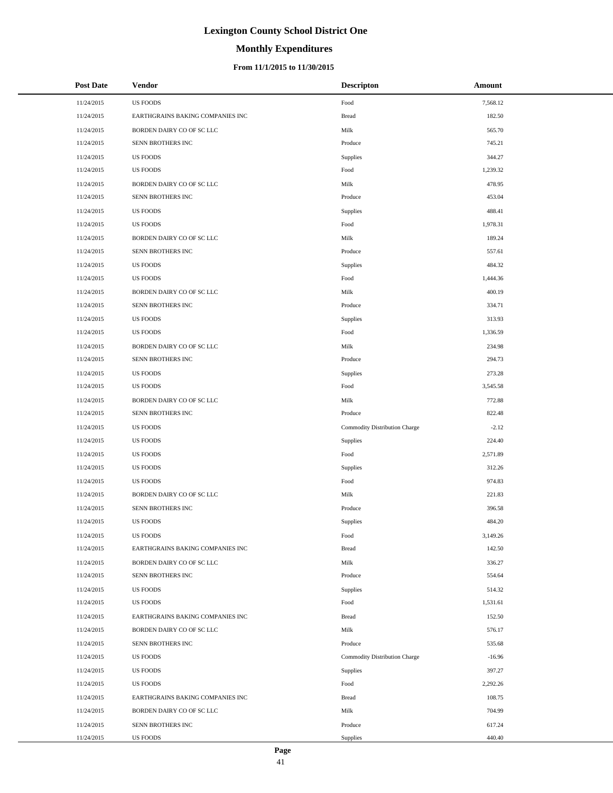# **Monthly Expenditures**

| <b>Post Date</b> | Vendor                           | <b>Descripton</b>             | Amount   |
|------------------|----------------------------------|-------------------------------|----------|
| 11/24/2015       | <b>US FOODS</b>                  | Food                          | 7,568.12 |
| 11/24/2015       | EARTHGRAINS BAKING COMPANIES INC | <b>Bread</b>                  | 182.50   |
| 11/24/2015       | BORDEN DAIRY CO OF SC LLC        | Milk                          | 565.70   |
| 11/24/2015       | SENN BROTHERS INC                | Produce                       | 745.21   |
| 11/24/2015       | <b>US FOODS</b>                  | Supplies                      | 344.27   |
| 11/24/2015       | <b>US FOODS</b>                  | Food                          | 1,239.32 |
| 11/24/2015       | BORDEN DAIRY CO OF SC LLC        | Milk                          | 478.95   |
| 11/24/2015       | SENN BROTHERS INC                | Produce                       | 453.04   |
| 11/24/2015       | <b>US FOODS</b>                  | Supplies                      | 488.41   |
| 11/24/2015       | <b>US FOODS</b>                  | Food                          | 1,978.31 |
| 11/24/2015       | BORDEN DAIRY CO OF SC LLC        | Milk                          | 189.24   |
| 11/24/2015       | SENN BROTHERS INC                | Produce                       | 557.61   |
| 11/24/2015       | <b>US FOODS</b>                  | Supplies                      | 484.32   |
| 11/24/2015       | <b>US FOODS</b>                  | Food                          | 1,444.36 |
| 11/24/2015       | BORDEN DAIRY CO OF SC LLC        | Milk                          | 400.19   |
| 11/24/2015       | SENN BROTHERS INC                | Produce                       | 334.71   |
| 11/24/2015       | <b>US FOODS</b>                  | Supplies                      | 313.93   |
| 11/24/2015       | <b>US FOODS</b>                  | Food                          | 1,336.59 |
| 11/24/2015       | BORDEN DAIRY CO OF SC LLC        | Milk                          | 234.98   |
| 11/24/2015       | SENN BROTHERS INC                | Produce                       | 294.73   |
| 11/24/2015       | <b>US FOODS</b>                  | Supplies                      | 273.28   |
| 11/24/2015       | <b>US FOODS</b>                  | Food                          | 3,545.58 |
| 11/24/2015       | BORDEN DAIRY CO OF SC LLC        | Milk                          | 772.88   |
| 11/24/2015       | SENN BROTHERS INC                | Produce                       | 822.48   |
| 11/24/2015       | <b>US FOODS</b>                  | Commodity Distribution Charge | $-2.12$  |
| 11/24/2015       | <b>US FOODS</b>                  | Supplies                      | 224.40   |
| 11/24/2015       | <b>US FOODS</b>                  | Food                          | 2,571.89 |
| 11/24/2015       | <b>US FOODS</b>                  | <b>Supplies</b>               | 312.26   |
| 11/24/2015       | <b>US FOODS</b>                  | Food                          | 974.83   |
| 11/24/2015       | BORDEN DAIRY CO OF SC LLC        | Milk                          | 221.83   |
| 11/24/2015       | SENN BROTHERS INC                | Produce                       | 396.58   |
| 11/24/2015       | <b>US FOODS</b>                  | Supplies                      | 484.20   |
| 11/24/2015       | <b>US FOODS</b>                  | Food                          | 3,149.26 |
| 11/24/2015       | EARTHGRAINS BAKING COMPANIES INC | <b>Bread</b>                  | 142.50   |
| 11/24/2015       | BORDEN DAIRY CO OF SC LLC        | Milk                          | 336.27   |
| 11/24/2015       | SENN BROTHERS INC                | Produce                       | 554.64   |
| 11/24/2015       | <b>US FOODS</b>                  | Supplies                      | 514.32   |
| 11/24/2015       | <b>US FOODS</b>                  | Food                          | 1,531.61 |
| 11/24/2015       | EARTHGRAINS BAKING COMPANIES INC | <b>Bread</b>                  | 152.50   |
| 11/24/2015       | BORDEN DAIRY CO OF SC LLC        | Milk                          | 576.17   |
| 11/24/2015       | SENN BROTHERS INC                | Produce                       | 535.68   |
| 11/24/2015       | <b>US FOODS</b>                  | Commodity Distribution Charge | $-16.96$ |
| 11/24/2015       | <b>US FOODS</b>                  | Supplies                      | 397.27   |
| 11/24/2015       | <b>US FOODS</b>                  | Food                          | 2,292.26 |
| 11/24/2015       | EARTHGRAINS BAKING COMPANIES INC | <b>Bread</b>                  | 108.75   |
| 11/24/2015       | BORDEN DAIRY CO OF SC LLC        | Milk                          | 704.99   |
| 11/24/2015       | SENN BROTHERS INC                | Produce                       | 617.24   |
| 11/24/2015       | US FOODS                         | Supplies                      | 440.40   |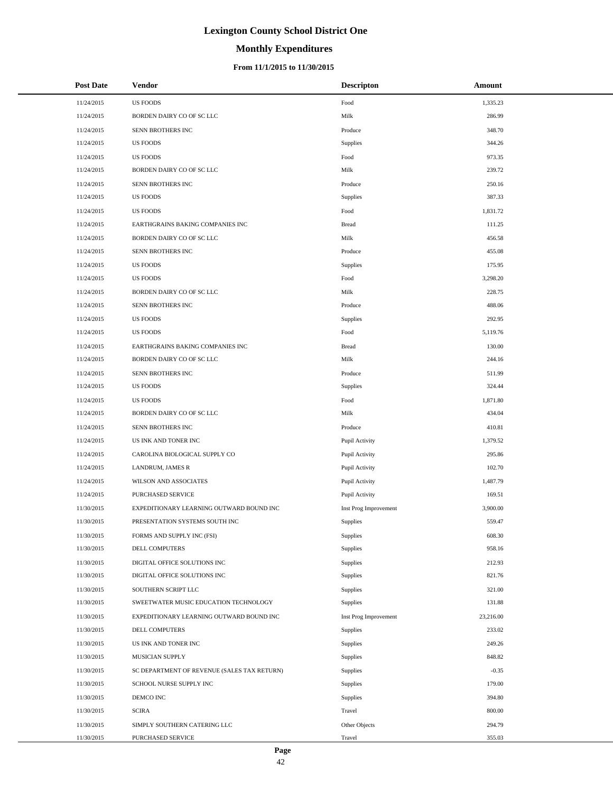# **Monthly Expenditures**

| <b>Post Date</b> | Vendor                                      | <b>Descripton</b>     | Amount    |
|------------------|---------------------------------------------|-----------------------|-----------|
| 11/24/2015       | <b>US FOODS</b>                             | Food                  | 1,335.23  |
| 11/24/2015       | BORDEN DAIRY CO OF SC LLC                   | Milk                  | 286.99    |
| 11/24/2015       | SENN BROTHERS INC                           | Produce               | 348.70    |
| 11/24/2015       | <b>US FOODS</b>                             | Supplies              | 344.26    |
| 11/24/2015       | <b>US FOODS</b>                             | Food                  | 973.35    |
| 11/24/2015       | BORDEN DAIRY CO OF SC LLC                   | Milk                  | 239.72    |
| 11/24/2015       | SENN BROTHERS INC                           | Produce               | 250.16    |
| 11/24/2015       | <b>US FOODS</b>                             | Supplies              | 387.33    |
| 11/24/2015       | <b>US FOODS</b>                             | Food                  | 1,831.72  |
| 11/24/2015       | EARTHGRAINS BAKING COMPANIES INC            | <b>Bread</b>          | 111.25    |
| 11/24/2015       | BORDEN DAIRY CO OF SC LLC                   | Milk                  | 456.58    |
| 11/24/2015       | SENN BROTHERS INC                           | Produce               | 455.08    |
| 11/24/2015       | <b>US FOODS</b>                             | Supplies              | 175.95    |
| 11/24/2015       | <b>US FOODS</b>                             | Food                  | 3,298.20  |
| 11/24/2015       | BORDEN DAIRY CO OF SC LLC                   | Milk                  | 228.75    |
| 11/24/2015       | SENN BROTHERS INC                           | Produce               | 488.06    |
| 11/24/2015       | <b>US FOODS</b>                             | Supplies              | 292.95    |
| 11/24/2015       | <b>US FOODS</b>                             | Food                  | 5,119.76  |
| 11/24/2015       | EARTHGRAINS BAKING COMPANIES INC            | <b>Bread</b>          | 130.00    |
| 11/24/2015       | BORDEN DAIRY CO OF SC LLC                   | Milk                  | 244.16    |
| 11/24/2015       | SENN BROTHERS INC                           | Produce               | 511.99    |
| 11/24/2015       | <b>US FOODS</b>                             | Supplies              | 324.44    |
| 11/24/2015       | <b>US FOODS</b>                             | Food                  | 1,871.80  |
| 11/24/2015       | BORDEN DAIRY CO OF SC LLC                   | Milk                  | 434.04    |
| 11/24/2015       | SENN BROTHERS INC                           | Produce               | 410.81    |
| 11/24/2015       | US INK AND TONER INC                        | Pupil Activity        | 1,379.52  |
| 11/24/2015       | CAROLINA BIOLOGICAL SUPPLY CO               | Pupil Activity        | 295.86    |
| 11/24/2015       | LANDRUM, JAMES R                            | Pupil Activity        | 102.70    |
| 11/24/2015       | WILSON AND ASSOCIATES                       | Pupil Activity        | 1,487.79  |
| 11/24/2015       | PURCHASED SERVICE                           | Pupil Activity        | 169.51    |
| 11/30/2015       | EXPEDITIONARY LEARNING OUTWARD BOUND INC    | Inst Prog Improvement | 3,900.00  |
| 11/30/2015       | PRESENTATION SYSTEMS SOUTH INC              | Supplies              | 559.47    |
| 11/30/2015       | FORMS AND SUPPLY INC (FSI)                  | Supplies              | 608.30    |
| 11/30/2015       | DELL COMPUTERS                              | Supplies              | 958.16    |
| 11/30/2015       | DIGITAL OFFICE SOLUTIONS INC                | Supplies              | 212.93    |
| 11/30/2015       | DIGITAL OFFICE SOLUTIONS INC                | Supplies              | 821.76    |
| 11/30/2015       | SOUTHERN SCRIPT LLC                         | Supplies              | 321.00    |
| 11/30/2015       | SWEETWATER MUSIC EDUCATION TECHNOLOGY       | Supplies              | 131.88    |
| 11/30/2015       | EXPEDITIONARY LEARNING OUTWARD BOUND INC    | Inst Prog Improvement | 23,216.00 |
| 11/30/2015       | <b>DELL COMPUTERS</b>                       | Supplies              | 233.02    |
| 11/30/2015       | US INK AND TONER INC                        | Supplies              | 249.26    |
| 11/30/2015       | MUSICIAN SUPPLY                             | Supplies              | 848.82    |
| 11/30/2015       | SC DEPARTMENT OF REVENUE (SALES TAX RETURN) | Supplies              | $-0.35$   |
| 11/30/2015       | SCHOOL NURSE SUPPLY INC                     | Supplies              | 179.00    |
| 11/30/2015       | DEMCO INC                                   | Supplies              | 394.80    |
| 11/30/2015       | <b>SCIRA</b>                                | Travel                | 800.00    |
| 11/30/2015       | SIMPLY SOUTHERN CATERING LLC                | Other Objects         | 294.79    |
| 11/30/2015       | PURCHASED SERVICE                           | Travel                | 355.03    |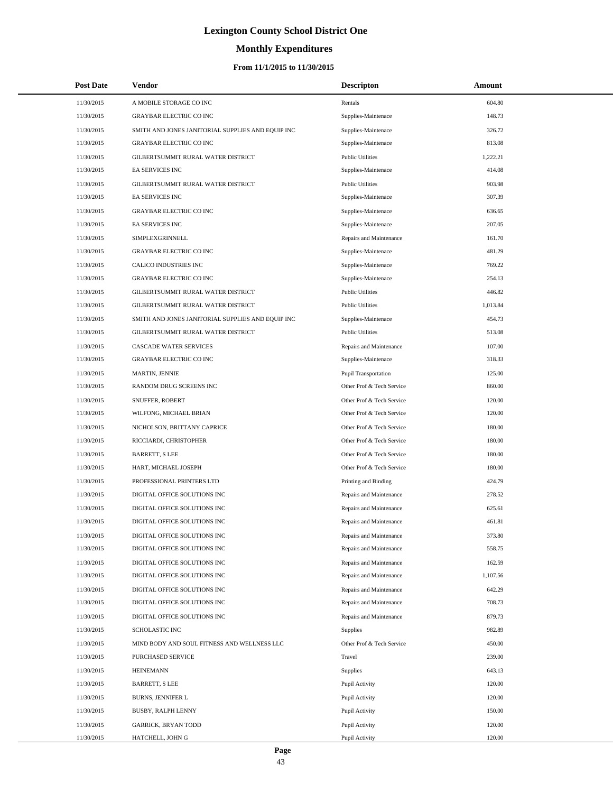# **Monthly Expenditures**

### **From 11/1/2015 to 11/30/2015**

| <b>Post Date</b> | Vendor                                            | <b>Descripton</b>         | Amount   |
|------------------|---------------------------------------------------|---------------------------|----------|
| 11/30/2015       | A MOBILE STORAGE CO INC                           | Rentals                   | 604.80   |
| 11/30/2015       | <b>GRAYBAR ELECTRIC CO INC</b>                    | Supplies-Maintenace       | 148.73   |
| 11/30/2015       | SMITH AND JONES JANITORIAL SUPPLIES AND EQUIP INC | Supplies-Maintenace       | 326.72   |
| 11/30/2015       | <b>GRAYBAR ELECTRIC CO INC</b>                    | Supplies-Maintenace       | 813.08   |
| 11/30/2015       | GILBERTSUMMIT RURAL WATER DISTRICT                | <b>Public Utilities</b>   | 1,222.21 |
| 11/30/2015       | EA SERVICES INC                                   | Supplies-Maintenace       | 414.08   |
| 11/30/2015       | GILBERTSUMMIT RURAL WATER DISTRICT                | <b>Public Utilities</b>   | 903.98   |
| 11/30/2015       | <b>EA SERVICES INC</b>                            | Supplies-Maintenace       | 307.39   |
| 11/30/2015       | <b>GRAYBAR ELECTRIC CO INC</b>                    | Supplies-Maintenace       | 636.65   |
| 11/30/2015       | EA SERVICES INC                                   | Supplies-Maintenace       | 207.05   |
| 11/30/2015       | SIMPLEXGRINNELL                                   | Repairs and Maintenance   | 161.70   |
| 11/30/2015       | <b>GRAYBAR ELECTRIC CO INC</b>                    | Supplies-Maintenace       | 481.29   |
| 11/30/2015       | CALICO INDUSTRIES INC                             | Supplies-Maintenace       | 769.22   |
| 11/30/2015       | <b>GRAYBAR ELECTRIC CO INC</b>                    | Supplies-Maintenace       | 254.13   |
| 11/30/2015       | GILBERTSUMMIT RURAL WATER DISTRICT                | <b>Public Utilities</b>   | 446.82   |
| 11/30/2015       | GILBERTSUMMIT RURAL WATER DISTRICT                | <b>Public Utilities</b>   | 1,013.84 |
| 11/30/2015       | SMITH AND JONES JANITORIAL SUPPLIES AND EQUIP INC | Supplies-Maintenace       | 454.73   |
| 11/30/2015       | GILBERTSUMMIT RURAL WATER DISTRICT                | <b>Public Utilities</b>   | 513.08   |
| 11/30/2015       | <b>CASCADE WATER SERVICES</b>                     | Repairs and Maintenance   | 107.00   |
| 11/30/2015       | <b>GRAYBAR ELECTRIC CO INC</b>                    | Supplies-Maintenace       | 318.33   |
| 11/30/2015       | MARTIN, JENNIE                                    | Pupil Transportation      | 125.00   |
| 11/30/2015       | RANDOM DRUG SCREENS INC                           | Other Prof & Tech Service | 860.00   |
| 11/30/2015       | SNUFFER, ROBERT                                   | Other Prof & Tech Service | 120.00   |
| 11/30/2015       | WILFONG, MICHAEL BRIAN                            | Other Prof & Tech Service | 120.00   |
| 11/30/2015       | NICHOLSON, BRITTANY CAPRICE                       | Other Prof & Tech Service | 180.00   |
| 11/30/2015       | RICCIARDI, CHRISTOPHER                            | Other Prof & Tech Service | 180.00   |
| 11/30/2015       | <b>BARRETT, S LEE</b>                             | Other Prof & Tech Service | 180.00   |
| 11/30/2015       | HART, MICHAEL JOSEPH                              | Other Prof & Tech Service | 180.00   |
| 11/30/2015       | PROFESSIONAL PRINTERS LTD                         | Printing and Binding      | 424.79   |
| 11/30/2015       | DIGITAL OFFICE SOLUTIONS INC                      | Repairs and Maintenance   | 278.52   |
| 11/30/2015       | DIGITAL OFFICE SOLUTIONS INC                      | Repairs and Maintenance   | 625.61   |
| 11/30/2015       | DIGITAL OFFICE SOLUTIONS INC                      | Repairs and Maintenance   | 461.81   |
| 11/30/2015       | DIGITAL OFFICE SOLUTIONS INC                      | Repairs and Maintenance   | 373.80   |
| 11/30/2015       | DIGITAL OFFICE SOLUTIONS INC                      | Repairs and Maintenance   | 558.75   |
| 11/30/2015       | DIGITAL OFFICE SOLUTIONS INC                      | Repairs and Maintenance   | 162.59   |
| 11/30/2015       | DIGITAL OFFICE SOLUTIONS INC                      | Repairs and Maintenance   | 1,107.56 |
| 11/30/2015       | DIGITAL OFFICE SOLUTIONS INC                      | Repairs and Maintenance   | 642.29   |
| 11/30/2015       | DIGITAL OFFICE SOLUTIONS INC                      | Repairs and Maintenance   | 708.73   |
| 11/30/2015       | DIGITAL OFFICE SOLUTIONS INC                      | Repairs and Maintenance   | 879.73   |
| 11/30/2015       | SCHOLASTIC INC                                    | Supplies                  | 982.89   |
| 11/30/2015       | MIND BODY AND SOUL FITNESS AND WELLNESS LLC       | Other Prof & Tech Service | 450.00   |
| 11/30/2015       | PURCHASED SERVICE                                 | Travel                    | 239.00   |
| 11/30/2015       | <b>HEINEMANN</b>                                  | Supplies                  | 643.13   |
| 11/30/2015       | <b>BARRETT, S LEE</b>                             | Pupil Activity            | 120.00   |
| 11/30/2015       | BURNS, JENNIFER L                                 | Pupil Activity            | 120.00   |
| 11/30/2015       | BUSBY, RALPH LENNY                                | Pupil Activity            | 150.00   |
| 11/30/2015       | <b>GARRICK, BRYAN TODD</b>                        | Pupil Activity            | 120.00   |
| 11/30/2015       | HATCHELL, JOHN G                                  | Pupil Activity            | 120.00   |

L